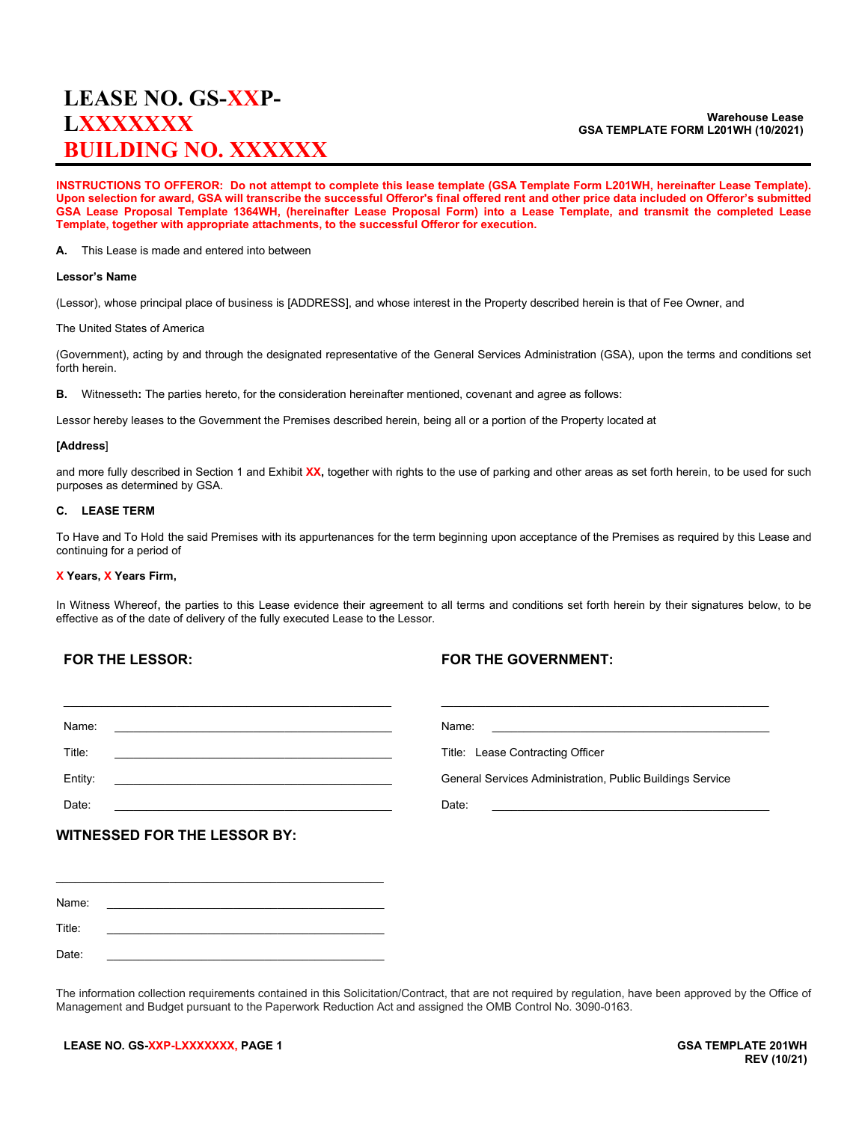# **LEASE NO. GS-XXP-LXXXXXXX BUILDING NO. XXXXXX**

#### **Warehouse Lease GSA TEMPLATE FORM L201WH (10/2021)**

**INSTRUCTIONS TO OFFEROR: Do not attempt to complete this lease template (GSA Template Form L201WH, hereinafter Lease Template). Upon selection for award, GSA will transcribe the successful Offeror's final offered rent and other price data included on Offeror's submitted GSA Lease Proposal Template 1364WH, (hereinafter Lease Proposal Form) into a Lease Template, and transmit the completed Lease Template, together with appropriate attachments, to the successful Offeror for execution.**

**A.** This Lease is made and entered into between

#### **Lessor's Name**

(Lessor), whose principal place of business is [ADDRESS], and whose interest in the Property described herein is that of Fee Owner, and

The United States of America

(Government), acting by and through the designated representative of the General Services Administration (GSA), upon the terms and conditions set forth herein.

**B.** Witnesseth**:** The parties hereto, for the consideration hereinafter mentioned, covenant and agree as follows:

Lessor hereby leases to the Government the Premises described herein, being all or a portion of the Property located at

#### **[Address**]

and more fully described in Section 1 and Exhibit **XX,** together with rights to the use of parking and other areas as set forth herein, to be used for such purposes as determined by GSA.

#### **C. LEASE TERM**

To Have and To Hold the said Premises with its appurtenances for the term beginning upon acceptance of the Premises as required by this Lease and continuing for a period of

## **X Years, X Years Firm,**

In Witness Whereof, the parties to this Lease evidence their agreement to all terms and conditions set forth herein by their signatures below, to be effective as of the date of delivery of the fully executed Lease to the Lessor.

# **FOR THE LESSOR:**

# **FOR THE GOVERNMENT:**

| Name:<br><u> 1989 - Johann Stein, Amerikaansk politiker (</u>                                                                    | Name:<br><u> 1989 - Andrea Station Barbara, amerikan personal (h. 1989)</u> |
|----------------------------------------------------------------------------------------------------------------------------------|-----------------------------------------------------------------------------|
| Title:                                                                                                                           | Title: Lease Contracting Officer                                            |
| Entity:<br><u> 1989 - Johann Barnett, markin film fan de ferfingen fan de ferfingen fan de ferfingen fan de ferfingen fan de</u> | General Services Administration, Public Buildings Service                   |
| Date:                                                                                                                            | Date:                                                                       |
| <b>WITNESSED FOR THE LESSOR BY:</b>                                                                                              |                                                                             |
|                                                                                                                                  |                                                                             |
|                                                                                                                                  |                                                                             |
| Name:                                                                                                                            |                                                                             |

The information collection requirements contained in this Solicitation/Contract, that are not required by regulation, have been approved by the Office of Management and Budget pursuant to the Paperwork Reduction Act and assigned the OMB Control No. 3090-0163.

Title: \_\_\_\_\_\_\_\_\_\_\_\_\_\_\_\_\_\_\_\_\_\_\_\_\_\_\_\_\_\_\_\_\_\_\_\_\_\_\_\_\_\_\_\_ Date: \_\_\_\_\_\_\_\_\_\_\_\_\_\_\_\_\_\_\_\_\_\_\_\_\_\_\_\_\_\_\_\_\_\_\_\_\_\_\_\_\_\_\_\_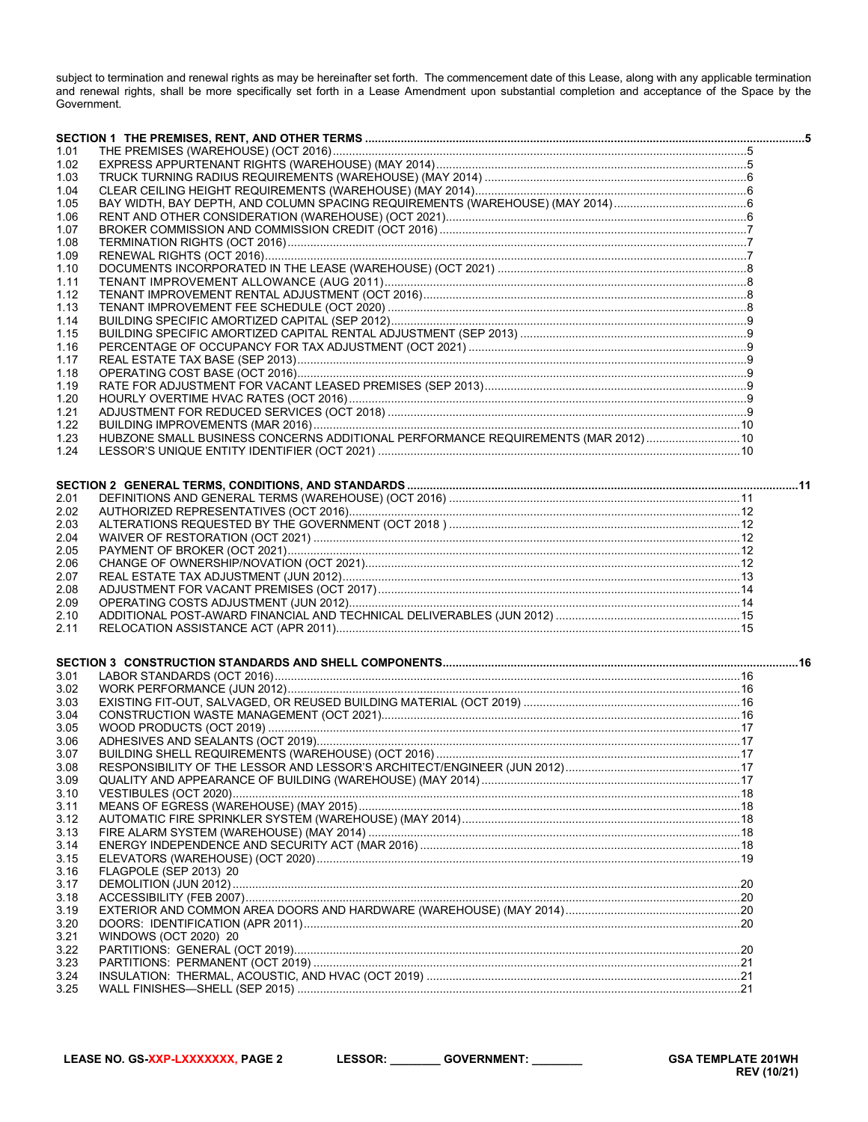subject to termination and renewal rights as may be hereinafter set forth. The commencement date of this Lease, along with any applicable termination<br>and renewal rights, shall be more specifically set forth in a Lease Amen Government.

| 1.01 |                                                                                   |  |
|------|-----------------------------------------------------------------------------------|--|
| 1.02 |                                                                                   |  |
| 1.03 |                                                                                   |  |
| 1.04 |                                                                                   |  |
|      |                                                                                   |  |
| 1.05 |                                                                                   |  |
| 1.06 |                                                                                   |  |
| 1.07 |                                                                                   |  |
| 1.08 |                                                                                   |  |
| 1.09 |                                                                                   |  |
| 1.10 |                                                                                   |  |
| 1.11 |                                                                                   |  |
| 1.12 |                                                                                   |  |
| 1.13 |                                                                                   |  |
| 1.14 |                                                                                   |  |
| 1.15 |                                                                                   |  |
| 1.16 |                                                                                   |  |
| 1.17 |                                                                                   |  |
| 1.18 |                                                                                   |  |
| 1.19 |                                                                                   |  |
| 1.20 |                                                                                   |  |
| 1.21 |                                                                                   |  |
| 1.22 |                                                                                   |  |
| 1.23 | HUBZONE SMALL BUSINESS CONCERNS ADDITIONAL PERFORMANCE REQUIREMENTS (MAR 2012) 10 |  |
| 1.24 |                                                                                   |  |
|      |                                                                                   |  |
|      |                                                                                   |  |
|      |                                                                                   |  |
| 2.01 |                                                                                   |  |
| 2.02 |                                                                                   |  |
| 2.03 |                                                                                   |  |
| 2.04 |                                                                                   |  |
| 2.05 |                                                                                   |  |
| 2.06 |                                                                                   |  |
| 2.07 |                                                                                   |  |
| 2.08 |                                                                                   |  |
| 2.09 |                                                                                   |  |
| 2.10 |                                                                                   |  |
| 2.11 |                                                                                   |  |
|      |                                                                                   |  |
|      |                                                                                   |  |
| 3.01 |                                                                                   |  |
| 3.02 |                                                                                   |  |
| 3.03 |                                                                                   |  |
| 3.04 |                                                                                   |  |
| 3.05 |                                                                                   |  |
| 3.06 |                                                                                   |  |
|      |                                                                                   |  |
| 3.07 |                                                                                   |  |
| 3.08 |                                                                                   |  |
| 3.09 |                                                                                   |  |
| 3.10 |                                                                                   |  |
| 3.11 |                                                                                   |  |
| 3.12 |                                                                                   |  |
| 3.13 |                                                                                   |  |
| 3.14 |                                                                                   |  |
| 3.15 |                                                                                   |  |
| 3.16 | FLAGPOLE (SEP 2013) 20                                                            |  |
| 3.17 |                                                                                   |  |
| 3.18 |                                                                                   |  |
| 3.19 |                                                                                   |  |
| 3.20 |                                                                                   |  |
| 3.21 | WINDOWS (OCT 2020) 20                                                             |  |
| 3.22 |                                                                                   |  |
| 3.23 |                                                                                   |  |
| 3.24 |                                                                                   |  |
| 3.25 |                                                                                   |  |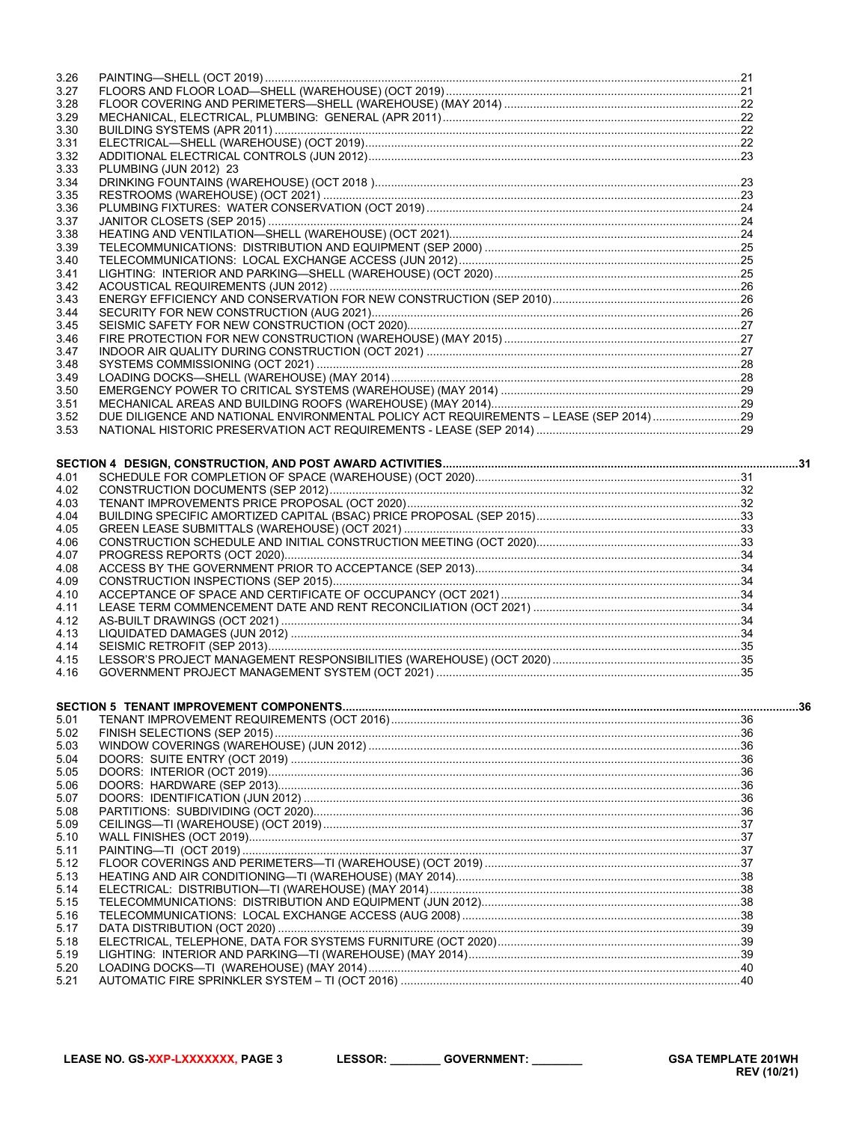| 3.26         |                                                                                       |  |
|--------------|---------------------------------------------------------------------------------------|--|
| 3.27         |                                                                                       |  |
| 3.28         |                                                                                       |  |
| 3.29         |                                                                                       |  |
| 3.30         |                                                                                       |  |
| 3.31         |                                                                                       |  |
| 3.32         |                                                                                       |  |
| 3.33         | PLUMBING (JUN 2012) 23                                                                |  |
| 3.34         |                                                                                       |  |
| 3.35         |                                                                                       |  |
| 3.36         |                                                                                       |  |
| 3.37         |                                                                                       |  |
| 3.38         |                                                                                       |  |
| 3.39         |                                                                                       |  |
| 3.40         |                                                                                       |  |
| 3.41         |                                                                                       |  |
| 3.42         |                                                                                       |  |
| 3.43         |                                                                                       |  |
| 3.44         |                                                                                       |  |
| 3.45         |                                                                                       |  |
| 3.46         |                                                                                       |  |
| 3.47         |                                                                                       |  |
| 3.48         |                                                                                       |  |
| 3.49         |                                                                                       |  |
| 3.50         |                                                                                       |  |
| 3.51         |                                                                                       |  |
| 3.52         | DUE DILIGENCE AND NATIONAL ENVIRONMENTAL POLICY ACT REQUIREMENTS - LEASE (SEP 2014)29 |  |
| 3.53         |                                                                                       |  |
|              |                                                                                       |  |
|              |                                                                                       |  |
|              |                                                                                       |  |
| 4.01<br>4.02 |                                                                                       |  |
|              |                                                                                       |  |
| 4.03<br>4.04 |                                                                                       |  |
| 4.05         |                                                                                       |  |
| 4.06         |                                                                                       |  |
| 4.07         |                                                                                       |  |
| 4.08         |                                                                                       |  |
| 4.09         |                                                                                       |  |
| 4.10         |                                                                                       |  |
| 4.11         |                                                                                       |  |
| 4.12         |                                                                                       |  |
| 4.13         |                                                                                       |  |
| 4.14         |                                                                                       |  |
| 4.15         |                                                                                       |  |
| 4.16         |                                                                                       |  |
|              |                                                                                       |  |
|              |                                                                                       |  |
|              |                                                                                       |  |
| 5.01         |                                                                                       |  |
| 5.02         |                                                                                       |  |
| 5.03         |                                                                                       |  |
| 5.04         |                                                                                       |  |
| 5.05         |                                                                                       |  |
| 5.06         |                                                                                       |  |
| 5.07         |                                                                                       |  |
| 5.08         |                                                                                       |  |
| 5.09         |                                                                                       |  |
| 5.10<br>5.11 |                                                                                       |  |
|              |                                                                                       |  |
| 5.12<br>5.13 |                                                                                       |  |
| 5.14         |                                                                                       |  |
| 5.15         |                                                                                       |  |
| 5.16         |                                                                                       |  |
| 5.17         |                                                                                       |  |
| 5.18         |                                                                                       |  |
| 5.19         |                                                                                       |  |
| 5.20         |                                                                                       |  |
| 5.21         |                                                                                       |  |
|              |                                                                                       |  |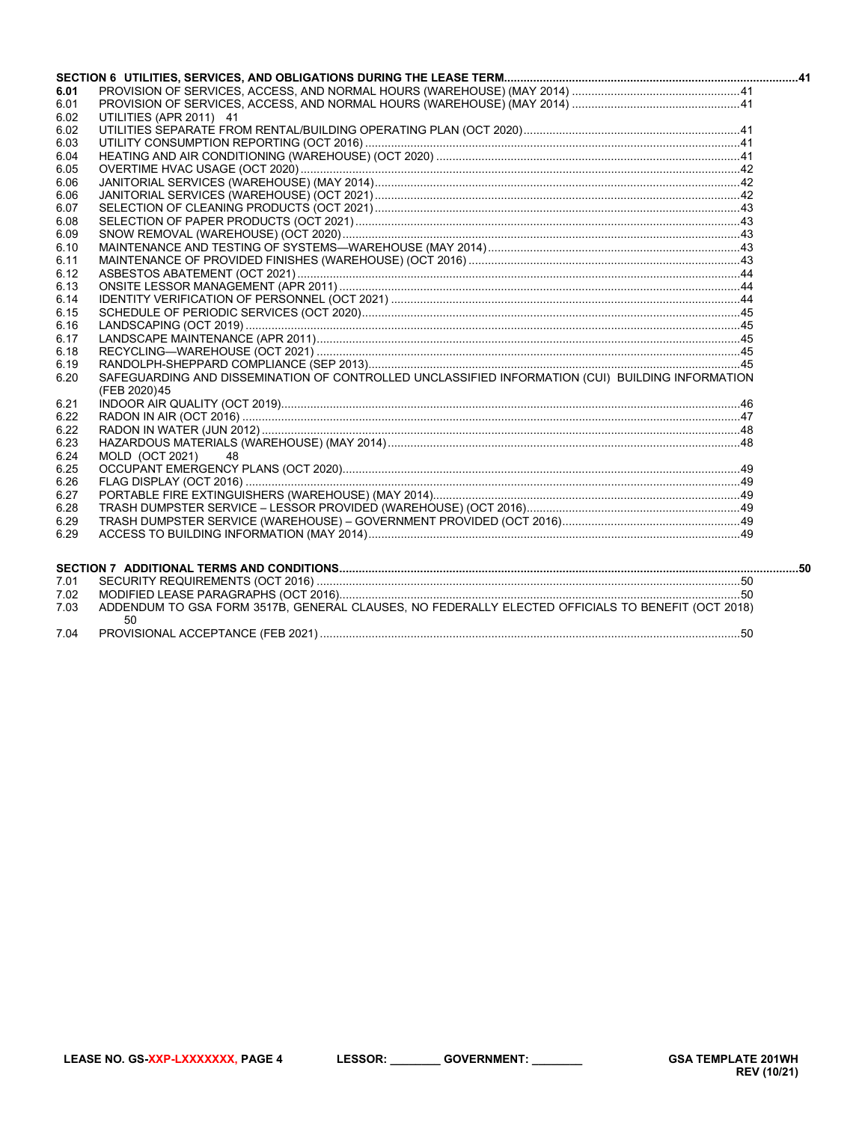| 6.01 |                                                                                                   |  |
|------|---------------------------------------------------------------------------------------------------|--|
| 6.01 |                                                                                                   |  |
| 6.02 | UTILITIES (APR 2011) 41                                                                           |  |
| 6.02 |                                                                                                   |  |
| 6.03 |                                                                                                   |  |
| 6.04 |                                                                                                   |  |
| 6.05 |                                                                                                   |  |
| 6.06 |                                                                                                   |  |
| 6.06 |                                                                                                   |  |
| 6.07 |                                                                                                   |  |
| 6.08 |                                                                                                   |  |
| 6.09 |                                                                                                   |  |
| 6.10 |                                                                                                   |  |
| 6.11 |                                                                                                   |  |
| 6.12 |                                                                                                   |  |
| 6.13 |                                                                                                   |  |
| 6.14 |                                                                                                   |  |
| 6.15 |                                                                                                   |  |
| 6.16 |                                                                                                   |  |
| 6.17 |                                                                                                   |  |
| 6.18 |                                                                                                   |  |
| 6.19 |                                                                                                   |  |
| 6.20 | SAFEGUARDING AND DISSEMINATION OF CONTROLLED UNCLASSIFIED INFORMATION (CUI) BUILDING INFORMATION  |  |
|      | (FEB 2020)45                                                                                      |  |
| 6.21 |                                                                                                   |  |
| 6.22 |                                                                                                   |  |
| 6.22 |                                                                                                   |  |
| 6.23 |                                                                                                   |  |
| 6.24 | <b>MOLD (OCT 2021)</b><br>-48                                                                     |  |
| 6.25 |                                                                                                   |  |
| 6.26 |                                                                                                   |  |
| 6.27 |                                                                                                   |  |
| 6.28 |                                                                                                   |  |
| 6.29 |                                                                                                   |  |
| 6.29 |                                                                                                   |  |
|      |                                                                                                   |  |
| 7.01 |                                                                                                   |  |
| 7.02 |                                                                                                   |  |
| 7.03 | ADDENDUM TO GSA FORM 3517B, GENERAL CLAUSES, NO FEDERALLY ELECTED OFFICIALS TO BENEFIT (OCT 2018) |  |

50

7.04

LESSOR: \_\_\_\_\_\_\_\_\_ GOVERNMENT: \_\_\_\_\_\_\_\_

**GSA TEMPLATE 201WH REV (10/21)**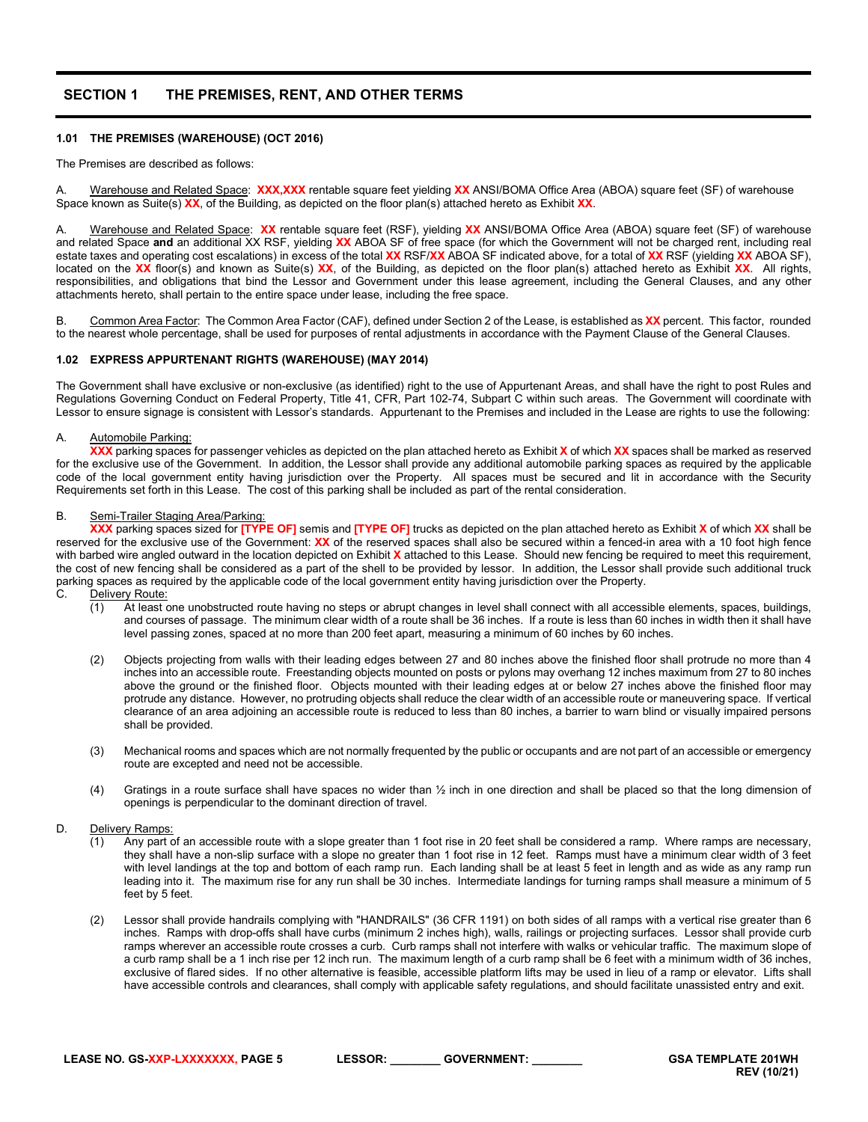# <span id="page-4-0"></span>**SECTION 1 THE PREMISES, RENT, AND OTHER TERMS**

# <span id="page-4-1"></span>**1.01 THE PREMISES (WAREHOUSE) (OCT 2016)**

The Premises are described as follows:

A. Warehouse and Related Space: **XXX,XXX** rentable square feet yielding **XX** ANSI/BOMA Office Area (ABOA) square feet (SF) of warehouse Space known as Suite(s) **XX**, of the Building, as depicted on the floor plan(s) attached hereto as Exhibit **XX**.

A. Warehouse and Related Space: **XX** rentable square feet (RSF), yielding **XX** ANSI/BOMA Office Area (ABOA) square feet (SF) of warehouse and related Space **and** an additional XX RSF, yielding **XX** ABOA SF of free space (for which the Government will not be charged rent, including real estate taxes and operating cost escalations) in excess of the total **XX** RSF/**XX** ABOA SF indicated above, for a total of **XX** RSF (yielding **XX** ABOA SF), located on the **XX** floor(s) and known as Suite(s) **XX**, of the Building, as depicted on the floor plan(s) attached hereto as Exhibit **XX**. All rights, responsibilities, and obligations that bind the Lessor and Government under this lease agreement, including the General Clauses, and any other attachments hereto, shall pertain to the entire space under lease, including the free space.

B. Common Area Factor: The Common Area Factor (CAF), defined under Section 2 of the Lease, is established as **XX** percent. This factor, rounded to the nearest whole percentage, shall be used for purposes of rental adjustments in accordance with the Payment Clause of the General Clauses.

# <span id="page-4-2"></span>**1.02 EXPRESS APPURTENANT RIGHTS (WAREHOUSE) (MAY 2014)**

The Government shall have exclusive or non-exclusive (as identified) right to the use of Appurtenant Areas, and shall have the right to post Rules and Regulations Governing Conduct on Federal Property, Title 41, CFR, Part 102-74, Subpart C within such areas. The Government will coordinate with Lessor to ensure signage is consistent with Lessor's standards. Appurtenant to the Premises and included in the Lease are rights to use the following:

#### A. Automobile Parking:

**XXX** parking spaces for passenger vehicles as depicted on the plan attached hereto as Exhibit **X** of which **XX** spaces shall be marked as reserved for the exclusive use of the Government. In addition, the Lessor shall provide any additional automobile parking spaces as required by the applicable code of the local government entity having jurisdiction over the Property. All spaces must be secured and lit in accordance with the Security Requirements set forth in this Lease. The cost of this parking shall be included as part of the rental consideration.

#### B. Semi-Trailer Staging Area/Parking:

**XXX** parking spaces sized for **[TYPE OF]** semis and **[TYPE OF]** trucks as depicted on the plan attached hereto as Exhibit **X** of which **XX** shall be reserved for the exclusive use of the Government: **XX** of the reserved spaces shall also be secured within a fenced-in area with a 10 foot high fence with barbed wire angled outward in the location depicted on Exhibit **X** attached to this Lease. Should new fencing be required to meet this requirement, the cost of new fencing shall be considered as a part of the shell to be provided by lessor. In addition, the Lessor shall provide such additional truck parking spaces as required by the applicable code of the local government entity having jurisdiction over the Property.

- C. Delivery Route:
	- (1) At least one unobstructed route having no steps or abrupt changes in level shall connect with all accessible elements, spaces, buildings, and courses of passage. The minimum clear width of a route shall be 36 inches. If a route is less than 60 inches in width then it shall have level passing zones, spaced at no more than 200 feet apart, measuring a minimum of 60 inches by 60 inches.
	- (2) Objects projecting from walls with their leading edges between 27 and 80 inches above the finished floor shall protrude no more than 4 inches into an accessible route. Freestanding objects mounted on posts or pylons may overhang 12 inches maximum from 27 to 80 inches above the ground or the finished floor. Objects mounted with their leading edges at or below 27 inches above the finished floor may protrude any distance. However, no protruding objects shall reduce the clear width of an accessible route or maneuvering space. If vertical clearance of an area adjoining an accessible route is reduced to less than 80 inches, a barrier to warn blind or visually impaired persons shall be provided.
	- (3) Mechanical rooms and spaces which are not normally frequented by the public or occupants and are not part of an accessible or emergency route are excepted and need not be accessible.
	- (4) Gratings in a route surface shall have spaces no wider than ½ inch in one direction and shall be placed so that the long dimension of openings is perpendicular to the dominant direction of travel.

#### D. Delivery Ramps:

- $(1)$  Any part of an accessible route with a slope greater than 1 foot rise in 20 feet shall be considered a ramp. Where ramps are necessary, they shall have a non-slip surface with a slope no greater than 1 foot rise in 12 feet. Ramps must have a minimum clear width of 3 feet with level landings at the top and bottom of each ramp run. Each landing shall be at least 5 feet in length and as wide as any ramp run leading into it. The maximum rise for any run shall be 30 inches. Intermediate landings for turning ramps shall measure a minimum of 5 feet by 5 feet.
- (2) Lessor shall provide handrails complying with "HANDRAILS" (36 CFR 1191) on both sides of all ramps with a vertical rise greater than 6 inches. Ramps with drop-offs shall have curbs (minimum 2 inches high), walls, railings or projecting surfaces. Lessor shall provide curb ramps wherever an accessible route crosses a curb. Curb ramps shall not interfere with walks or vehicular traffic. The maximum slope of a curb ramp shall be a 1 inch rise per 12 inch run. The maximum length of a curb ramp shall be 6 feet with a minimum width of 36 inches, exclusive of flared sides. If no other alternative is feasible, accessible platform lifts may be used in lieu of a ramp or elevator. Lifts shall have accessible controls and clearances, shall comply with applicable safety regulations, and should facilitate unassisted entry and exit.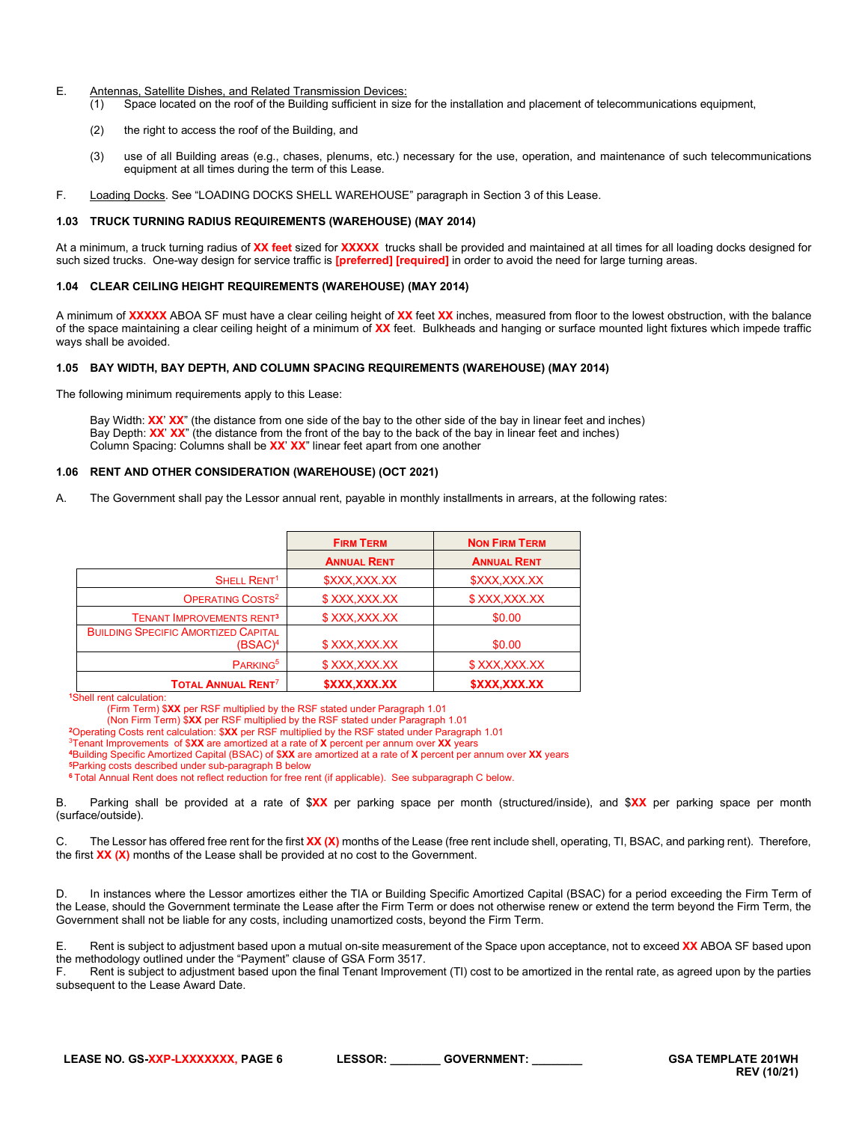#### E. Antennas, Satellite Dishes, and Related Transmission Devices:

- (1) Space located on the roof of the Building sufficient in size for the installation and placement of telecommunications equipment,
- (2) the right to access the roof of the Building, and
- (3) use of all Building areas (e.g., chases, plenums, etc.) necessary for the use, operation, and maintenance of such telecommunications equipment at all times during the term of this Lease.
- F. Loading Docks. See "LOADING DOCKS SHELL WAREHOUSE" paragraph in Section 3 of this Lease.

# <span id="page-5-0"></span>**1.03 TRUCK TURNING RADIUS REQUIREMENTS (WAREHOUSE) (MAY 2014)**

At a minimum, a truck turning radius of **XX feet** sized for **XXXXX** trucks shall be provided and maintained at all times for all loading docks designed for such sized trucks. One-way design for service traffic is **[preferred] [required]** in order to avoid the need for large turning areas.

#### <span id="page-5-1"></span>**1.04 CLEAR CEILING HEIGHT REQUIREMENTS (WAREHOUSE) (MAY 2014)**

A minimum of **XXXXX** ABOA SF must have a clear ceiling height of **XX** feet **XX** inches, measured from floor to the lowest obstruction, with the balance of the space maintaining a clear ceiling height of a minimum of **XX** feet. Bulkheads and hanging or surface mounted light fixtures which impede traffic ways shall be avoided.

#### <span id="page-5-2"></span>**1.05 BAY WIDTH, BAY DEPTH, AND COLUMN SPACING REQUIREMENTS (WAREHOUSE) (MAY 2014)**

The following minimum requirements apply to this Lease:

Bay Width: **XX**' **XX**" (the distance from one side of the bay to the other side of the bay in linear feet and inches) Bay Depth: **XX**' **XX**" (the distance from the front of the bay to the back of the bay in linear feet and inches) Column Spacing: Columns shall be **XX**' **XX**" linear feet apart from one another

#### <span id="page-5-3"></span>**1.06 RENT AND OTHER CONSIDERATION (WAREHOUSE) (OCT 2021)**

A. The Government shall pay the Lessor annual rent, payable in monthly installments in arrears, at the following rates:

|                                                          | <b>FIRM TERM</b>          | <b>NON FIRM TERM</b>      |
|----------------------------------------------------------|---------------------------|---------------------------|
|                                                          | <b>ANNUAL RENT</b>        | <b>ANNUAL RENT</b>        |
| SHELL RENT <sup>1</sup>                                  | \$XXX,XXX.XX              | \$XXX,XXX.XX              |
| OPERATING COSTS <sup>2</sup>                             | \$XXX,XXX.XX              | \$XXX,XXX.XX              |
| <b>TENANT IMPROVEMENTS RENT3</b>                         | \$XXX,XXX.XX              | \$0.00                    |
| <b>BUILDING SPECIFIC AMORTIZED CAPITAL</b><br>$(BSAC)^4$ | \$XXX,XXX.XX              | \$0.00                    |
| PARKING <sup>5</sup>                                     | \$XXX, XXX.XX             | \$XXX,XXX.XX              |
| <b>TOTAL ANNUAL RENT<sup>7</sup></b>                     | <b><i>SXXX.XXX.XX</i></b> | <b><i>SXXX.XXX.XX</i></b> |

**<sup>1</sup>**Shell rent calculation:

(Firm Term) \$**XX** per RSF multiplied by the RSF stated under Paragraph 1.01

(Non Firm Term) \$**XX** per RSF multiplied by the RSF stated under Paragraph 1.01

**<sup>2</sup>**Operating Costs rent calculation: \$**XX** per RSF multiplied by the RSF stated under Paragraph 1.01

3Tenant Improvements of \$**XX** are amortized at a rate of **X** percent per annum over **XX** years

**<sup>4</sup>**Building Specific Amortized Capital (BSAC) of \$**XX** are amortized at a rate of **X** percent per annum over **XX** years

**<sup>5</sup>**Parking costs described under sub-paragraph B below

**<sup>6</sup>**Total Annual Rent does not reflect reduction for free rent (if applicable). See subparagraph C below.

B. Parking shall be provided at a rate of \$**XX** per parking space per month (structured/inside), and \$**XX** per parking space per month (surface/outside).

C. The Lessor has offered free rent for the first **XX (X)** months of the Lease (free rent include shell, operating, TI, BSAC, and parking rent). Therefore, the first **XX (X)** months of the Lease shall be provided at no cost to the Government.

D. In instances where the Lessor amortizes either the TIA or Building Specific Amortized Capital (BSAC) for a period exceeding the Firm Term of the Lease, should the Government terminate the Lease after the Firm Term or does not otherwise renew or extend the term beyond the Firm Term, the Government shall not be liable for any costs, including unamortized costs, beyond the Firm Term.

E. Rent is subject to adjustment based upon a mutual on-site measurement of the Space upon acceptance, not to exceed **XX** ABOA SF based upon the methodology outlined under the "Payment" clause of GSA Form 3517.

F. Rent is subject to adjustment based upon the final Tenant Improvement (TI) cost to be amortized in the rental rate, as agreed upon by the parties subsequent to the Lease Award Date.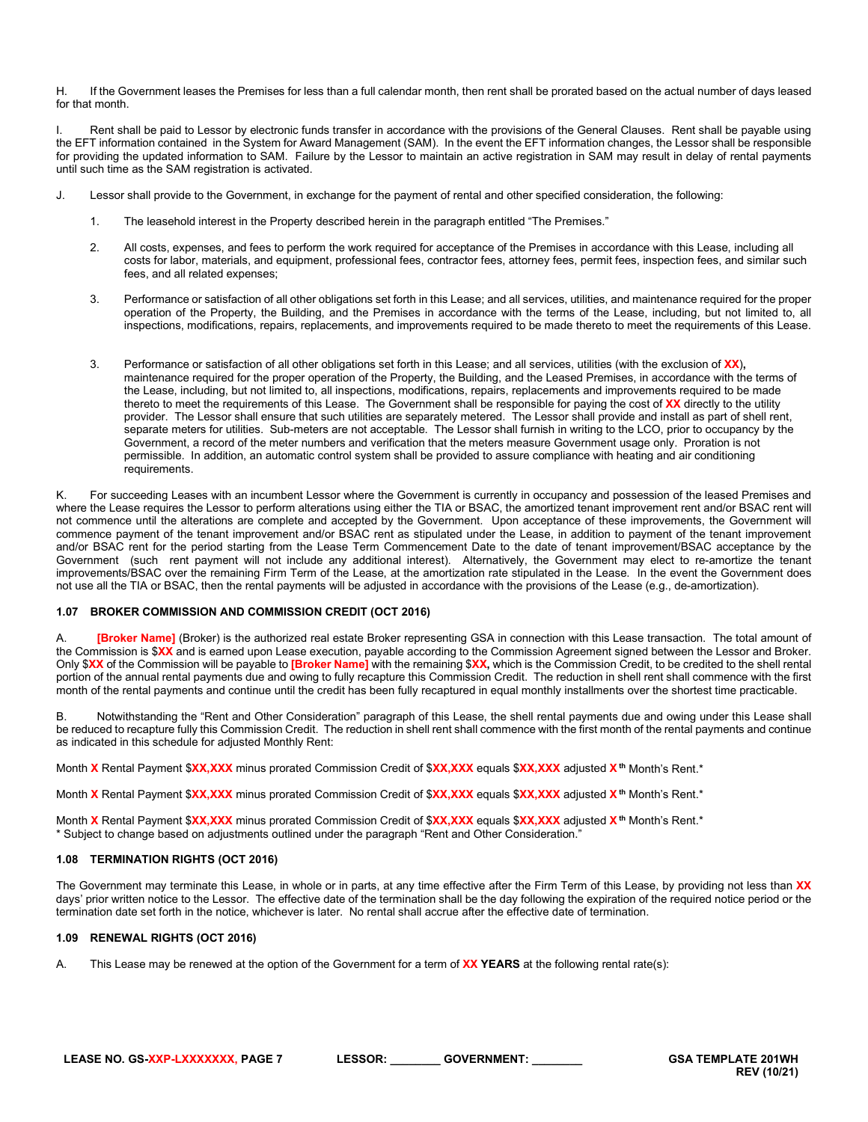H. If the Government leases the Premises for less than a full calendar month, then rent shall be prorated based on the actual number of days leased for that month.

I. Rent shall be paid to Lessor by electronic funds transfer in accordance with the provisions of the General Clauses. Rent shall be payable using the EFT information contained in the System for Award Management (SAM). In the event the EFT information changes, the Lessor shall be responsible for providing the updated information to SAM. Failure by the Lessor to maintain an active registration in SAM may result in delay of rental payments until such time as the SAM registration is activated.

- J. Lessor shall provide to the Government, in exchange for the payment of rental and other specified consideration, the following:
	- 1. The leasehold interest in the Property described herein in the paragraph entitled "The Premises."
	- 2. All costs, expenses, and fees to perform the work required for acceptance of the Premises in accordance with this Lease, including all costs for labor, materials, and equipment, professional fees, contractor fees, attorney fees, permit fees, inspection fees, and similar such fees, and all related expenses;
	- 3. Performance or satisfaction of all other obligations set forth in this Lease; and all services, utilities, and maintenance required for the proper operation of the Property, the Building, and the Premises in accordance with the terms of the Lease, including, but not limited to, all inspections, modifications, repairs, replacements, and improvements required to be made thereto to meet the requirements of this Lease.
	- 3. Performance or satisfaction of all other obligations set forth in this Lease; and all services, utilities (with the exclusion of **XX**)**,** maintenance required for the proper operation of the Property, the Building, and the Leased Premises, in accordance with the terms of the Lease, including, but not limited to, all inspections, modifications, repairs, replacements and improvements required to be made thereto to meet the requirements of this Lease. The Government shall be responsible for paying the cost of **XX** directly to the utility provider. The Lessor shall ensure that such utilities are separately metered. The Lessor shall provide and install as part of shell rent, separate meters for utilities. Sub-meters are not acceptable. The Lessor shall furnish in writing to the LCO, prior to occupancy by the Government, a record of the meter numbers and verification that the meters measure Government usage only. Proration is not permissible. In addition, an automatic control system shall be provided to assure compliance with heating and air conditioning requirements.

K. For succeeding Leases with an incumbent Lessor where the Government is currently in occupancy and possession of the leased Premises and where the Lease requires the Lessor to perform alterations using either the TIA or BSAC, the amortized tenant improvement rent and/or BSAC rent will not commence until the alterations are complete and accepted by the Government. Upon acceptance of these improvements, the Government will commence payment of the tenant improvement and/or BSAC rent as stipulated under the Lease, in addition to payment of the tenant improvement and/or BSAC rent for the period starting from the Lease Term Commencement Date to the date of tenant improvement/BSAC acceptance by the Government (such rent payment will not include any additional interest). Alternatively, the Government may elect to re-amortize the tenant improvements/BSAC over the remaining Firm Term of the Lease, at the amortization rate stipulated in the Lease. In the event the Government does not use all the TIA or BSAC, then the rental payments will be adjusted in accordance with the provisions of the Lease (e.g., de-amortization).

#### <span id="page-6-0"></span>**1.07 BROKER COMMISSION AND COMMISSION CREDIT (OCT 2016)**

A. **[Broker Name]** (Broker) is the authorized real estate Broker representing GSA in connection with this Lease transaction. The total amount of the Commission is \$**XX** and is earned upon Lease execution, payable according to the Commission Agreement signed between the Lessor and Broker. Only \$**XX** of the Commission will be payable to **[Broker Name]** with the remaining \$**XX,** which is the Commission Credit, to be credited to the shell rental portion of the annual rental payments due and owing to fully recapture this Commission Credit. The reduction in shell rent shall commence with the first month of the rental payments and continue until the credit has been fully recaptured in equal monthly installments over the shortest time practicable.

B. Notwithstanding the "Rent and Other Consideration" paragraph of this Lease, the shell rental payments due and owing under this Lease shall be reduced to recapture fully this Commission Credit. The reduction in shell rent shall commence with the first month of the rental payments and continue as indicated in this schedule for adjusted Monthly Rent:

Month **X** Rental Payment \$**XX,XXX** minus prorated Commission Credit of \$**XX,XXX** equals \$**XX,XXX** adjusted **Xth** Month's Rent.\*

Month **X** Rental Payment \$**XX,XXX** minus prorated Commission Credit of \$**XX,XXX** equals \$**XX,XXX** adjusted **X th** Month's Rent.\*

Month **X** Rental Payment \$**XX,XXX** minus prorated Commission Credit of \$**XX,XXX** equals \$**XX,XXX** adjusted **X th** Month's Rent.\* \* Subject to change based on adjustments outlined under the paragraph "Rent and Other Consideration."

#### <span id="page-6-1"></span>**1.08 TERMINATION RIGHTS (OCT 2016)**

The Government may terminate this Lease, in whole or in parts, at any time effective after the Firm Term of this Lease, by providing not less than **XX** days' prior written notice to the Lessor. The effective date of the termination shall be the day following the expiration of the required notice period or the termination date set forth in the notice, whichever is later. No rental shall accrue after the effective date of termination.

#### <span id="page-6-2"></span>**1.09 RENEWAL RIGHTS (OCT 2016)**

A. This Lease may be renewed at the option of the Government for a term of **XX YEARS** at the following rental rate(s):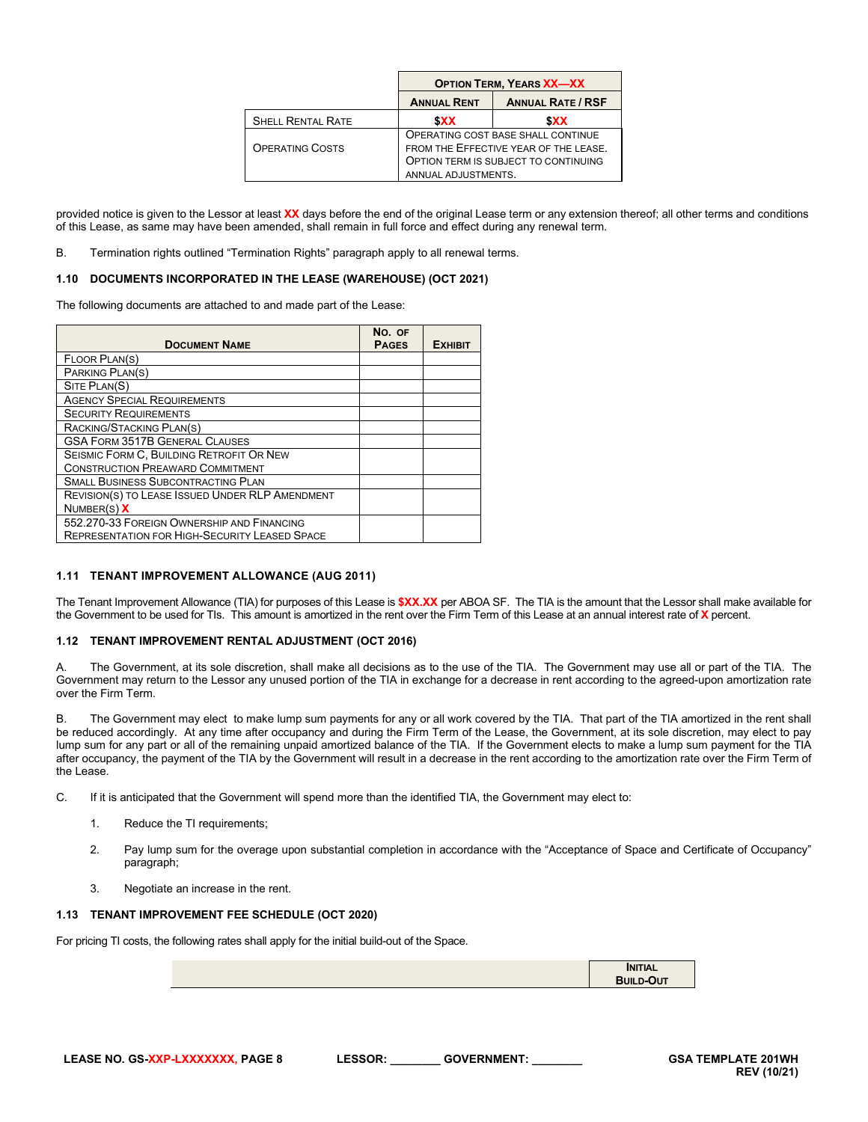|                          | <b>OPTION TERM, YEARS XX-XX</b>                                                                                                            |            |  |
|--------------------------|--------------------------------------------------------------------------------------------------------------------------------------------|------------|--|
|                          | <b>ANNUAL RATE / RSF</b><br><b>ANNUAL RENT</b>                                                                                             |            |  |
| <b>SHELL RENTAL RATE</b> | <b>SXX</b>                                                                                                                                 | <b>SXX</b> |  |
| <b>OPERATING COSTS</b>   | OPERATING COST BASE SHALL CONTINUE<br>FROM THE EFFECTIVE YEAR OF THE LEASE.<br>OPTION TERM IS SUBJECT TO CONTINUING<br>ANNUAL ADJUSTMENTS. |            |  |

provided notice is given to the Lessor at least **XX** days before the end of the original Lease term or any extension thereof; all other terms and conditions of this Lease, as same may have been amended, shall remain in full force and effect during any renewal term.

B. Termination rights outlined "Termination Rights" paragraph apply to all renewal terms.

# <span id="page-7-0"></span>**1.10 DOCUMENTS INCORPORATED IN THE LEASE (WAREHOUSE) (OCT 2021)**

The following documents are attached to and made part of the Lease:

| <b>DOCUMENT NAME</b>                                   | No. OF<br><b>PAGES</b> | <b>EXHIBIT</b> |
|--------------------------------------------------------|------------------------|----------------|
| FLOOR PLAN(S)                                          |                        |                |
| PARKING PLAN(S)                                        |                        |                |
| SITE PLAN(S)                                           |                        |                |
| <b>AGENCY SPECIAL REQUIREMENTS</b>                     |                        |                |
| <b>SECURITY REQUIREMENTS</b>                           |                        |                |
| RACKING/STACKING PLAN(S)                               |                        |                |
| <b>GSA FORM 3517B GENERAL CLAUSES</b>                  |                        |                |
| SEISMIC FORM C. BUILDING RETROFIT OR NEW               |                        |                |
| <b>CONSTRUCTION PREAWARD COMMITMENT</b>                |                        |                |
| <b>SMALL BUSINESS SUBCONTRACTING PLAN</b>              |                        |                |
| <b>REVISION(S) TO LEASE ISSUED UNDER RLP AMENDMENT</b> |                        |                |
| Number(S) X                                            |                        |                |
| 552.270-33 FOREIGN OWNERSHIP AND FINANCING             |                        |                |
| <b>REPRESENTATION FOR HIGH-SECURITY LEASED SPACE</b>   |                        |                |

#### <span id="page-7-1"></span>**1.11 TENANT IMPROVEMENT ALLOWANCE (AUG 2011)**

The Tenant Improvement Allowance (TIA) for purposes of this Lease is **\$XX.XX** per ABOA SF. The TIA is the amount that the Lessor shall make available for the Government to be used for TIs. This amount is amortized in the rent over the Firm Term of this Lease at an annual interest rate of **X** percent.

# <span id="page-7-2"></span>**1.12 TENANT IMPROVEMENT RENTAL ADJUSTMENT (OCT 2016)**

A. The Government, at its sole discretion, shall make all decisions as to the use of the TIA. The Government may use all or part of the TIA. The Government may return to the Lessor any unused portion of the TIA in exchange for a decrease in rent according to the agreed-upon amortization rate over the Firm Term.

B. The Government may elect to make lump sum payments for any or all work covered by the TIA. That part of the TIA amortized in the rent shall be reduced accordingly. At any time after occupancy and during the Firm Term of the Lease, the Government, at its sole discretion, may elect to pay lump sum for any part or all of the remaining unpaid amortized balance of the TIA. If the Government elects to make a lump sum payment for the TIA after occupancy, the payment of the TIA by the Government will result in a decrease in the rent according to the amortization rate over the Firm Term of the Lease.

C. If it is anticipated that the Government will spend more than the identified TIA, the Government may elect to:

- 1. Reduce the TI requirements;
- 2. Pay lump sum for the overage upon substantial completion in accordance with the "Acceptance of Space and Certificate of Occupancy" paragraph;
- <span id="page-7-3"></span>3. Negotiate an increase in the rent.

#### **1.13 TENANT IMPROVEMENT FEE SCHEDULE (OCT 2020)**

For pricing TI costs, the following rates shall apply for the initial build-out of the Space.

| <b>INITIAL</b><br><b>Build-Out</b> |
|------------------------------------|
|                                    |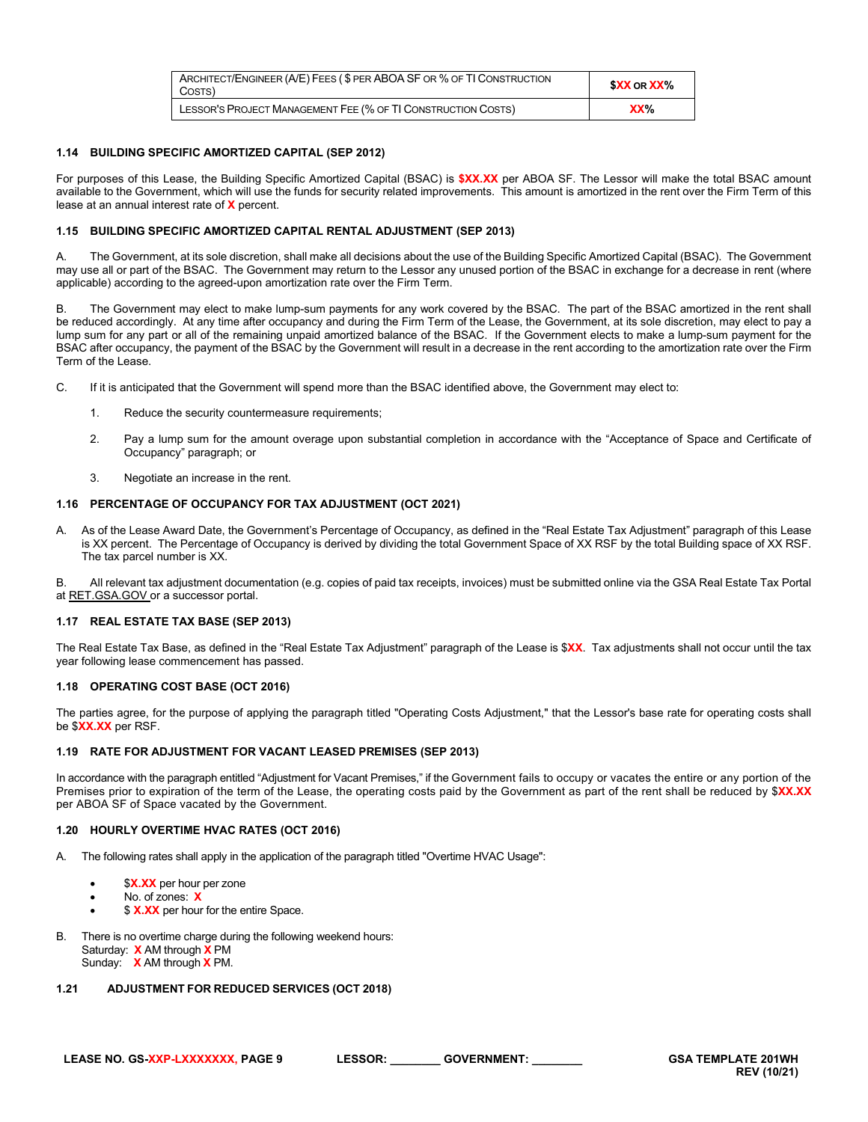| ARCHITECT/ENGINEER (A/E) FEES (\$ PER ABOA SF OR % OF TI CONSTRUCTION<br>COSTS) | <b>\$XX</b> OR <b>XX</b> % |
|---------------------------------------------------------------------------------|----------------------------|
| LESSOR'S PROJECT MANAGEMENT FEE (% OF TI CONSTRUCTION COSTS)                    | XX <sub>0</sub>            |

#### <span id="page-8-0"></span>**1.14 BUILDING SPECIFIC AMORTIZED CAPITAL (SEP 2012)**

For purposes of this Lease, the Building Specific Amortized Capital (BSAC) is **\$XX.XX** per ABOA SF. The Lessor will make the total BSAC amount available to the Government, which will use the funds for security related improvements. This amount is amortized in the rent over the Firm Term of this lease at an annual interest rate of **X** percent.

# <span id="page-8-1"></span>**1.15 BUILDING SPECIFIC AMORTIZED CAPITAL RENTAL ADJUSTMENT (SEP 2013)**

A. The Government, at its sole discretion, shall make all decisions about the use of the Building Specific Amortized Capital (BSAC). The Government may use all or part of the BSAC. The Government may return to the Lessor any unused portion of the BSAC in exchange for a decrease in rent (where applicable) according to the agreed-upon amortization rate over the Firm Term.

B. The Government may elect to make lump-sum payments for any work covered by the BSAC. The part of the BSAC amortized in the rent shall be reduced accordingly. At any time after occupancy and during the Firm Term of the Lease, the Government, at its sole discretion, may elect to pay a lump sum for any part or all of the remaining unpaid amortized balance of the BSAC. If the Government elects to make a lump-sum payment for the BSAC after occupancy, the payment of the BSAC by the Government will result in a decrease in the rent according to the amortization rate over the Firm Term of the Lease.

- C. If it is anticipated that the Government will spend more than the BSAC identified above, the Government may elect to:
	- 1. Reduce the security countermeasure requirements;
	- 2. Pay a lump sum for the amount overage upon substantial completion in accordance with the "Acceptance of Space and Certificate of Occupancy" paragraph; or
	- 3. Negotiate an increase in the rent.

## <span id="page-8-2"></span>**1.16 PERCENTAGE OF OCCUPANCY FOR TAX ADJUSTMENT (OCT 2021)**

A. As of the Lease Award Date, the Government's Percentage of Occupancy, as defined in the "Real Estate Tax Adjustment" paragraph of this Lease is XX percent. The Percentage of Occupancy is derived by dividing the total Government Space of XX RSF by the total Building space of XX RSF. The tax parcel number is XX.

B. All relevant tax adjustment documentation (e.g. copies of paid tax receipts, invoices) must be submitted online via the GSA Real Estate Tax Portal a[t RET.GSA.GOV](file://E04tcv-cifs02.ent.ds.gsa.gov/R3_PBS_Users$/JulieKHepp/Data/Central%20Office%20detail/October%202018%20revisions%20to%20Model%20RLP%20-%20Lease%20Templates/Updated%20Templates/Final%20Templates/Track%20Changes%20-%20use%20this-without%20move-in%20allowance%20edits/ret.gsa.gov) or a successor portal.

#### <span id="page-8-3"></span>**1.17 REAL ESTATE TAX BASE (SEP 2013)**

The Real Estate Tax Base, as defined in the "Real Estate Tax Adjustment" paragraph of the Lease is \$**XX**. Tax adjustments shall not occur until the tax year following lease commencement has passed.

#### <span id="page-8-4"></span>**1.18 OPERATING COST BASE (OCT 2016)**

The parties agree, for the purpose of applying the paragraph titled "Operating Costs Adjustment," that the Lessor's base rate for operating costs shall be \$**XX.XX** per RSF.

#### <span id="page-8-5"></span>**1.19 RATE FOR ADJUSTMENT FOR VACANT LEASED PREMISES (SEP 2013)**

In accordance with the paragraph entitled "Adjustment for Vacant Premises," if the Government fails to occupy or vacates the entire or any portion of the Premises prior to expiration of the term of the Lease, the operating costs paid by the Government as part of the rent shall be reduced by \$**XX.XX** per ABOA SF of Space vacated by the Government.

#### <span id="page-8-6"></span>**1.20 HOURLY OVERTIME HVAC RATES (OCT 2016)**

A. The following rates shall apply in the application of the paragraph titled "Overtime HVAC Usage":

- \$X.XX per hour per zone
- No. of zones: **X**
- \$ **X.XX** per hour for the entire Space.
- B. There is no overtime charge during the following weekend hours: Saturday: **X** AM through **X** PM Sunday: **X** AM through **X** PM.

# <span id="page-8-7"></span>**1.21 ADJUSTMENT FOR REDUCED SERVICES (OCT 2018)**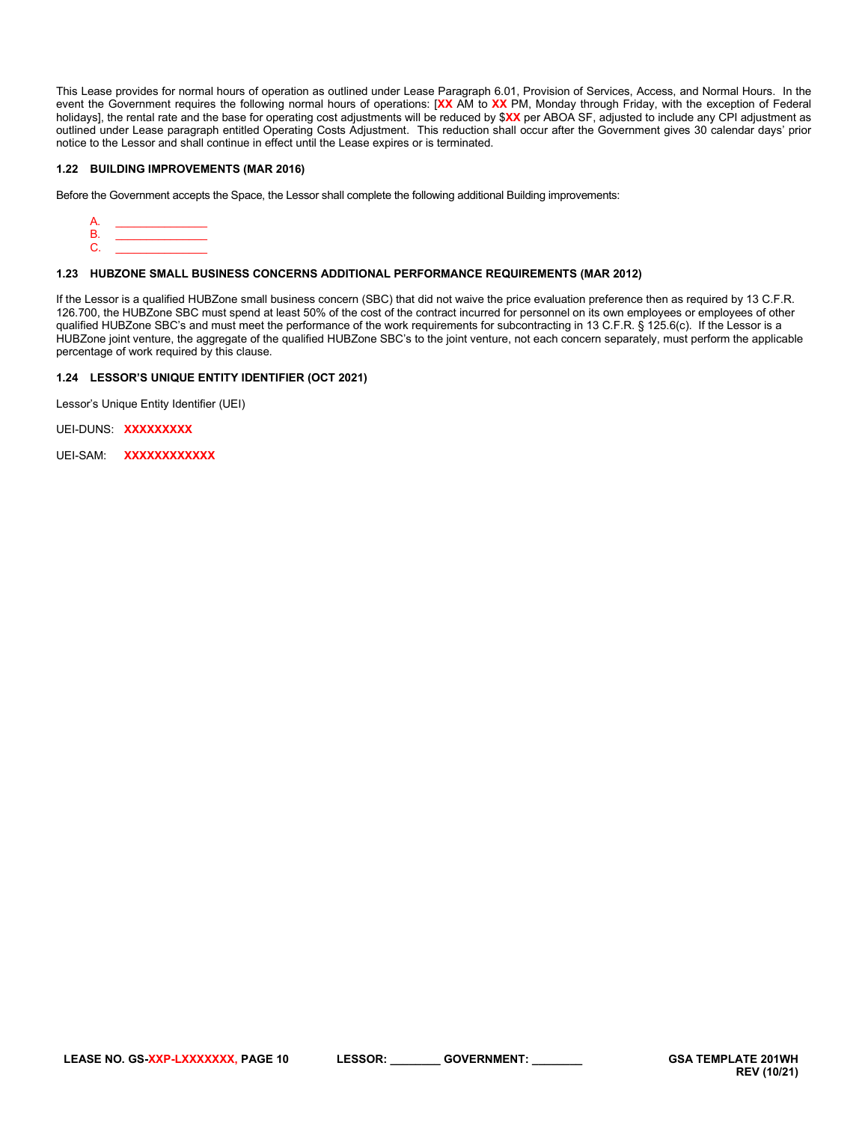This Lease provides for normal hours of operation as outlined under Lease Paragraph 6.01, Provision of Services, Access, and Normal Hours. In the event the Government requires the following normal hours of operations: [**XX** AM to **XX** PM, Monday through Friday, with the exception of Federal holidays], the rental rate and the base for operating cost adjustments will be reduced by \$**XX** per ABOA SF, adjusted to include any CPI adjustment as outlined under Lease paragraph entitled Operating Costs Adjustment. This reduction shall occur after the Government gives 30 calendar days' prior notice to the Lessor and shall continue in effect until the Lease expires or is terminated.

# <span id="page-9-0"></span>**1.22 BUILDING IMPROVEMENTS (MAR 2016)**

Before the Government accepts the Space, the Lessor shall complete the following additional Building improvements:



#### <span id="page-9-1"></span>**1.23 HUBZONE SMALL BUSINESS CONCERNS ADDITIONAL PERFORMANCE REQUIREMENTS (MAR 2012)**

If the Lessor is a qualified HUBZone small business concern (SBC) that did not waive the price evaluation preference then as required by 13 C.F.R. 126.700, the HUBZone SBC must spend at least 50% of the cost of the contract incurred for personnel on its own employees or employees of other qualified HUBZone SBC's and must meet the performance of the work requirements for subcontracting in 13 C.F.R. § 125.6(c). If the Lessor is a HUBZone joint venture, the aggregate of the qualified HUBZone SBC's to the joint venture, not each concern separately, must perform the applicable percentage of work required by this clause.

# <span id="page-9-2"></span>**1.24 LESSOR'S UNIQUE ENTITY IDENTIFIER (OCT 2021)**

Lessor's Unique Entity Identifier (UEI)

UEI-DUNS: **XXXXXXXXX**

UEI-SAM: **XXXXXXXXXXXX**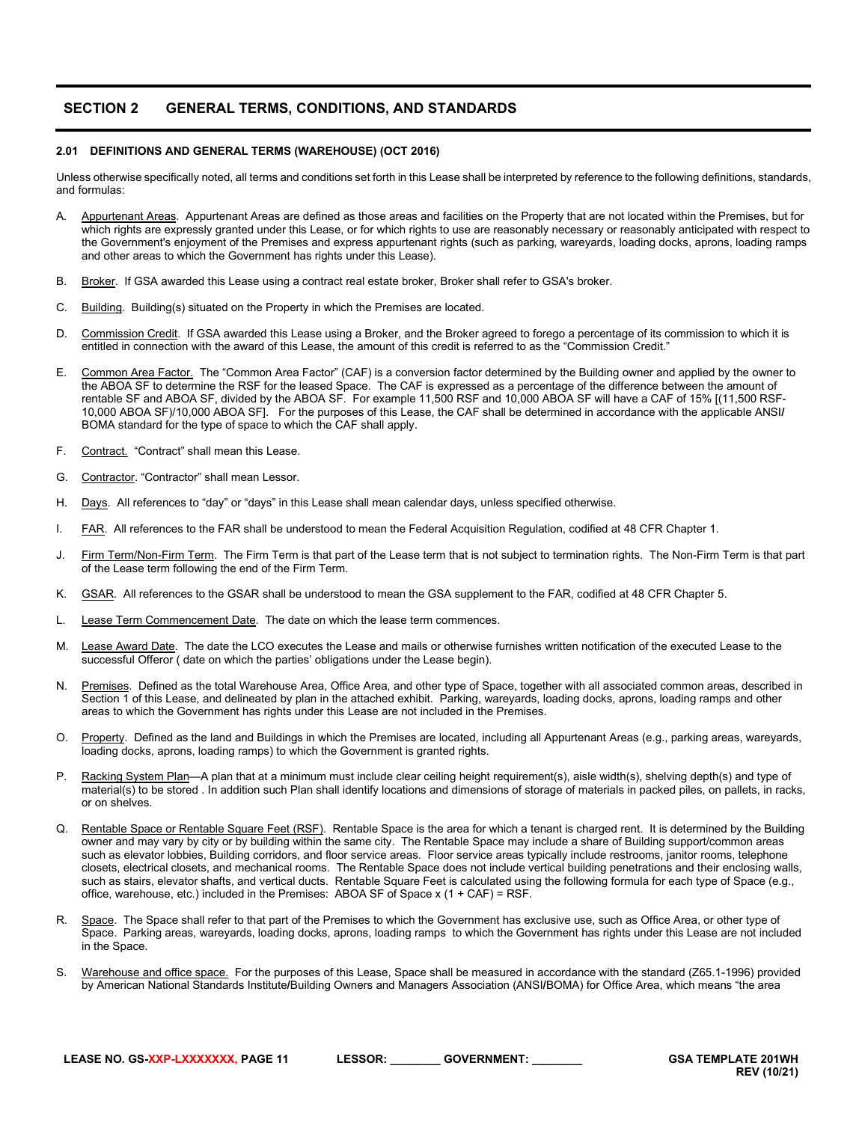# <span id="page-10-0"></span>**SECTION 2 GENERAL TERMS, CONDITIONS, AND STANDARDS**

#### <span id="page-10-1"></span>**2.01 DEFINITIONS AND GENERAL TERMS (WAREHOUSE) (OCT 2016)**

Unless otherwise specifically noted, all terms and conditions set forth in this Lease shall be interpreted by reference to the following definitions, standards, and formulas:

- A. Appurtenant Areas. Appurtenant Areas are defined as those areas and facilities on the Property that are not located within the Premises, but for which rights are expressly granted under this Lease, or for which rights to use are reasonably necessary or reasonably anticipated with respect to the Government's enjoyment of the Premises and express appurtenant rights (such as parking, wareyards, loading docks, aprons, loading ramps and other areas to which the Government has rights under this Lease).
- B. Broker. If GSA awarded this Lease using a contract real estate broker, Broker shall refer to GSA's broker.
- C. Building. Building(s) situated on the Property in which the Premises are located.
- D. Commission Credit. If GSA awarded this Lease using a Broker, and the Broker agreed to forego a percentage of its commission to which it is entitled in connection with the award of this Lease, the amount of this credit is referred to as the "Commission Credit."
- E. Common Area Factor. The "Common Area Factor" (CAF) is a conversion factor determined by the Building owner and applied by the owner to the ABOA SF to determine the RSF for the leased Space. The CAF is expressed as a percentage of the difference between the amount of rentable SF and ABOA SF, divided by the ABOA SF. For example 11,500 RSF and 10,000 ABOA SF will have a CAF of 15% [(11,500 RSF-10,000 ABOA SF)/10,000 ABOA SF]. For the purposes of this Lease, the CAF shall be determined in accordance with the applicable ANSI**/** BOMA standard for the type of space to which the CAF shall apply.
- F. Contract. "Contract" shall mean this Lease.
- G. Contractor. "Contractor" shall mean Lessor.
- H. Days. All references to "day" or "days" in this Lease shall mean calendar days, unless specified otherwise.
- I. FAR. All references to the FAR shall be understood to mean the Federal Acquisition Regulation, codified at 48 CFR Chapter 1.
- J. Firm Term/Non-Firm Term. The Firm Term is that part of the Lease term that is not subject to termination rights. The Non-Firm Term is that part of the Lease term following the end of the Firm Term.
- K. GSAR. All references to the GSAR shall be understood to mean the GSA supplement to the FAR, codified at 48 CFR Chapter 5.
- L. Lease Term Commencement Date. The date on which the lease term commences.
- M. Lease Award Date. The date the LCO executes the Lease and mails or otherwise furnishes written notification of the executed Lease to the successful Offeror ( date on which the parties' obligations under the Lease begin).
- N. Premises. Defined as the total Warehouse Area, Office Area, and other type of Space, together with all associated common areas, described in Section 1 of this Lease, and delineated by plan in the attached exhibit. Parking, wareyards, loading docks, aprons, loading ramps and other areas to which the Government has rights under this Lease are not included in the Premises.
- O. Property. Defined as the land and Buildings in which the Premises are located, including all Appurtenant Areas (e.g., parking areas, wareyards, loading docks, aprons, loading ramps) to which the Government is granted rights.
- P. Racking System Plan—A plan that at a minimum must include clear ceiling height requirement(s), aisle width(s), shelving depth(s) and type of material(s) to be stored . In addition such Plan shall identify locations and dimensions of storage of materials in packed piles, on pallets, in racks, or on shelves.
- Q. Rentable Space or Rentable Square Feet (RSF). Rentable Space is the area for which a tenant is charged rent. It is determined by the Building owner and may vary by city or by building within the same city. The Rentable Space may include a share of Building support/common areas such as elevator lobbies, Building corridors, and floor service areas. Floor service areas typically include restrooms, janitor rooms, telephone closets, electrical closets, and mechanical rooms. The Rentable Space does not include vertical building penetrations and their enclosing walls, such as stairs, elevator shafts, and vertical ducts. Rentable Square Feet is calculated using the following formula for each type of Space (e.g., office, warehouse, etc.) included in the Premises: ABOA SF of Space  $x$  (1 + CAF) = RSF.
- R. Space. The Space shall refer to that part of the Premises to which the Government has exclusive use, such as Office Area, or other type of Space. Parking areas, wareyards, loading docks, aprons, loading ramps to which the Government has rights under this Lease are not included in the Space.
- S. Warehouse and office space. For the purposes of this Lease, Space shall be measured in accordance with the standard (Z65.1-1996) provided by American National Standards Institute**/**Building Owners and Managers Association (ANSI**/**BOMA) for Office Area, which means "the area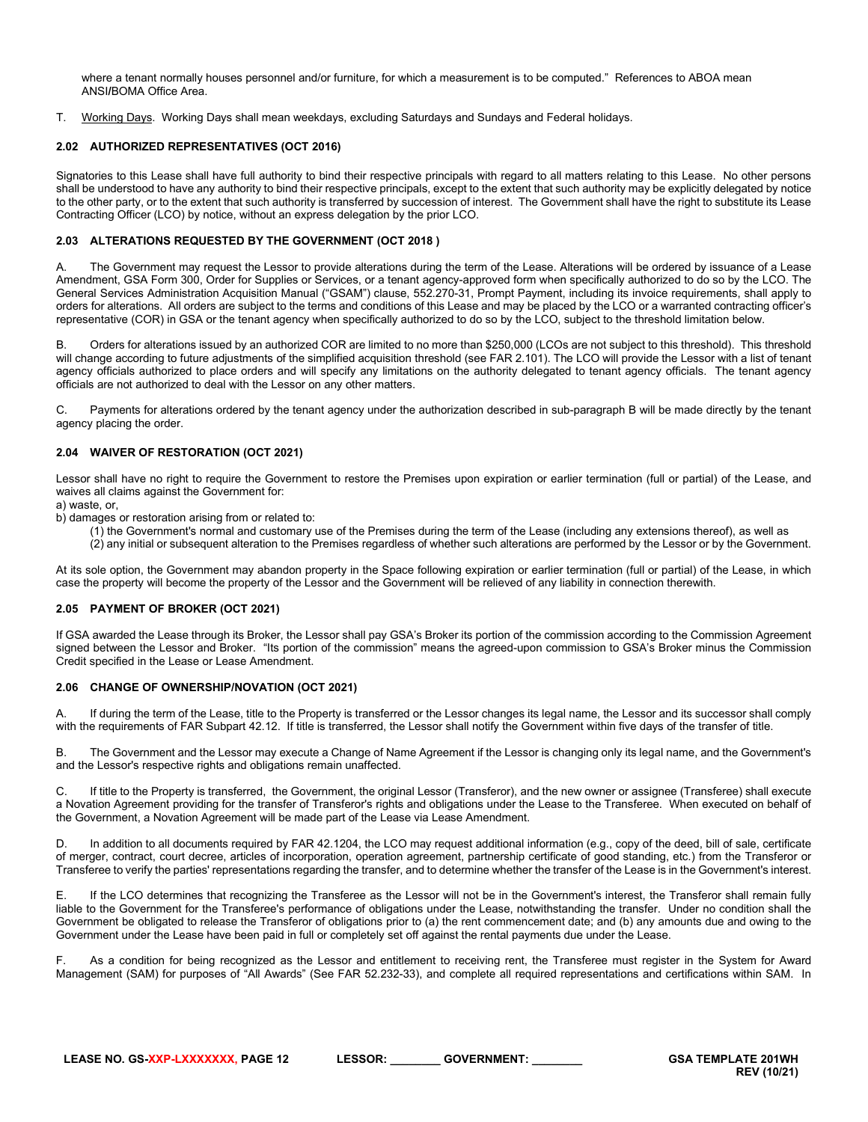where a tenant normally houses personnel and/or furniture, for which a measurement is to be computed." References to ABOA mean ANSI**/**BOMA Office Area.

T. Working Days. Working Days shall mean weekdays, excluding Saturdays and Sundays and Federal holidays.

## <span id="page-11-0"></span>**2.02 AUTHORIZED REPRESENTATIVES (OCT 2016)**

Signatories to this Lease shall have full authority to bind their respective principals with regard to all matters relating to this Lease. No other persons shall be understood to have any authority to bind their respective principals, except to the extent that such authority may be explicitly delegated by notice to the other party, or to the extent that such authority is transferred by succession of interest. The Government shall have the right to substitute its Lease Contracting Officer (LCO) by notice, without an express delegation by the prior LCO.

# <span id="page-11-1"></span>**2.03 ALTERATIONS REQUESTED BY THE GOVERNMENT (OCT 2018 )**

A. The Government may request the Lessor to provide alterations during the term of the Lease. Alterations will be ordered by issuance of a Lease Amendment, GSA Form 300, Order for Supplies or Services, or a tenant agency-approved form when specifically authorized to do so by the LCO. The General Services Administration Acquisition Manual ("GSAM") clause, 552.270-31, Prompt Payment, including its invoice requirements, shall apply to orders for alterations. All orders are subject to the terms and conditions of this Lease and may be placed by the LCO or a warranted contracting officer's representative (COR) in GSA or the tenant agency when specifically authorized to do so by the LCO, subject to the threshold limitation below.

B. Orders for alterations issued by an authorized COR are limited to no more than \$250,000 (LCOs are not subject to this threshold). This threshold will change according to future adjustments of the simplified acquisition threshold (see FAR 2.101). The LCO will provide the Lessor with a list of tenant agency officials authorized to place orders and will specify any limitations on the authority delegated to tenant agency officials. The tenant agency officials are not authorized to deal with the Lessor on any other matters.

C. Payments for alterations ordered by the tenant agency under the authorization described in sub-paragraph B will be made directly by the tenant agency placing the order.

# <span id="page-11-2"></span>**2.04 WAIVER OF RESTORATION (OCT 2021)**

Lessor shall have no right to require the Government to restore the Premises upon expiration or earlier termination (full or partial) of the Lease, and waives all claims against the Government for:

a) waste, or,

b) damages or restoration arising from or related to:

- (1) the Government's normal and customary use of the Premises during the term of the Lease (including any extensions thereof), as well as
- (2) any initial or subsequent alteration to the Premises regardless of whether such alterations are performed by the Lessor or by the Government.

At its sole option, the Government may abandon property in the Space following expiration or earlier termination (full or partial) of the Lease, in which case the property will become the property of the Lessor and the Government will be relieved of any liability in connection therewith.

#### <span id="page-11-3"></span>**2.05 PAYMENT OF BROKER (OCT 2021)**

If GSA awarded the Lease through its Broker, the Lessor shall pay GSA's Broker its portion of the commission according to the Commission Agreement signed between the Lessor and Broker. "Its portion of the commission" means the agreed-upon commission to GSA's Broker minus the Commission Credit specified in the Lease or Lease Amendment.

#### <span id="page-11-4"></span>**2.06 CHANGE OF OWNERSHIP/NOVATION (OCT 2021)**

A. If during the term of the Lease, title to the Property is transferred or the Lessor changes its legal name, the Lessor and its successor shall comply with the requirements of FAR Subpart 42.12. If title is transferred, the Lessor shall notify the Government within five days of the transfer of title.

B. The Government and the Lessor may execute a Change of Name Agreement if the Lessor is changing only its legal name, and the Government's and the Lessor's respective rights and obligations remain unaffected.

C. If title to the Property is transferred, the Government, the original Lessor (Transferor), and the new owner or assignee (Transferee) shall execute a Novation Agreement providing for the transfer of Transferor's rights and obligations under the Lease to the Transferee. When executed on behalf of the Government, a Novation Agreement will be made part of the Lease via Lease Amendment.

D. In addition to all documents required by FAR 42.1204, the LCO may request additional information (e.g., copy of the deed, bill of sale, certificate of merger, contract, court decree, articles of incorporation, operation agreement, partnership certificate of good standing, etc.) from the Transferor or Transferee to verify the parties' representations regarding the transfer, and to determine whether the transfer of the Lease is in the Government's interest.

E. If the LCO determines that recognizing the Transferee as the Lessor will not be in the Government's interest, the Transferor shall remain fully liable to the Government for the Transferee's performance of obligations under the Lease, notwithstanding the transfer. Under no condition shall the Government be obligated to release the Transferor of obligations prior to (a) the rent commencement date; and (b) any amounts due and owing to the Government under the Lease have been paid in full or completely set off against the rental payments due under the Lease.

As a condition for being recognized as the Lessor and entitlement to receiving rent, the Transferee must register in the System for Award Management (SAM) for purposes of "All Awards" (See FAR 52.232-33), and complete all required representations and certifications within SAM. In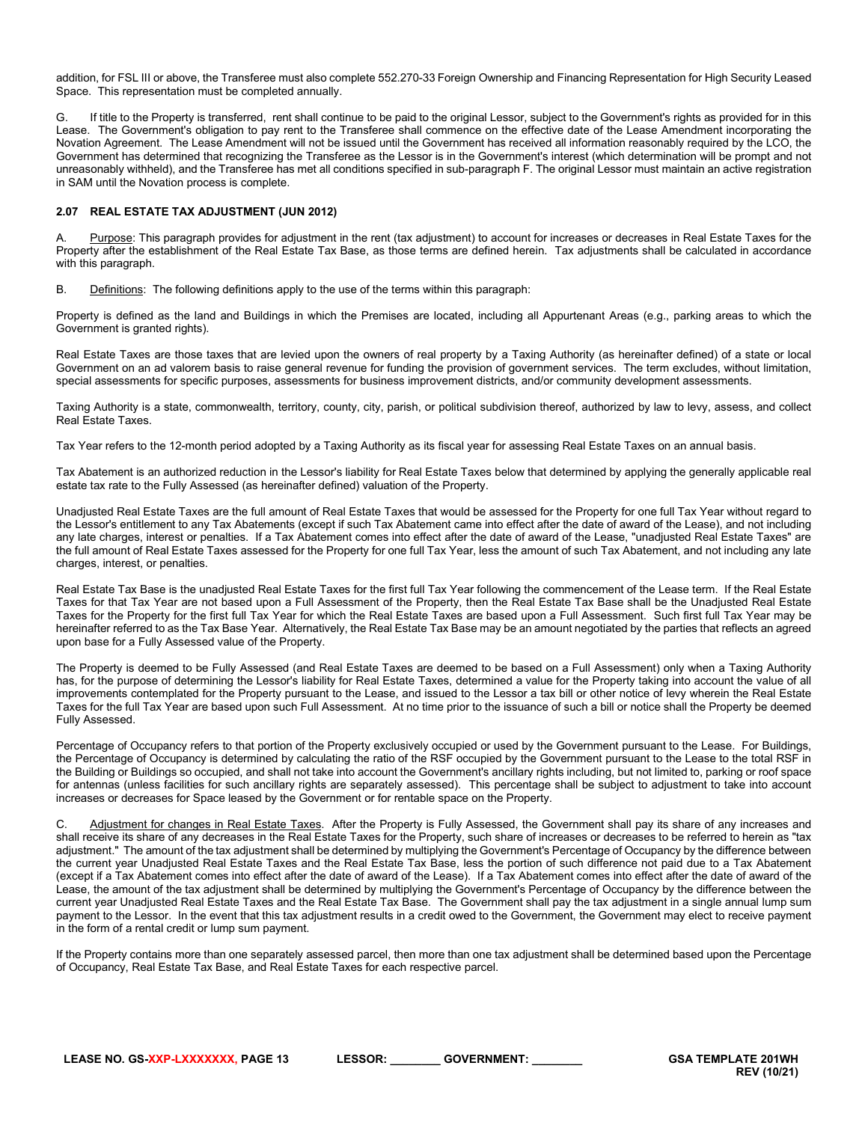addition, for FSL III or above, the Transferee must also complete 552.270-33 Foreign Ownership and Financing Representation for High Security Leased Space. This representation must be completed annually.

G. If title to the Property is transferred, rent shall continue to be paid to the original Lessor, subject to the Government's rights as provided for in this Lease. The Government's obligation to pay rent to the Transferee shall commence on the effective date of the Lease Amendment incorporating the Novation Agreement. The Lease Amendment will not be issued until the Government has received all information reasonably required by the LCO, the Government has determined that recognizing the Transferee as the Lessor is in the Government's interest (which determination will be prompt and not unreasonably withheld), and the Transferee has met all conditions specified in sub-paragraph F. The original Lessor must maintain an active registration in SAM until the Novation process is complete.

# <span id="page-12-0"></span>**2.07 REAL ESTATE TAX ADJUSTMENT (JUN 2012)**

Purpose: This paragraph provides for adjustment in the rent (tax adjustment) to account for increases or decreases in Real Estate Taxes for the Property after the establishment of the Real Estate Tax Base, as those terms are defined herein. Tax adjustments shall be calculated in accordance with this paragraph.

B. Definitions: The following definitions apply to the use of the terms within this paragraph:

Property is defined as the land and Buildings in which the Premises are located, including all Appurtenant Areas (e.g., parking areas to which the Government is granted rights).

Real Estate Taxes are those taxes that are levied upon the owners of real property by a Taxing Authority (as hereinafter defined) of a state or local Government on an ad valorem basis to raise general revenue for funding the provision of government services. The term excludes, without limitation, special assessments for specific purposes, assessments for business improvement districts, and/or community development assessments.

Taxing Authority is a state, commonwealth, territory, county, city, parish, or political subdivision thereof, authorized by law to levy, assess, and collect Real Estate Taxes.

Tax Year refers to the 12-month period adopted by a Taxing Authority as its fiscal year for assessing Real Estate Taxes on an annual basis.

Tax Abatement is an authorized reduction in the Lessor's liability for Real Estate Taxes below that determined by applying the generally applicable real estate tax rate to the Fully Assessed (as hereinafter defined) valuation of the Property.

Unadjusted Real Estate Taxes are the full amount of Real Estate Taxes that would be assessed for the Property for one full Tax Year without regard to the Lessor's entitlement to any Tax Abatements (except if such Tax Abatement came into effect after the date of award of the Lease), and not including any late charges, interest or penalties. If a Tax Abatement comes into effect after the date of award of the Lease, "unadjusted Real Estate Taxes" are the full amount of Real Estate Taxes assessed for the Property for one full Tax Year, less the amount of such Tax Abatement, and not including any late charges, interest, or penalties.

Real Estate Tax Base is the unadjusted Real Estate Taxes for the first full Tax Year following the commencement of the Lease term. If the Real Estate Taxes for that Tax Year are not based upon a Full Assessment of the Property, then the Real Estate Tax Base shall be the Unadjusted Real Estate Taxes for the Property for the first full Tax Year for which the Real Estate Taxes are based upon a Full Assessment. Such first full Tax Year may be hereinafter referred to as the Tax Base Year. Alternatively, the Real Estate Tax Base may be an amount negotiated by the parties that reflects an agreed upon base for a Fully Assessed value of the Property.

The Property is deemed to be Fully Assessed (and Real Estate Taxes are deemed to be based on a Full Assessment) only when a Taxing Authority has, for the purpose of determining the Lessor's liability for Real Estate Taxes, determined a value for the Property taking into account the value of all improvements contemplated for the Property pursuant to the Lease, and issued to the Lessor a tax bill or other notice of levy wherein the Real Estate Taxes for the full Tax Year are based upon such Full Assessment. At no time prior to the issuance of such a bill or notice shall the Property be deemed Fully Assessed.

Percentage of Occupancy refers to that portion of the Property exclusively occupied or used by the Government pursuant to the Lease. For Buildings, the Percentage of Occupancy is determined by calculating the ratio of the RSF occupied by the Government pursuant to the Lease to the total RSF in the Building or Buildings so occupied, and shall not take into account the Government's ancillary rights including, but not limited to, parking or roof space for antennas (unless facilities for such ancillary rights are separately assessed). This percentage shall be subject to adjustment to take into account increases or decreases for Space leased by the Government or for rentable space on the Property.

C. Adjustment for changes in Real Estate Taxes. After the Property is Fully Assessed, the Government shall pay its share of any increases and shall receive its share of any decreases in the Real Estate Taxes for the Property, such share of increases or decreases to be referred to herein as "tax adjustment." The amount of the tax adjustment shall be determined by multiplying the Government's Percentage of Occupancy by the difference between the current year Unadjusted Real Estate Taxes and the Real Estate Tax Base, less the portion of such difference not paid due to a Tax Abatement (except if a Tax Abatement comes into effect after the date of award of the Lease). If a Tax Abatement comes into effect after the date of award of the Lease, the amount of the tax adjustment shall be determined by multiplying the Government's Percentage of Occupancy by the difference between the current year Unadjusted Real Estate Taxes and the Real Estate Tax Base. The Government shall pay the tax adjustment in a single annual lump sum payment to the Lessor. In the event that this tax adjustment results in a credit owed to the Government, the Government may elect to receive payment in the form of a rental credit or lump sum payment.

If the Property contains more than one separately assessed parcel, then more than one tax adjustment shall be determined based upon the Percentage of Occupancy, Real Estate Tax Base, and Real Estate Taxes for each respective parcel.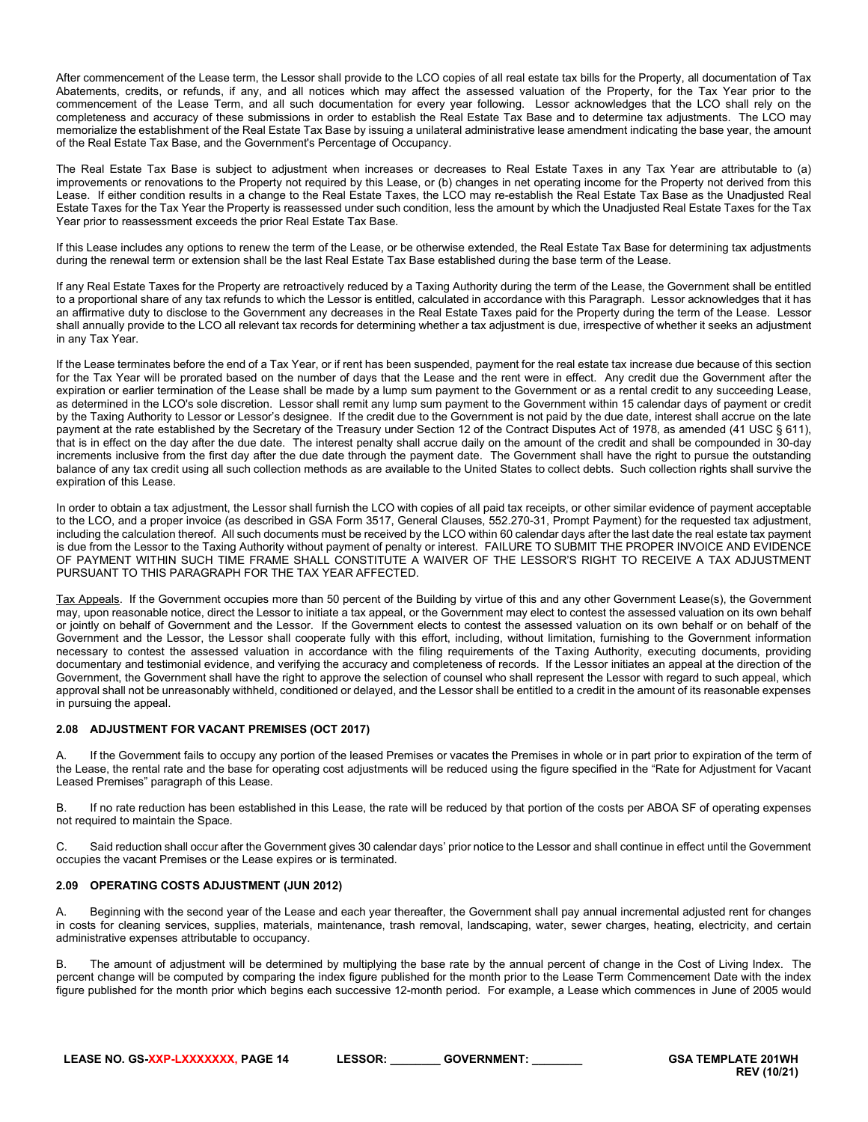After commencement of the Lease term, the Lessor shall provide to the LCO copies of all real estate tax bills for the Property, all documentation of Tax Abatements, credits, or refunds, if any, and all notices which may affect the assessed valuation of the Property, for the Tax Year prior to the commencement of the Lease Term, and all such documentation for every year following. Lessor acknowledges that the LCO shall rely on the completeness and accuracy of these submissions in order to establish the Real Estate Tax Base and to determine tax adjustments. The LCO may memorialize the establishment of the Real Estate Tax Base by issuing a unilateral administrative lease amendment indicating the base year, the amount of the Real Estate Tax Base, and the Government's Percentage of Occupancy.

The Real Estate Tax Base is subject to adjustment when increases or decreases to Real Estate Taxes in any Tax Year are attributable to (a) improvements or renovations to the Property not required by this Lease, or (b) changes in net operating income for the Property not derived from this Lease. If either condition results in a change to the Real Estate Taxes, the LCO may re-establish the Real Estate Tax Base as the Unadjusted Real Estate Taxes for the Tax Year the Property is reassessed under such condition, less the amount by which the Unadjusted Real Estate Taxes for the Tax Year prior to reassessment exceeds the prior Real Estate Tax Base.

If this Lease includes any options to renew the term of the Lease, or be otherwise extended, the Real Estate Tax Base for determining tax adjustments during the renewal term or extension shall be the last Real Estate Tax Base established during the base term of the Lease.

If any Real Estate Taxes for the Property are retroactively reduced by a Taxing Authority during the term of the Lease, the Government shall be entitled to a proportional share of any tax refunds to which the Lessor is entitled, calculated in accordance with this Paragraph. Lessor acknowledges that it has an affirmative duty to disclose to the Government any decreases in the Real Estate Taxes paid for the Property during the term of the Lease. Lessor shall annually provide to the LCO all relevant tax records for determining whether a tax adjustment is due, irrespective of whether it seeks an adjustment in any Tax Year.

If the Lease terminates before the end of a Tax Year, or if rent has been suspended, payment for the real estate tax increase due because of this section for the Tax Year will be prorated based on the number of days that the Lease and the rent were in effect. Any credit due the Government after the expiration or earlier termination of the Lease shall be made by a lump sum payment to the Government or as a rental credit to any succeeding Lease, as determined in the LCO's sole discretion. Lessor shall remit any lump sum payment to the Government within 15 calendar days of payment or credit by the Taxing Authority to Lessor or Lessor's designee. If the credit due to the Government is not paid by the due date, interest shall accrue on the late payment at the rate established by the Secretary of the Treasury under Section 12 of the Contract Disputes Act of 1978, as amended (41 USC § 611), that is in effect on the day after the due date. The interest penalty shall accrue daily on the amount of the credit and shall be compounded in 30-day increments inclusive from the first day after the due date through the payment date. The Government shall have the right to pursue the outstanding balance of any tax credit using all such collection methods as are available to the United States to collect debts. Such collection rights shall survive the expiration of this Lease.

In order to obtain a tax adjustment, the Lessor shall furnish the LCO with copies of all paid tax receipts, or other similar evidence of payment acceptable to the LCO, and a proper invoice (as described in GSA Form 3517, General Clauses, 552.270-31, Prompt Payment) for the requested tax adjustment, including the calculation thereof. All such documents must be received by the LCO within 60 calendar days after the last date the real estate tax payment is due from the Lessor to the Taxing Authority without payment of penalty or interest. FAILURE TO SUBMIT THE PROPER INVOICE AND EVIDENCE OF PAYMENT WITHIN SUCH TIME FRAME SHALL CONSTITUTE A WAIVER OF THE LESSOR'S RIGHT TO RECEIVE A TAX ADJUSTMENT PURSUANT TO THIS PARAGRAPH FOR THE TAX YEAR AFFECTED.

Tax Appeals. If the Government occupies more than 50 percent of the Building by virtue of this and any other Government Lease(s), the Government may, upon reasonable notice, direct the Lessor to initiate a tax appeal, or the Government may elect to contest the assessed valuation on its own behalf or jointly on behalf of Government and the Lessor. If the Government elects to contest the assessed valuation on its own behalf or on behalf of the Government and the Lessor, the Lessor shall cooperate fully with this effort, including, without limitation, furnishing to the Government information necessary to contest the assessed valuation in accordance with the filing requirements of the Taxing Authority, executing documents, providing documentary and testimonial evidence, and verifying the accuracy and completeness of records. If the Lessor initiates an appeal at the direction of the Government, the Government shall have the right to approve the selection of counsel who shall represent the Lessor with regard to such appeal, which approval shall not be unreasonably withheld, conditioned or delayed, and the Lessor shall be entitled to a credit in the amount of its reasonable expenses in pursuing the appeal.

#### <span id="page-13-0"></span>**2.08 ADJUSTMENT FOR VACANT PREMISES (OCT 2017)**

A. If the Government fails to occupy any portion of the leased Premises or vacates the Premises in whole or in part prior to expiration of the term of the Lease, the rental rate and the base for operating cost adjustments will be reduced using the figure specified in the "Rate for Adjustment for Vacant Leased Premises" paragraph of this Lease.

B. If no rate reduction has been established in this Lease, the rate will be reduced by that portion of the costs per ABOA SF of operating expenses not required to maintain the Space.

C. Said reduction shall occur after the Government gives 30 calendar days' prior notice to the Lessor and shall continue in effect until the Government occupies the vacant Premises or the Lease expires or is terminated.

# <span id="page-13-1"></span>**2.09 OPERATING COSTS ADJUSTMENT (JUN 2012)**

A. Beginning with the second year of the Lease and each year thereafter, the Government shall pay annual incremental adjusted rent for changes in costs for cleaning services, supplies, materials, maintenance, trash removal, landscaping, water, sewer charges, heating, electricity, and certain administrative expenses attributable to occupancy.

B. The amount of adjustment will be determined by multiplying the base rate by the annual percent of change in the Cost of Living Index. The percent change will be computed by comparing the index figure published for the month prior to the Lease Term Commencement Date with the index figure published for the month prior which begins each successive 12-month period. For example, a Lease which commences in June of 2005 would

**LEASE NO. GS-XXP-LXXXXXXX, PAGE 14 LESSOR: \_\_\_\_\_\_\_\_ GOVERNMENT: \_\_\_\_\_\_\_\_ GSA TEMPLATE 201WH**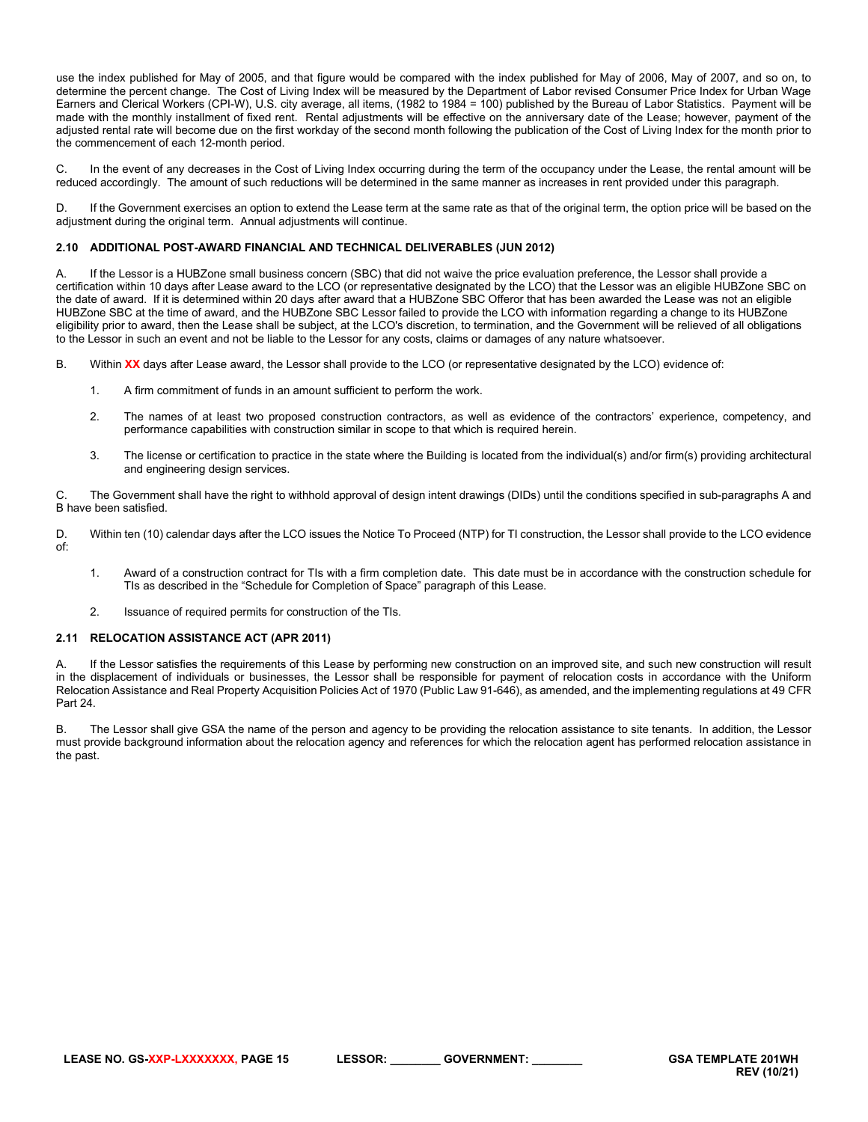use the index published for May of 2005, and that figure would be compared with the index published for May of 2006, May of 2007, and so on, to determine the percent change. The Cost of Living Index will be measured by the Department of Labor revised Consumer Price Index for Urban Wage Earners and Clerical Workers (CPI-W), U.S. city average, all items, (1982 to 1984 = 100) published by the Bureau of Labor Statistics. Payment will be made with the monthly installment of fixed rent. Rental adjustments will be effective on the anniversary date of the Lease; however, payment of the adjusted rental rate will become due on the first workday of the second month following the publication of the Cost of Living Index for the month prior to the commencement of each 12-month period.

C. In the event of any decreases in the Cost of Living Index occurring during the term of the occupancy under the Lease, the rental amount will be reduced accordingly. The amount of such reductions will be determined in the same manner as increases in rent provided under this paragraph.

D. If the Government exercises an option to extend the Lease term at the same rate as that of the original term, the option price will be based on the adjustment during the original term. Annual adjustments will continue.

#### <span id="page-14-0"></span>**2.10 ADDITIONAL POST-AWARD FINANCIAL AND TECHNICAL DELIVERABLES (JUN 2012)**

A. If the Lessor is a HUBZone small business concern (SBC) that did not waive the price evaluation preference, the Lessor shall provide a certification within 10 days after Lease award to the LCO (or representative designated by the LCO) that the Lessor was an eligible HUBZone SBC on the date of award. If it is determined within 20 days after award that a HUBZone SBC Offeror that has been awarded the Lease was not an eligible HUBZone SBC at the time of award, and the HUBZone SBC Lessor failed to provide the LCO with information regarding a change to its HUBZone eligibility prior to award, then the Lease shall be subject, at the LCO's discretion, to termination, and the Government will be relieved of all obligations to the Lessor in such an event and not be liable to the Lessor for any costs, claims or damages of any nature whatsoever.

B. Within **XX** days after Lease award, the Lessor shall provide to the LCO (or representative designated by the LCO) evidence of:

- 1. A firm commitment of funds in an amount sufficient to perform the work.
- 2. The names of at least two proposed construction contractors, as well as evidence of the contractors' experience, competency, and performance capabilities with construction similar in scope to that which is required herein.
- 3. The license or certification to practice in the state where the Building is located from the individual(s) and/or firm(s) providing architectural and engineering design services.

C. The Government shall have the right to withhold approval of design intent drawings (DIDs) until the conditions specified in sub-paragraphs A and B have been satisfied.

D. Within ten (10) calendar days after the LCO issues the Notice To Proceed (NTP) for TI construction, the Lessor shall provide to the LCO evidence of:

- 1. Award of a construction contract for TIs with a firm completion date. This date must be in accordance with the construction schedule for TIs as described in the "Schedule for Completion of Space" paragraph of this Lease.
- <span id="page-14-1"></span>2. Issuance of required permits for construction of the TIs.

#### **2.11 RELOCATION ASSISTANCE ACT (APR 2011)**

If the Lessor satisfies the requirements of this Lease by performing new construction on an improved site, and such new construction will result in the displacement of individuals or businesses, the Lessor shall be responsible for payment of relocation costs in accordance with the Uniform Relocation Assistance and Real Property Acquisition Policies Act of 1970 (Public Law 91-646), as amended, and the implementing regulations at 49 CFR Part 24.

B. The Lessor shall give GSA the name of the person and agency to be providing the relocation assistance to site tenants. In addition, the Lessor must provide background information about the relocation agency and references for which the relocation agent has performed relocation assistance in the past.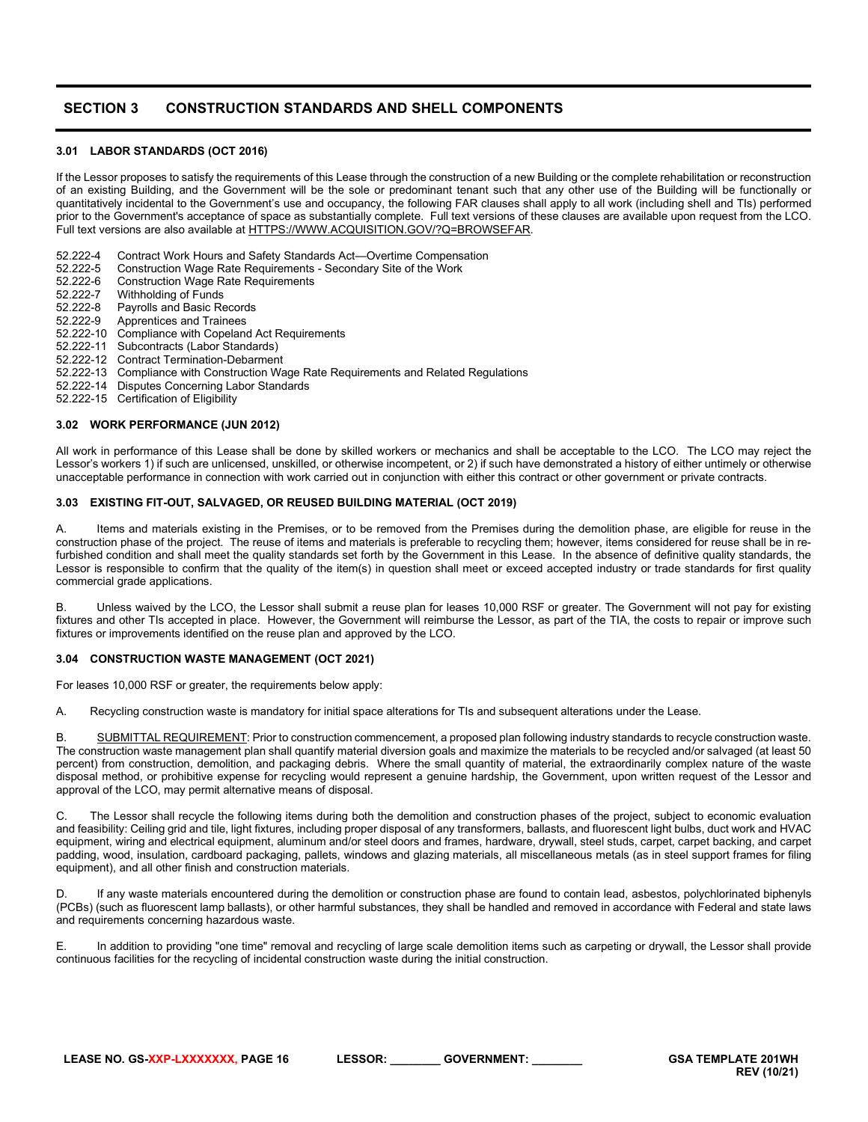# <span id="page-15-0"></span>**SECTION 3 CONSTRUCTION STANDARDS AND SHELL COMPONENTS**

#### <span id="page-15-1"></span>**3.01 LABOR STANDARDS (OCT 2016)**

If the Lessor proposes to satisfy the requirements of this Lease through the construction of a new Building or the complete rehabilitation or reconstruction of an existing Building, and the Government will be the sole or predominant tenant such that any other use of the Building will be functionally or quantitatively incidental to the Government's use and occupancy, the following FAR clauses shall apply to all work (including shell and TIs) performed prior to the Government's acceptance of space as substantially complete. Full text versions of these clauses are available upon request from the LCO. Full text versions are also available a[t HTTPS://WWW.ACQUISITION.GOV/?Q=BROWSEFAR.](https://www.acquisition.gov/?q=browsefar)

52.222-4 Contract Work Hours and Safety Standards Act—Overtime Compensation<br>52.222-5 Construction Wage Rate Reguirements - Secondary Site of the Work

- 52.222-5 Construction Wage Rate Requirements Secondary Site of the Work<br>52.222-6 Construction Wage Rate Requirements
- 52.222-6 Construction Wage Rate Requirements<br>52.222-7 Withholding of Funds
- 52.222-7 Withholding of Funds
- Payrolls and Basic Records
- 52.222-9 Apprentices and Trainees
- 52.222-10 Compliance with Copeland Act Requirements
- 52.222-11 Subcontracts (Labor Standards)
- 52.222-12 Contract Termination-Debarment
- 52.222-13 Compliance with Construction Wage Rate Requirements and Related Regulations
- 52.222-14 Disputes Concerning Labor Standards
- 52.222-15 Certification of Eligibility

#### <span id="page-15-2"></span>**3.02 WORK PERFORMANCE (JUN 2012)**

All work in performance of this Lease shall be done by skilled workers or mechanics and shall be acceptable to the LCO. The LCO may reject the Lessor's workers 1) if such are unlicensed, unskilled, or otherwise incompetent, or 2) if such have demonstrated a history of either untimely or otherwise unacceptable performance in connection with work carried out in conjunction with either this contract or other government or private contracts.

## <span id="page-15-3"></span>**3.03 EXISTING FIT-OUT, SALVAGED, OR REUSED BUILDING MATERIAL (OCT 2019)**

A. Items and materials existing in the Premises, or to be removed from the Premises during the demolition phase, are eligible for reuse in the construction phase of the project. The reuse of items and materials is preferable to recycling them; however, items considered for reuse shall be in refurbished condition and shall meet the quality standards set forth by the Government in this Lease. In the absence of definitive quality standards, the Lessor is responsible to confirm that the quality of the item(s) in question shall meet or exceed accepted industry or trade standards for first quality commercial grade applications.

B. Unless waived by the LCO, the Lessor shall submit a reuse plan for leases 10,000 RSF or greater. The Government will not pay for existing fixtures and other TIs accepted in place. However, the Government will reimburse the Lessor, as part of the TIA, the costs to repair or improve such fixtures or improvements identified on the reuse plan and approved by the LCO.

#### <span id="page-15-4"></span>**3.04 CONSTRUCTION WASTE MANAGEMENT (OCT 2021)**

For leases 10,000 RSF or greater, the requirements below apply:

A. Recycling construction waste is mandatory for initial space alterations for TIs and subsequent alterations under the Lease.

B. SUBMITTAL REQUIREMENT: Prior to construction commencement, a proposed plan following industry standards to recycle construction waste. The construction waste management plan shall quantify material diversion goals and maximize the materials to be recycled and/or salvaged (at least 50 percent) from construction, demolition, and packaging debris. Where the small quantity of material, the extraordinarily complex nature of the waste disposal method, or prohibitive expense for recycling would represent a genuine hardship, the Government, upon written request of the Lessor and approval of the LCO, may permit alternative means of disposal.

C. The Lessor shall recycle the following items during both the demolition and construction phases of the project, subject to economic evaluation and feasibility: Ceiling grid and tile, light fixtures, including proper disposal of any transformers, ballasts, and fluorescent light bulbs, duct work and HVAC equipment, wiring and electrical equipment, aluminum and/or steel doors and frames, hardware, drywall, steel studs, carpet, carpet backing, and carpet padding, wood, insulation, cardboard packaging, pallets, windows and glazing materials, all miscellaneous metals (as in steel support frames for filing equipment), and all other finish and construction materials.

If any waste materials encountered during the demolition or construction phase are found to contain lead, asbestos, polychlorinated biphenyls (PCBs) (such as fluorescent lamp ballasts), or other harmful substances, they shall be handled and removed in accordance with Federal and state laws and requirements concerning hazardous waste.

E. In addition to providing "one time" removal and recycling of large scale demolition items such as carpeting or drywall, the Lessor shall provide continuous facilities for the recycling of incidental construction waste during the initial construction.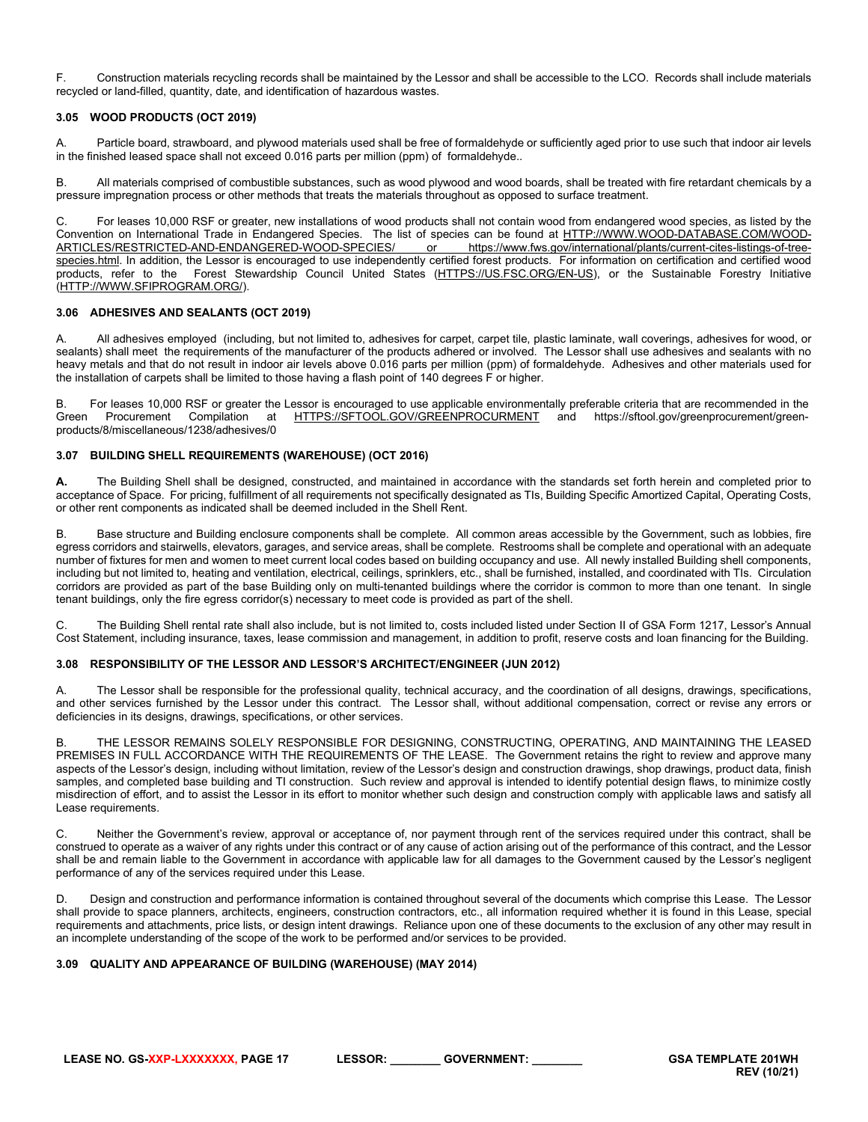F. Construction materials recycling records shall be maintained by the Lessor and shall be accessible to the LCO. Records shall include materials recycled or land-filled, quantity, date, and identification of hazardous wastes.

# <span id="page-16-0"></span>**3.05 WOOD PRODUCTS (OCT 2019)**

A. Particle board, strawboard, and plywood materials used shall be free of formaldehyde or sufficiently aged prior to use such that indoor air levels in the finished leased space shall not exceed 0.016 parts per million (ppm) of formaldehyde..

B. All materials comprised of combustible substances, such as wood plywood and wood boards, shall be treated with fire retardant chemicals by a pressure impregnation process or other methods that treats the materials throughout as opposed to surface treatment.

C. For leases 10,000 RSF or greater, new installations of wood products shall not contain wood from endangered wood species, as listed by the Convention on International Trade in Endangered Species. The list of species can be found at HTTP://WWW.WOOD-DATABASE.COM/WOOD-<br>ARTICLES/RESTRICTED-AND-ENDANGERED-WOOD-SPECIES/ or https://www.fws.gov/international/plants/c [ARTICLES/RESTRICTED-AND-ENDANGERED-WOOD-SPECIES/](http://www.wood-database.com/wood-articles/restricted-and-endangered-wood-species/) or [https://www.fws.gov/international/plants/current-cites-listings-of-tree](https://www.fws.gov/international/plants/current-cites-listings-of-tree-species.html)[species.html.](https://www.fws.gov/international/plants/current-cites-listings-of-tree-species.html) In addition, the Lessor is encouraged to use independently certified forest products. For information on certification and certified wood products, refer to the Forest Stewardship Council United States [\(HTTPS://US.FSC.ORG/EN-US\)](https://us.fsc.org/en-us), or the Sustainable Forestry Initiative [\(HTTP://WWW.SFIPROGRAM.ORG/\)](http://www.sfiprogram.org/).

# <span id="page-16-1"></span>**3.06 ADHESIVES AND SEALANTS (OCT 2019)**

A. All adhesives employed (including, but not limited to, adhesives for carpet, carpet tile, plastic laminate, wall coverings, adhesives for wood, or sealants) shall meet the requirements of the manufacturer of the products adhered or involved. The Lessor shall use adhesives and sealants with no heavy metals and that do not result in indoor air levels above 0.016 parts per million (ppm) of formaldehyde. Adhesives and other materials used for the installation of carpets shall be limited to those having a flash point of 140 degrees F or higher.

B. For leases 10,000 RSF or greater the Lessor is encouraged to use applicable environmentally preferable criteria that are recommended in the Green Procurement Compilation at [HTTPS://SFTOOL.GOV/GREENPROCURMENT](https://sftool.gov/GREENPROCURMENT) and https://sftool.gov/greenprocurement/greenproducts/8/miscellaneous/1238/adhesives/0

#### <span id="page-16-2"></span>**3.07 BUILDING SHELL REQUIREMENTS (WAREHOUSE) (OCT 2016)**

**A.** The Building Shell shall be designed, constructed, and maintained in accordance with the standards set forth herein and completed prior to acceptance of Space. For pricing, fulfillment of all requirements not specifically designated as TIs, Building Specific Amortized Capital, Operating Costs, or other rent components as indicated shall be deemed included in the Shell Rent.

Base structure and Building enclosure components shall be complete. All common areas accessible by the Government, such as lobbies, fire egress corridors and stairwells, elevators, garages, and service areas, shall be complete. Restrooms shall be complete and operational with an adequate number of fixtures for men and women to meet current local codes based on building occupancy and use. All newly installed Building shell components, including but not limited to, heating and ventilation, electrical, ceilings, sprinklers, etc., shall be furnished, installed, and coordinated with TIs. Circulation corridors are provided as part of the base Building only on multi-tenanted buildings where the corridor is common to more than one tenant. In single tenant buildings, only the fire egress corridor(s) necessary to meet code is provided as part of the shell.

C. The Building Shell rental rate shall also include, but is not limited to, costs included listed under Section II of GSA Form 1217, Lessor's Annual Cost Statement, including insurance, taxes, lease commission and management, in addition to profit, reserve costs and loan financing for the Building.

#### <span id="page-16-3"></span>**3.08 RESPONSIBILITY OF THE LESSOR AND LESSOR'S ARCHITECT/ENGINEER (JUN 2012)**

The Lessor shall be responsible for the professional quality, technical accuracy, and the coordination of all designs, drawings, specifications, and other services furnished by the Lessor under this contract. The Lessor shall, without additional compensation, correct or revise any errors or deficiencies in its designs, drawings, specifications, or other services.

B. THE LESSOR REMAINS SOLELY RESPONSIBLE FOR DESIGNING, CONSTRUCTING, OPERATING, AND MAINTAINING THE LEASED PREMISES IN FULL ACCORDANCE WITH THE REQUIREMENTS OF THE LEASE. The Government retains the right to review and approve many aspects of the Lessor's design, including without limitation, review of the Lessor's design and construction drawings, shop drawings, product data, finish samples, and completed base building and TI construction. Such review and approval is intended to identify potential design flaws, to minimize costly misdirection of effort, and to assist the Lessor in its effort to monitor whether such design and construction comply with applicable laws and satisfy all Lease requirements.

C. Neither the Government's review, approval or acceptance of, nor payment through rent of the services required under this contract, shall be construed to operate as a waiver of any rights under this contract or of any cause of action arising out of the performance of this contract, and the Lessor shall be and remain liable to the Government in accordance with applicable law for all damages to the Government caused by the Lessor's negligent performance of any of the services required under this Lease.

D. Design and construction and performance information is contained throughout several of the documents which comprise this Lease. The Lessor shall provide to space planners, architects, engineers, construction contractors, etc., all information required whether it is found in this Lease, special requirements and attachments, price lists, or design intent drawings. Reliance upon one of these documents to the exclusion of any other may result in an incomplete understanding of the scope of the work to be performed and/or services to be provided.

#### <span id="page-16-4"></span>**3.09 QUALITY AND APPEARANCE OF BUILDING (WAREHOUSE) (MAY 2014)**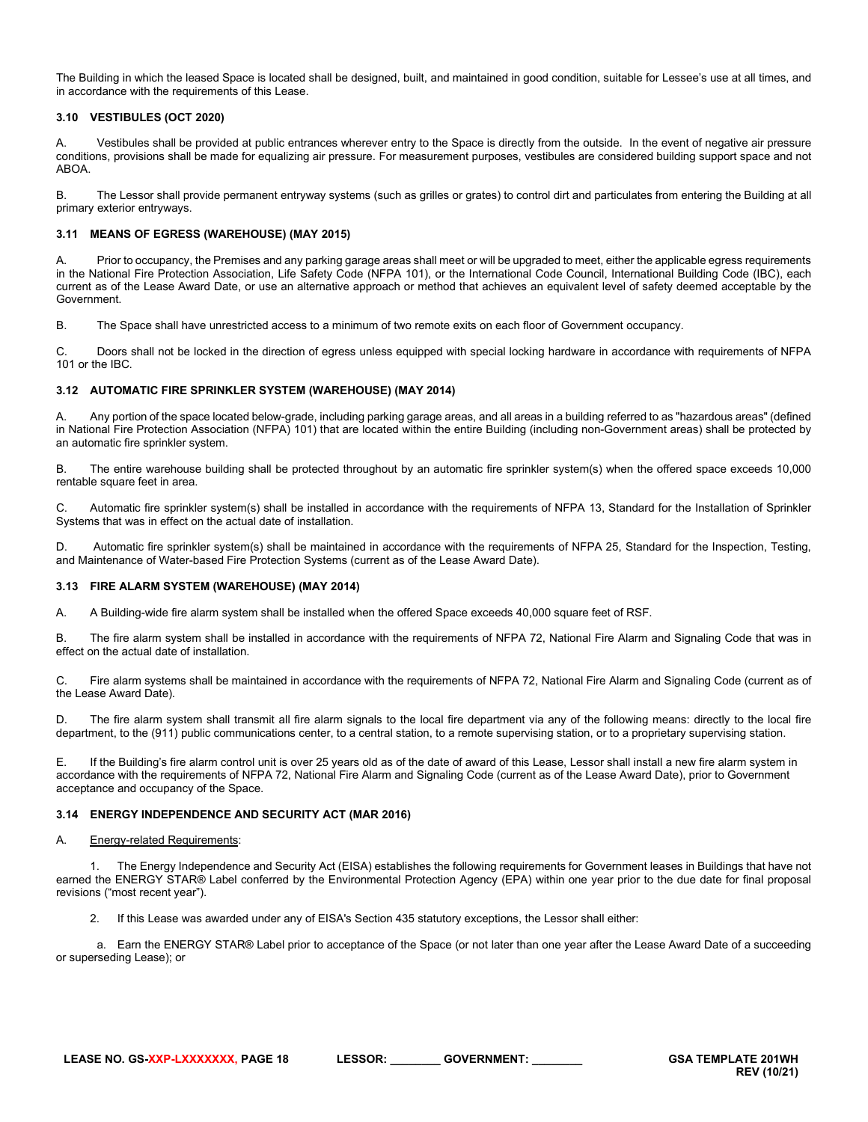The Building in which the leased Space is located shall be designed, built, and maintained in good condition, suitable for Lessee's use at all times, and in accordance with the requirements of this Lease.

# <span id="page-17-0"></span>**3.10 VESTIBULES (OCT 2020)**

A. Vestibules shall be provided at public entrances wherever entry to the Space is directly from the outside. In the event of negative air pressure conditions, provisions shall be made for equalizing air pressure. For measurement purposes, vestibules are considered building support space and not ABOA.

B. The Lessor shall provide permanent entryway systems (such as grilles or grates) to control dirt and particulates from entering the Building at all primary exterior entryways.

# <span id="page-17-1"></span>**3.11 MEANS OF EGRESS (WAREHOUSE) (MAY 2015)**

Prior to occupancy, the Premises and any parking garage areas shall meet or will be upgraded to meet, either the applicable egress requirements in the National Fire Protection Association, Life Safety Code (NFPA 101), or the International Code Council, International Building Code (IBC), each current as of the Lease Award Date, or use an alternative approach or method that achieves an equivalent level of safety deemed acceptable by the Government.

B. The Space shall have unrestricted access to a minimum of two remote exits on each floor of Government occupancy.

C. Doors shall not be locked in the direction of egress unless equipped with special locking hardware in accordance with requirements of NFPA 101 or the IBC.

# <span id="page-17-2"></span>**3.12 AUTOMATIC FIRE SPRINKLER SYSTEM (WAREHOUSE) (MAY 2014)**

A. Any portion of the space located below-grade, including parking garage areas, and all areas in a building referred to as "hazardous areas" (defined in National Fire Protection Association (NFPA) 101) that are located within the entire Building (including non-Government areas) shall be protected by an automatic fire sprinkler system.

B. The entire warehouse building shall be protected throughout by an automatic fire sprinkler system(s) when the offered space exceeds 10,000 rentable square feet in area.

C. Automatic fire sprinkler system(s) shall be installed in accordance with the requirements of NFPA 13, Standard for the Installation of Sprinkler Systems that was in effect on the actual date of installation.

D. Automatic fire sprinkler system(s) shall be maintained in accordance with the requirements of NFPA 25, Standard for the Inspection, Testing, and Maintenance of Water-based Fire Protection Systems (current as of the Lease Award Date).

#### <span id="page-17-3"></span>**3.13 FIRE ALARM SYSTEM (WAREHOUSE) (MAY 2014)**

A. A Building-wide fire alarm system shall be installed when the offered Space exceeds 40,000 square feet of RSF.

B. The fire alarm system shall be installed in accordance with the requirements of NFPA 72, National Fire Alarm and Signaling Code that was in effect on the actual date of installation.

C. Fire alarm systems shall be maintained in accordance with the requirements of NFPA 72, National Fire Alarm and Signaling Code (current as of the Lease Award Date).

D. The fire alarm system shall transmit all fire alarm signals to the local fire department via any of the following means: directly to the local fire department, to the (911) public communications center, to a central station, to a remote supervising station, or to a proprietary supervising station.

E. If the Building's fire alarm control unit is over 25 years old as of the date of award of this Lease, Lessor shall install a new fire alarm system in accordance with the requirements of NFPA 72, National Fire Alarm and Signaling Code (current as of the Lease Award Date), prior to Government acceptance and occupancy of the Space.

#### <span id="page-17-4"></span>**3.14 ENERGY INDEPENDENCE AND SECURITY ACT (MAR 2016)**

#### A. Energy-related Requirements:

The Energy Independence and Security Act (EISA) establishes the following requirements for Government leases in Buildings that have not earned the ENERGY STAR® Label conferred by the Environmental Protection Agency (EPA) within one year prior to the due date for final proposal revisions ("most recent year").

2. If this Lease was awarded under any of EISA's Section 435 statutory exceptions, the Lessor shall either:

a. Earn the ENERGY STAR® Label prior to acceptance of the Space (or not later than one year after the Lease Award Date of a succeeding or superseding Lease); or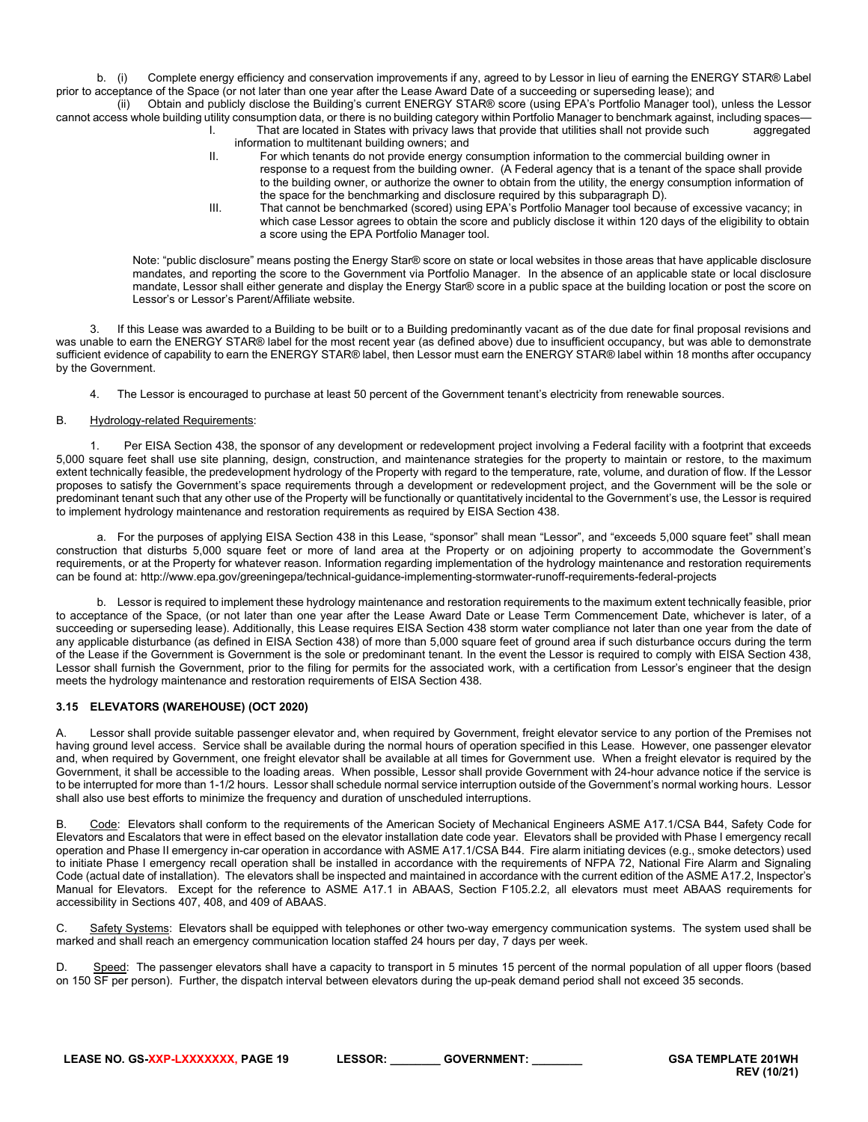b. (i) Complete energy efficiency and conservation improvements if any, agreed to by Lessor in lieu of earning the ENERGY STAR® Label prior to acceptance of the Space (or not later than one year after the Lease Award Date of a succeeding or superseding lease); and

(ii) Obtain and publicly disclose the Building's current ENERGY STAR® score (using EPA's Portfolio Manager tool), unless the Lessor cannot access whole building utility consumption data, or there is no building category within Portfolio Manager to benchmark against, including spaces—<br>That are located in States with privacy laws that provide that utilit That are located in States with privacy laws that provide that utilities shall not provide such

- information to multitenant building owners; and II. For which tenants do not provide energy consumption information to the commercial building owner in
	- response to a request from the building owner. (A Federal agency that is a tenant of the space shall provide to the building owner, or authorize the owner to obtain from the utility, the energy consumption information of the space for the benchmarking and disclosure required by this subparagraph D).
	- III. That cannot be benchmarked (scored) using EPA's Portfolio Manager tool because of excessive vacancy; in which case Lessor agrees to obtain the score and publicly disclose it within 120 days of the eligibility to obtain a score using the EPA Portfolio Manager tool.

Note: "public disclosure" means posting the Energy Star® score on state or local websites in those areas that have applicable disclosure mandates, and reporting the score to the Government via Portfolio Manager. In the absence of an applicable state or local disclosure mandate, Lessor shall either generate and display the Energy Star® score in a public space at the building location or post the score on Lessor's or Lessor's Parent/Affiliate website.

If this Lease was awarded to a Building to be built or to a Building predominantly vacant as of the due date for final proposal revisions and was unable to earn the ENERGY STAR® label for the most recent year (as defined above) due to insufficient occupancy, but was able to demonstrate sufficient evidence of capability to earn the ENERGY STAR® label, then Lessor must earn the ENERGY STAR® label within 18 months after occupancy by the Government.

4. The Lessor is encouraged to purchase at least 50 percent of the Government tenant's electricity from renewable sources.

# B. Hydrology-related Requirements:

1. Per EISA Section 438, the sponsor of any development or redevelopment project involving a Federal facility with a footprint that exceeds 5,000 square feet shall use site planning, design, construction, and maintenance strategies for the property to maintain or restore, to the maximum extent technically feasible, the predevelopment hydrology of the Property with regard to the temperature, rate, volume, and duration of flow. If the Lessor proposes to satisfy the Government's space requirements through a development or redevelopment project, and the Government will be the sole or predominant tenant such that any other use of the Property will be functionally or quantitatively incidental to the Government's use, the Lessor is required to implement hydrology maintenance and restoration requirements as required by EISA Section 438.

a. For the purposes of applying EISA Section 438 in this Lease, "sponsor" shall mean "Lessor", and "exceeds 5,000 square feet" shall mean construction that disturbs 5,000 square feet or more of land area at the Property or on adjoining property to accommodate the Government's requirements, or at the Property for whatever reason. Information regarding implementation of the hydrology maintenance and restoration requirements can be found at: http://www.epa.gov/greeningepa/technical-guidance-implementing-stormwater-runoff-requirements-federal-projects

b. Lessor is required to implement these hydrology maintenance and restoration requirements to the maximum extent technically feasible, prior to acceptance of the Space, (or not later than one year after the Lease Award Date or Lease Term Commencement Date, whichever is later, of a succeeding or superseding lease). Additionally, this Lease requires EISA Section 438 storm water compliance not later than one year from the date of any applicable disturbance (as defined in EISA Section 438) of more than 5,000 square feet of ground area if such disturbance occurs during the term of the Lease if the Government is Government is the sole or predominant tenant. In the event the Lessor is required to comply with EISA Section 438, Lessor shall furnish the Government, prior to the filing for permits for the associated work, with a certification from Lessor's engineer that the design meets the hydrology maintenance and restoration requirements of EISA Section 438.

# <span id="page-18-0"></span>**3.15 ELEVATORS (WAREHOUSE) (OCT 2020)**

A. Lessor shall provide suitable passenger elevator and, when required by Government, freight elevator service to any portion of the Premises not having ground level access. Service shall be available during the normal hours of operation specified in this Lease. However, one passenger elevator and, when required by Government, one freight elevator shall be available at all times for Government use. When a freight elevator is required by the Government, it shall be accessible to the loading areas. When possible, Lessor shall provide Government with 24-hour advance notice if the service is to be interrupted for more than 1-1/2 hours. Lessor shall schedule normal service interruption outside of the Government's normal working hours. Lessor shall also use best efforts to minimize the frequency and duration of unscheduled interruptions.

B. Code: Elevators shall conform to the requirements of the American Society of Mechanical Engineers ASME A17.1/CSA B44, Safety Code for Elevators and Escalators that were in effect based on the elevator installation date code year. Elevators shall be provided with Phase I emergency recall operation and Phase II emergency in-car operation in accordance with ASME A17.1/CSA B44. Fire alarm initiating devices (e.g., smoke detectors) used to initiate Phase I emergency recall operation shall be installed in accordance with the requirements of NFPA 72, National Fire Alarm and Signaling Code (actual date of installation). The elevators shall be inspected and maintained in accordance with the current edition of the ASME A17.2, Inspector's Manual for Elevators. Except for the reference to ASME A17.1 in ABAAS, Section F105.2.2, all elevators must meet ABAAS requirements for accessibility in Sections 407, 408, and 409 of ABAAS.

C. Safety Systems: Elevators shall be equipped with telephones or other two-way emergency communication systems. The system used shall be marked and shall reach an emergency communication location staffed 24 hours per day, 7 days per week.

D. Speed: The passenger elevators shall have a capacity to transport in 5 minutes 15 percent of the normal population of all upper floors (based on 150 SF per person). Further, the dispatch interval between elevators during the up-peak demand period shall not exceed 35 seconds.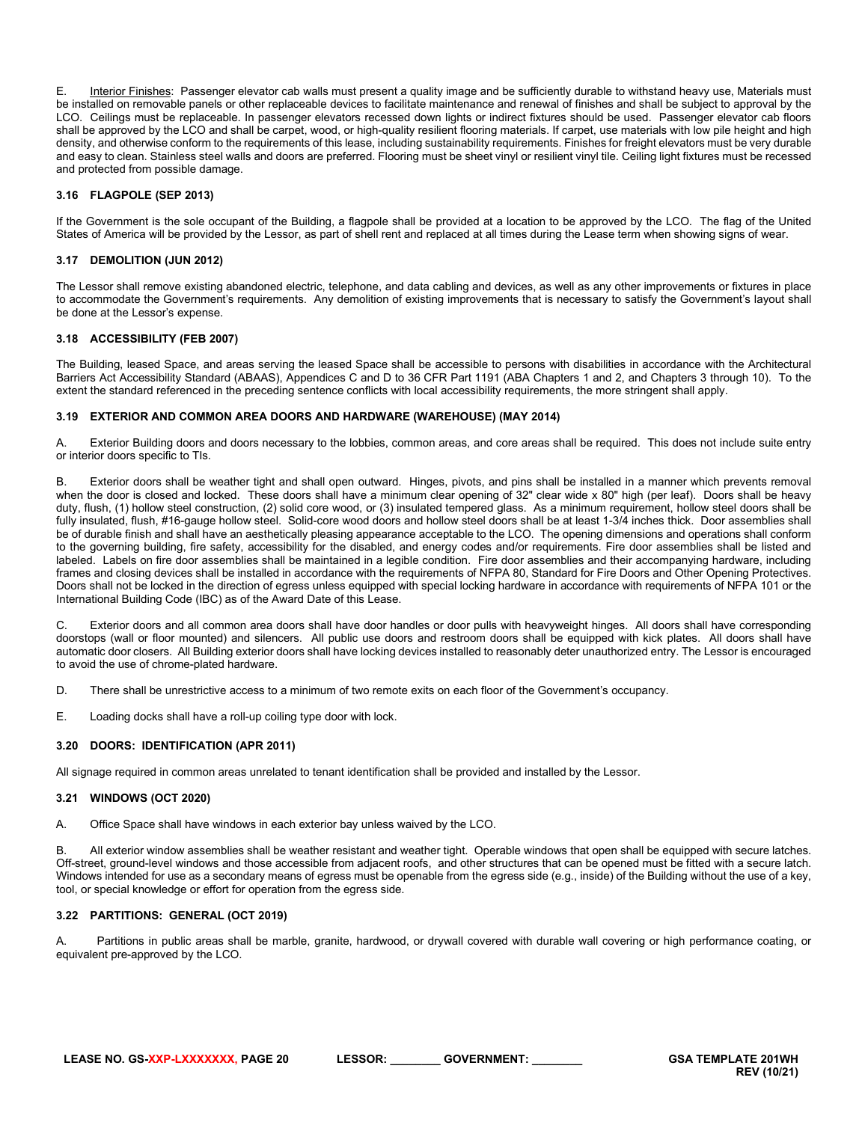E. Interior Finishes: Passenger elevator cab walls must present a quality image and be sufficiently durable to withstand heavy use, Materials must be installed on removable panels or other replaceable devices to facilitate maintenance and renewal of finishes and shall be subject to approval by the LCO. Ceilings must be replaceable. In passenger elevators recessed down lights or indirect fixtures should be used. Passenger elevator cab floors shall be approved by the LCO and shall be carpet, wood, or high-quality resilient flooring materials. If carpet, use materials with low pile height and high density, and otherwise conform to the requirements of this lease, including sustainability requirements. Finishes for freight elevators must be very durable and easy to clean. Stainless steel walls and doors are preferred. Flooring must be sheet vinyl or resilient vinyl tile. Ceiling light fixtures must be recessed and protected from possible damage.

# <span id="page-19-0"></span>**3.16 FLAGPOLE (SEP 2013)**

If the Government is the sole occupant of the Building, a flagpole shall be provided at a location to be approved by the LCO. The flag of the United States of America will be provided by the Lessor, as part of shell rent and replaced at all times during the Lease term when showing signs of wear.

# <span id="page-19-1"></span>**3.17 DEMOLITION (JUN 2012)**

The Lessor shall remove existing abandoned electric, telephone, and data cabling and devices, as well as any other improvements or fixtures in place to accommodate the Government's requirements. Any demolition of existing improvements that is necessary to satisfy the Government's layout shall be done at the Lessor's expense.

# <span id="page-19-2"></span>**3.18 ACCESSIBILITY (FEB 2007)**

The Building, leased Space, and areas serving the leased Space shall be accessible to persons with disabilities in accordance with the Architectural Barriers Act Accessibility Standard (ABAAS), Appendices C and D to 36 CFR Part 1191 (ABA Chapters 1 and 2, and Chapters 3 through 10). To the extent the standard referenced in the preceding sentence conflicts with local accessibility requirements, the more stringent shall apply.

#### <span id="page-19-3"></span>**3.19 EXTERIOR AND COMMON AREA DOORS AND HARDWARE (WAREHOUSE) (MAY 2014)**

A. Exterior Building doors and doors necessary to the lobbies, common areas, and core areas shall be required. This does not include suite entry or interior doors specific to TIs.

B. Exterior doors shall be weather tight and shall open outward. Hinges, pivots, and pins shall be installed in a manner which prevents removal when the door is closed and locked. These doors shall have a minimum clear opening of 32" clear wide x 80" high (per leaf). Doors shall be heavy duty, flush, (1) hollow steel construction, (2) solid core wood, or (3) insulated tempered glass. As a minimum requirement, hollow steel doors shall be fully insulated, flush, #16-gauge hollow steel. Solid-core wood doors and hollow steel doors shall be at least 1-3/4 inches thick. Door assemblies shall be of durable finish and shall have an aesthetically pleasing appearance acceptable to the LCO. The opening dimensions and operations shall conform to the governing building, fire safety, accessibility for the disabled, and energy codes and/or requirements. Fire door assemblies shall be listed and labeled. Labels on fire door assemblies shall be maintained in a legible condition. Fire door assemblies and their accompanying hardware, including frames and closing devices shall be installed in accordance with the requirements of NFPA 80, Standard for Fire Doors and Other Opening Protectives. Doors shall not be locked in the direction of egress unless equipped with special locking hardware in accordance with requirements of NFPA 101 or the International Building Code (IBC) as of the Award Date of this Lease.

C. Exterior doors and all common area doors shall have door handles or door pulls with heavyweight hinges. All doors shall have corresponding doorstops (wall or floor mounted) and silencers. All public use doors and restroom doors shall be equipped with kick plates. All doors shall have automatic door closers. All Building exterior doors shall have locking devices installed to reasonably deter unauthorized entry. The Lessor is encouraged to avoid the use of chrome-plated hardware.

D. There shall be unrestrictive access to a minimum of two remote exits on each floor of the Government's occupancy.

E. Loading docks shall have a roll-up coiling type door with lock.

#### <span id="page-19-4"></span>**3.20 DOORS: IDENTIFICATION (APR 2011)**

All signage required in common areas unrelated to tenant identification shall be provided and installed by the Lessor.

#### <span id="page-19-5"></span>**3.21 WINDOWS (OCT 2020)**

A. Office Space shall have windows in each exterior bay unless waived by the LCO.

B. All exterior window assemblies shall be weather resistant and weather tight. Operable windows that open shall be equipped with secure latches. Off-street, ground-level windows and those accessible from adjacent roofs, and other structures that can be opened must be fitted with a secure latch. Windows intended for use as a secondary means of egress must be openable from the egress side (e.g., inside) of the Building without the use of a key, tool, or special knowledge or effort for operation from the egress side.

#### <span id="page-19-6"></span>**3.22 PARTITIONS: GENERAL (OCT 2019)**

A. Partitions in public areas shall be marble, granite, hardwood, or drywall covered with durable wall covering or high performance coating, or equivalent pre-approved by the LCO.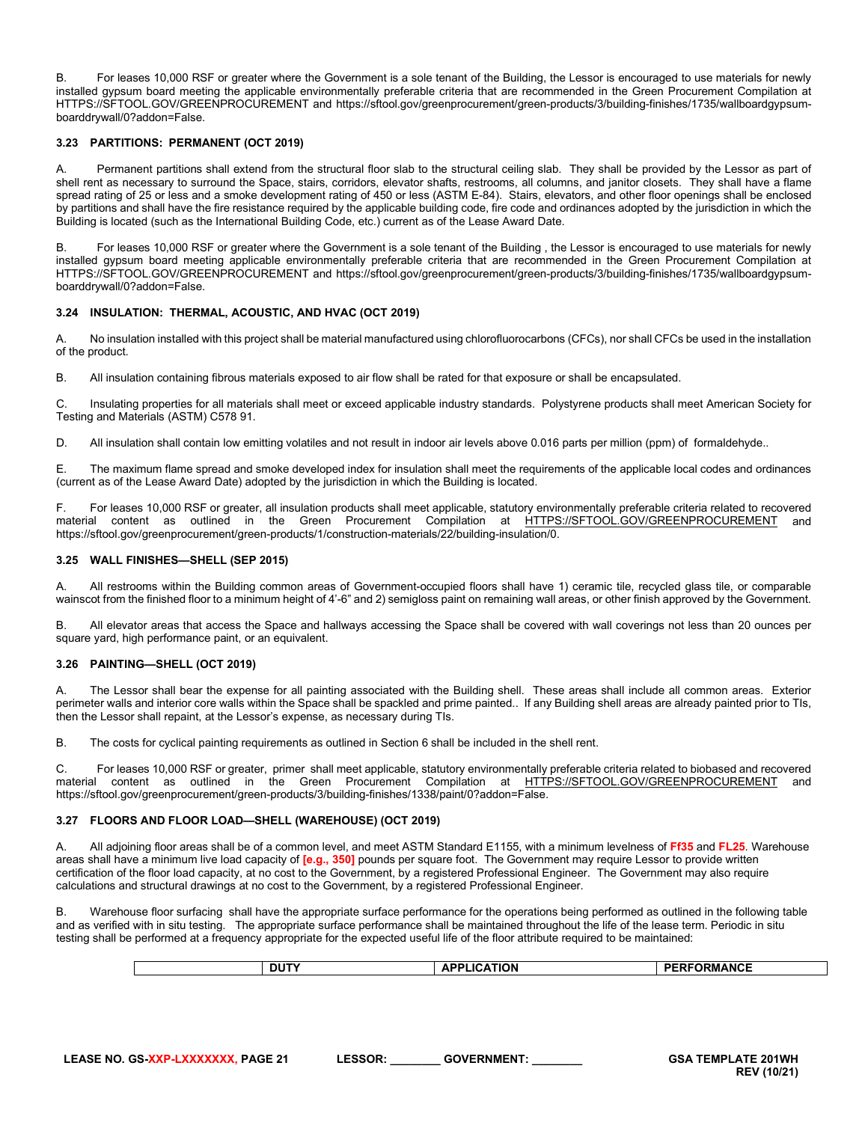B. For leases 10,000 RSF or greater where the Government is a sole tenant of the Building, the Lessor is encouraged to use materials for newly installed gypsum board meeting the applicable environmentally preferable criteria that are recommended in the Green Procurement Compilation at HTTPS://SFTOOL.GOV/GREENPROCUREMENT and https://sftool.gov/greenprocurement/green-products/3/building-finishes/1735/wallboardgypsumboarddrywall/0?addon=False.

# <span id="page-20-0"></span>**3.23 PARTITIONS: PERMANENT (OCT 2019)**

A. Permanent partitions shall extend from the structural floor slab to the structural ceiling slab. They shall be provided by the Lessor as part of shell rent as necessary to surround the Space, stairs, corridors, elevator shafts, restrooms, all columns, and janitor closets. They shall have a flame spread rating of 25 or less and a smoke development rating of 450 or less (ASTM E-84). Stairs, elevators, and other floor openings shall be enclosed by partitions and shall have the fire resistance required by the applicable building code, fire code and ordinances adopted by the jurisdiction in which the Building is located (such as the International Building Code, etc.) current as of the Lease Award Date.

B. For leases 10,000 RSF or greater where the Government is a sole tenant of the Building , the Lessor is encouraged to use materials for newly installed gypsum board meeting applicable environmentally preferable criteria that are recommended in the Green Procurement Compilation at HTTPS://SFTOOL.GOV/GREENPROCUREMENT and https://sftool.gov/greenprocurement/green-products/3/building-finishes/1735/wallboardgypsumboarddrywall/0?addon=False.

# <span id="page-20-1"></span>**3.24 INSULATION: THERMAL, ACOUSTIC, AND HVAC (OCT 2019)**

A. No insulation installed with this project shall be material manufactured using chlorofluorocarbons (CFCs), nor shall CFCs be used in the installation of the product.

B. All insulation containing fibrous materials exposed to air flow shall be rated for that exposure or shall be encapsulated.

C. Insulating properties for all materials shall meet or exceed applicable industry standards. Polystyrene products shall meet American Society for Testing and Materials (ASTM) C578 91.

D. All insulation shall contain low emitting volatiles and not result in indoor air levels above 0.016 parts per million (ppm) of formaldehyde..

E. The maximum flame spread and smoke developed index for insulation shall meet the requirements of the applicable local codes and ordinances (current as of the Lease Award Date) adopted by the jurisdiction in which the Building is located.

F. For leases 10,000 RSF or greater, all insulation products shall meet applicable, statutory environmentally preferable criteria related to recovered material content as outlined in the Green Procurement Compilation at [HTTPS://SFTOOL.GOV/GREENPROCUREMENT](https://sftool.gov/GREENPROCUREMENT) and https://sftool.gov/greenprocurement/green-products/1/construction-materials/22/building-insulation/0.

# <span id="page-20-2"></span>**3.25 WALL FINISHES—SHELL (SEP 2015)**

All restrooms within the Building common areas of Government-occupied floors shall have 1) ceramic tile, recycled glass tile, or comparable wainscot from the finished floor to a minimum height of 4'-6" and 2) semigloss paint on remaining wall areas, or other finish approved by the Government.

B. All elevator areas that access the Space and hallways accessing the Space shall be covered with wall coverings not less than 20 ounces per square yard, high performance paint, or an equivalent.

#### <span id="page-20-3"></span>**3.26 PAINTING—SHELL (OCT 2019)**

The Lessor shall bear the expense for all painting associated with the Building shell. These areas shall include all common areas. Exterior perimeter walls and interior core walls within the Space shall be spackled and prime painted.. If any Building shell areas are already painted prior to TIs, then the Lessor shall repaint, at the Lessor's expense, as necessary during TIs.

B. The costs for cyclical painting requirements as outlined in Section 6 shall be included in the shell rent.

C. For leases 10,000 RSF or greater, primer shall meet applicable, statutory environmentally preferable criteria related to biobased and recovered material content as outlined in the Green Procurement Compilation at [HTTPS://SFTOOL.GOV/GREENPROCUREMENT](https://sftool.gov/GREENPROCUREMENT) and https://sftool.gov/greenprocurement/green-products/3/building-finishes/1338/paint/0?addon=False.

## <span id="page-20-4"></span>**3.27 FLOORS AND FLOOR LOAD—SHELL (WAREHOUSE) (OCT 2019)**

A. All adjoining floor areas shall be of a common level, and meet ASTM Standard E1155, with a minimum levelness of **Ff35** and **FL25**. Warehouse areas shall have a minimum live load capacity of **[e.g., 350]** pounds per square foot. The Government may require Lessor to provide written certification of the floor load capacity, at no cost to the Government, by a registered Professional Engineer. The Government may also require calculations and structural drawings at no cost to the Government, by a registered Professional Engineer.

B. Warehouse floor surfacing shall have the appropriate surface performance for the operations being performed as outlined in the following table and as verified with in situ testing. The appropriate surface performance shall be maintained throughout the life of the lease term. Periodic in situ testing shall be performed at a frequency appropriate for the expected useful life of the floor attribute required to be maintained:

| <b>DUT</b> | <b>LICATION</b><br>$AP^r$ | <b>PERFORMANCE</b> |
|------------|---------------------------|--------------------|
|------------|---------------------------|--------------------|

| <b>LEASE NO. GS-XXP-LXXXXXXX. PAGE 21</b> | <b>LESSOR:</b> | <b>GOVERNMENT:</b> | <b>GSA TEMPLATE 201WH</b> |
|-------------------------------------------|----------------|--------------------|---------------------------|
|                                           |                |                    | <b>REV (10/21)</b>        |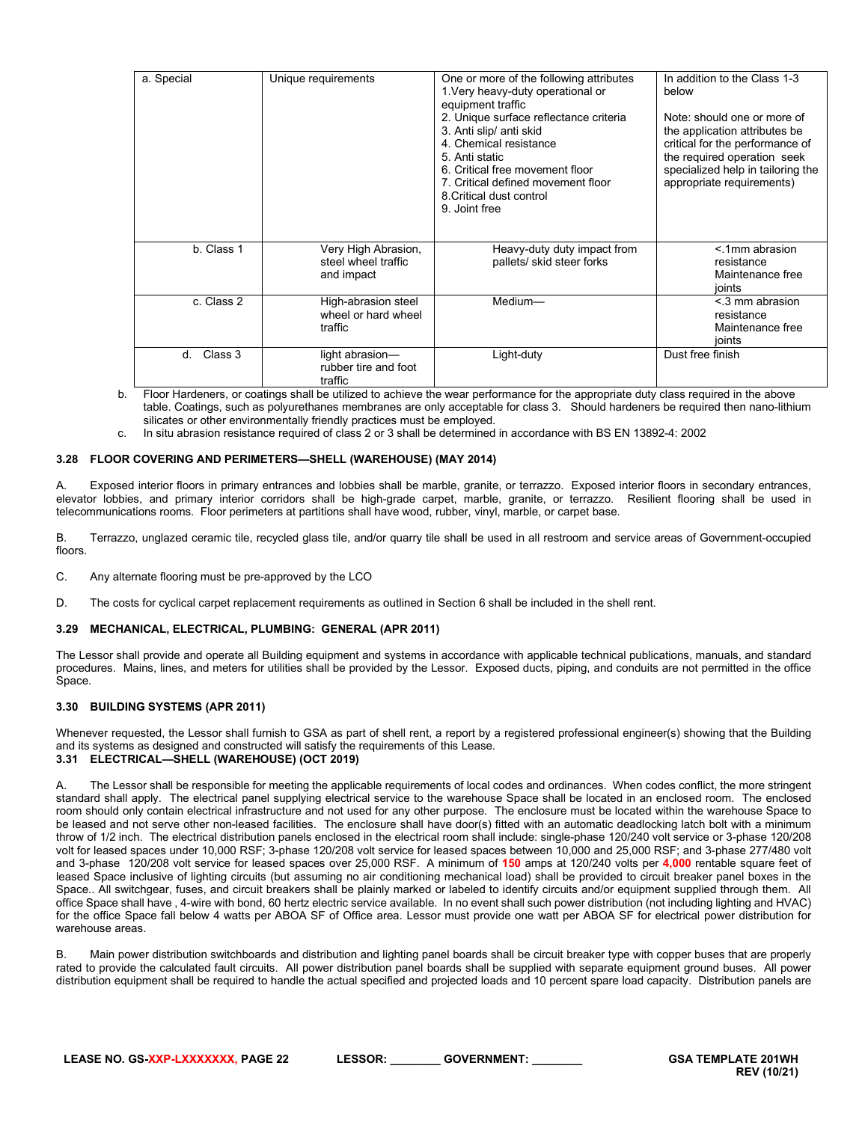| a. Special    | Unique requirements                                      | One or more of the following attributes<br>1. Very heavy-duty operational or<br>equipment traffic<br>2. Unique surface reflectance criteria<br>3. Anti slip/ anti skid<br>4. Chemical resistance<br>5. Anti static<br>6. Critical free movement floor<br>7. Critical defined movement floor<br>8. Critical dust control<br>9. Joint free | In addition to the Class 1-3<br>below<br>Note: should one or more of<br>the application attributes be<br>critical for the performance of<br>the required operation seek<br>specialized help in tailoring the<br>appropriate requirements) |
|---------------|----------------------------------------------------------|------------------------------------------------------------------------------------------------------------------------------------------------------------------------------------------------------------------------------------------------------------------------------------------------------------------------------------------|-------------------------------------------------------------------------------------------------------------------------------------------------------------------------------------------------------------------------------------------|
| b. Class 1    | Very High Abrasion,<br>steel wheel traffic<br>and impact | Heavy-duty duty impact from<br>pallets/ skid steer forks                                                                                                                                                                                                                                                                                 | < 1mm abrasion<br>resistance<br>Maintenance free<br>ioints                                                                                                                                                                                |
| c. Class 2    | High-abrasion steel<br>wheel or hard wheel<br>traffic    | Medium-                                                                                                                                                                                                                                                                                                                                  | $<$ 3 mm abrasion<br>resistance<br>Maintenance free<br>ioints                                                                                                                                                                             |
| Class 3<br>d. | light abrasion-<br>rubber tire and foot<br>traffic       | Light-duty                                                                                                                                                                                                                                                                                                                               | Dust free finish                                                                                                                                                                                                                          |

b. Floor Hardeners, or coatings shall be utilized to achieve the wear performance for the appropriate duty class required in the above table. Coatings, such as polyurethanes membranes are only acceptable for class 3. Should hardeners be required then nano-lithium silicates or other environmentally friendly practices must be employed.

c. In situ abrasion resistance required of class 2 or 3 shall be determined in accordance with BS EN 13892-4: 2002

#### <span id="page-21-0"></span>**3.28 FLOOR COVERING AND PERIMETERS—SHELL (WAREHOUSE) (MAY 2014)**

A. Exposed interior floors in primary entrances and lobbies shall be marble, granite, or terrazzo. Exposed interior floors in secondary entrances, elevator lobbies, and primary interior corridors shall be high-grade carpet, marble, granite, or terrazzo. Resilient flooring shall be used in telecommunications rooms. Floor perimeters at partitions shall have wood, rubber, vinyl, marble, or carpet base.

B. Terrazzo, unglazed ceramic tile, recycled glass tile, and/or quarry tile shall be used in all restroom and service areas of Government-occupied floors.

- C. Any alternate flooring must be pre-approved by the LCO
- D. The costs for cyclical carpet replacement requirements as outlined in Section 6 shall be included in the shell rent.

#### <span id="page-21-1"></span>**3.29 MECHANICAL, ELECTRICAL, PLUMBING: GENERAL (APR 2011)**

The Lessor shall provide and operate all Building equipment and systems in accordance with applicable technical publications, manuals, and standard procedures. Mains, lines, and meters for utilities shall be provided by the Lessor. Exposed ducts, piping, and conduits are not permitted in the office Space.

#### <span id="page-21-2"></span>**3.30 BUILDING SYSTEMS (APR 2011)**

Whenever requested, the Lessor shall furnish to GSA as part of shell rent, a report by a registered professional engineer(s) showing that the Building and its systems as designed and constructed will satisfy the requirements of this Lease. **3.31 ELECTRICAL—SHELL (WAREHOUSE) (OCT 2019)**

<span id="page-21-3"></span>

A. The Lessor shall be responsible for meeting the applicable requirements of local codes and ordinances. When codes conflict, the more stringent standard shall apply. The electrical panel supplying electrical service to the warehouse Space shall be located in an enclosed room. The enclosed room should only contain electrical infrastructure and not used for any other purpose. The enclosure must be located within the warehouse Space to be leased and not serve other non-leased facilities. The enclosure shall have door(s) fitted with an automatic deadlocking latch bolt with a minimum throw of 1/2 inch. The electrical distribution panels enclosed in the electrical room shall include: single-phase 120/240 volt service or 3-phase 120/208 volt for leased spaces under 10,000 RSF; 3-phase 120/208 volt service for leased spaces between 10,000 and 25,000 RSF; and 3-phase 277/480 volt and 3-phase 120/208 volt service for leased spaces over 25,000 RSF. A minimum of **150** amps at 120/240 volts per **4,000** rentable square feet of leased Space inclusive of lighting circuits (but assuming no air conditioning mechanical load) shall be provided to circuit breaker panel boxes in the Space.. All switchgear, fuses, and circuit breakers shall be plainly marked or labeled to identify circuits and/or equipment supplied through them. All office Space shall have , 4-wire with bond, 60 hertz electric service available. In no event shall such power distribution (not including lighting and HVAC) for the office Space fall below 4 watts per ABOA SF of Office area. Lessor must provide one watt per ABOA SF for electrical power distribution for warehouse areas.

B. Main power distribution switchboards and distribution and lighting panel boards shall be circuit breaker type with copper buses that are properly rated to provide the calculated fault circuits. All power distribution panel boards shall be supplied with separate equipment ground buses. All power distribution equipment shall be required to handle the actual specified and projected loads and 10 percent spare load capacity. Distribution panels are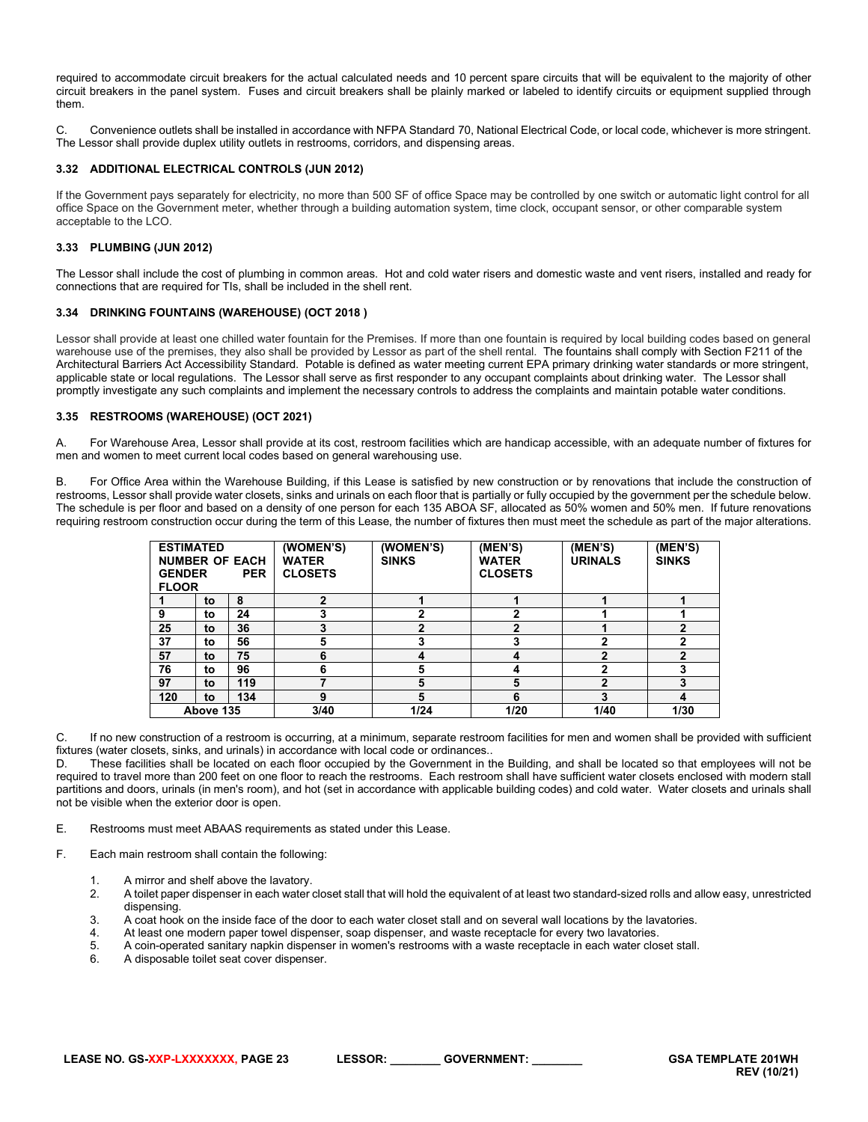required to accommodate circuit breakers for the actual calculated needs and 10 percent spare circuits that will be equivalent to the majority of other circuit breakers in the panel system. Fuses and circuit breakers shall be plainly marked or labeled to identify circuits or equipment supplied through them.

C. Convenience outlets shall be installed in accordance with NFPA Standard 70, National Electrical Code, or local code, whichever is more stringent. The Lessor shall provide duplex utility outlets in restrooms, corridors, and dispensing areas.

#### <span id="page-22-0"></span>**3.32 ADDITIONAL ELECTRICAL CONTROLS (JUN 2012)**

If the Government pays separately for electricity, no more than 500 SF of office Space may be controlled by one switch or automatic light control for all office Space on the Government meter, whether through a building automation system, time clock, occupant sensor, or other comparable system acceptable to the LCO.

# <span id="page-22-1"></span>**3.33 PLUMBING (JUN 2012)**

The Lessor shall include the cost of plumbing in common areas. Hot and cold water risers and domestic waste and vent risers, installed and ready for connections that are required for TIs, shall be included in the shell rent.

# <span id="page-22-2"></span>**3.34 DRINKING FOUNTAINS (WAREHOUSE) (OCT 2018 )**

Lessor shall provide at least one chilled water fountain for the Premises. If more than one fountain is required by local building codes based on general warehouse use of the premises, they also shall be provided by Lessor as part of the shell rental. The fountains shall comply with Section F211 of the Architectural Barriers Act Accessibility Standard. Potable is defined as water meeting current EPA primary drinking water standards or more stringent, applicable state or local regulations. The Lessor shall serve as first responder to any occupant complaints about drinking water. The Lessor shall promptly investigate any such complaints and implement the necessary controls to address the complaints and maintain potable water conditions.

#### <span id="page-22-3"></span>**3.35 RESTROOMS (WAREHOUSE) (OCT 2021)**

A. For Warehouse Area, Lessor shall provide at its cost, restroom facilities which are handicap accessible, with an adequate number of fixtures for men and women to meet current local codes based on general warehousing use.

B. For Office Area within the Warehouse Building, if this Lease is satisfied by new construction or by renovations that include the construction of restrooms, Lessor shall provide water closets, sinks and urinals on each floor that is partially or fully occupied by the government per the schedule below. The schedule is per floor and based on a density of one person for each 135 ABOA SF, allocated as 50% women and 50% men. If future renovations requiring restroom construction occur during the term of this Lease, the number of fixtures then must meet the schedule as part of the major alterations.

| <b>ESTIMATED</b><br><b>NUMBER OF EACH</b><br><b>PER</b><br><b>GENDER</b><br><b>FLOOR</b> |    | (WOMEN'S)<br><b>WATER</b><br><b>CLOSETS</b> | (WOMEN'S)<br><b>SINKS</b> | (MEN'S)<br><b>WATER</b><br><b>CLOSETS</b> | (MEN'S)<br><b>URINALS</b> | (MEN'S)<br><b>SINKS</b> |   |
|------------------------------------------------------------------------------------------|----|---------------------------------------------|---------------------------|-------------------------------------------|---------------------------|-------------------------|---|
|                                                                                          | to | 8                                           | 2                         |                                           |                           |                         |   |
| 9                                                                                        | to | 24                                          | 3                         |                                           |                           |                         |   |
| 25                                                                                       | to | 36                                          | 3                         |                                           |                           |                         |   |
| 37                                                                                       | to | 56                                          | 5                         |                                           |                           |                         |   |
| 57                                                                                       | to | 75                                          | 6                         | 4                                         | 4                         |                         |   |
| 76                                                                                       | to | 96                                          | 6                         | 5                                         | 4                         |                         |   |
| 97                                                                                       | to | 119                                         |                           | 5                                         | 5                         | $\mathbf{2}$            | 3 |
| 120                                                                                      | to | 134                                         | 9                         | 5                                         | 6                         | 3                       | 4 |
| Above 135                                                                                |    | 3/40                                        | 1/24                      | 1/20                                      | 1/40                      | 1/30                    |   |

C. If no new construction of a restroom is occurring, at a minimum, separate restroom facilities for men and women shall be provided with sufficient fixtures (water closets, sinks, and urinals) in accordance with local code or ordinances..

D. These facilities shall be located on each floor occupied by the Government in the Building, and shall be located so that employees will not be required to travel more than 200 feet on one floor to reach the restrooms. Each restroom shall have sufficient water closets enclosed with modern stall partitions and doors, urinals (in men's room), and hot (set in accordance with applicable building codes) and cold water. Water closets and urinals shall not be visible when the exterior door is open.

E. Restrooms must meet ABAAS requirements as stated under this Lease.

- F. Each main restroom shall contain the following:
	- 1. A mirror and shelf above the lavatory.<br>2. A toilet paper dispenser in each water
	- 2. A toilet paper dispenser in each water closet stall that will hold the equivalent of at least two standard-sized rolls and allow easy, unrestricted dispensing.
	- 3. A coat hook on the inside face of the door to each water closet stall and on several wall locations by the lavatories.<br>4. At least one modern paper towel dispenser, soap dispenser, and waste receptacle for every two lav
	- 4. At least one modern paper towel dispenser, soap dispenser, and waste receptacle for every two lavatories.<br>5. A coin-operated sanitary napkin dispenser in women's restrooms with a waste receptacle in each water cloi
	- 5. A coin-operated sanitary napkin dispenser in women's restrooms with a waste receptacle in each water closet stall.<br>6. A disposable toilet seat cover dispenser.
	- 6. A disposable toilet seat cover dispenser.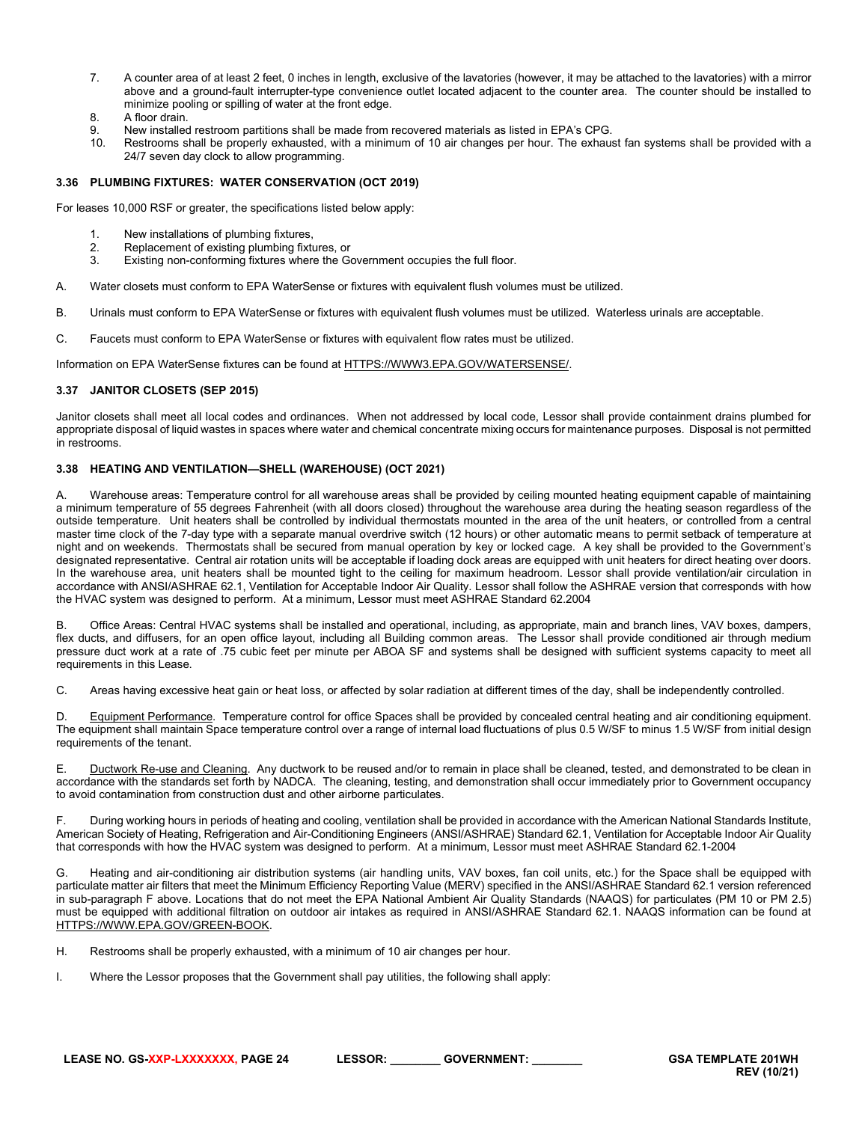- 7. A counter area of at least 2 feet, 0 inches in length, exclusive of the lavatories (however, it may be attached to the lavatories) with a mirror above and a ground-fault interrupter-type convenience outlet located adjacent to the counter area. The counter should be installed to minimize pooling or spilling of water at the front edge.
- 8. A floor drain.<br>9. New installed
- New installed restroom partitions shall be made from recovered materials as listed in EPA's CPG.
- 10. Restrooms shall be properly exhausted, with a minimum of 10 air changes per hour. The exhaust fan systems shall be provided with a 24/7 seven day clock to allow programming.

# <span id="page-23-0"></span>**3.36 PLUMBING FIXTURES: WATER CONSERVATION (OCT 2019)**

For leases 10,000 RSF or greater, the specifications listed below apply:

- 1. New installations of plumbing fixtures,<br>2. Replacement of existing plumbing fixtu
- Replacement of existing plumbing fixtures, or
- 3. Existing non-conforming fixtures where the Government occupies the full floor.
- A. Water closets must conform to EPA WaterSense or fixtures with equivalent flush volumes must be utilized.
- B. Urinals must conform to EPA WaterSense or fixtures with equivalent flush volumes must be utilized. Waterless urinals are acceptable.
- C. Faucets must conform to EPA WaterSense or fixtures with equivalent flow rates must be utilized.

Information on EPA WaterSense fixtures can be found at [HTTPS://WWW3.EPA.GOV/WATERSENSE/.](https://www3.epa.gov/watersense/)

#### <span id="page-23-1"></span>**3.37 JANITOR CLOSETS (SEP 2015)**

Janitor closets shall meet all local codes and ordinances. When not addressed by local code, Lessor shall provide containment drains plumbed for appropriate disposal of liquid wastes in spaces where water and chemical concentrate mixing occurs for maintenance purposes. Disposal is not permitted in restrooms.

## <span id="page-23-2"></span>**3.38 HEATING AND VENTILATION—SHELL (WAREHOUSE) (OCT 2021)**

A. Warehouse areas: Temperature control for all warehouse areas shall be provided by ceiling mounted heating equipment capable of maintaining a minimum temperature of 55 degrees Fahrenheit (with all doors closed) throughout the warehouse area during the heating season regardless of the outside temperature. Unit heaters shall be controlled by individual thermostats mounted in the area of the unit heaters, or controlled from a central master time clock of the 7-day type with a separate manual overdrive switch (12 hours) or other automatic means to permit setback of temperature at night and on weekends. Thermostats shall be secured from manual operation by key or locked cage. A key shall be provided to the Government's designated representative. Central air rotation units will be acceptable if loading dock areas are equipped with unit heaters for direct heating over doors. In the warehouse area, unit heaters shall be mounted tight to the ceiling for maximum headroom. Lessor shall provide ventilation/air circulation in accordance with ANSI/ASHRAE 62.1, Ventilation for Acceptable Indoor Air Quality. Lessor shall follow the ASHRAE version that corresponds with how the HVAC system was designed to perform. At a minimum, Lessor must meet ASHRAE Standard 62.2004

B. Office Areas: Central HVAC systems shall be installed and operational, including, as appropriate, main and branch lines, VAV boxes, dampers, flex ducts, and diffusers, for an open office layout, including all Building common areas. The Lessor shall provide conditioned air through medium pressure duct work at a rate of .75 cubic feet per minute per ABOA SF and systems shall be designed with sufficient systems capacity to meet all requirements in this Lease.

C. Areas having excessive heat gain or heat loss, or affected by solar radiation at different times of the day, shall be independently controlled.

D. Equipment Performance. Temperature control for office Spaces shall be provided by concealed central heating and air conditioning equipment. The equipment shall maintain Space temperature control over a range of internal load fluctuations of plus 0.5 W/SF to minus 1.5 W/SF from initial design requirements of the tenant.

E. Ductwork Re-use and Cleaning. Any ductwork to be reused and/or to remain in place shall be cleaned, tested, and demonstrated to be clean in accordance with the standards set forth by NADCA. The cleaning, testing, and demonstration shall occur immediately prior to Government occupancy to avoid contamination from construction dust and other airborne particulates.

F. During working hours in periods of heating and cooling, ventilation shall be provided in accordance with the American National Standards Institute, American Society of Heating, Refrigeration and Air-Conditioning Engineers (ANSI/ASHRAE) Standard 62.1, Ventilation for Acceptable Indoor Air Quality that corresponds with how the HVAC system was designed to perform. At a minimum, Lessor must meet ASHRAE Standard 62.1-2004

G. Heating and air-conditioning air distribution systems (air handling units, VAV boxes, fan coil units, etc.) for the Space shall be equipped with particulate matter air filters that meet the Minimum Efficiency Reporting Value (MERV) specified in the ANSI/ASHRAE Standard 62.1 version referenced in sub-paragraph F above. Locations that do not meet the EPA National Ambient Air Quality Standards (NAAQS) for particulates (PM 10 or PM 2.5) must be equipped with additional filtration on outdoor air intakes as required in ANSI/ASHRAE Standard 62.1. NAAQS information can be found at [HTTPS://WWW.EPA.GOV/GREEN-BOOK.](https://www.epa.gov/green-book)

- H. Restrooms shall be properly exhausted, with a minimum of 10 air changes per hour.
- I. Where the Lessor proposes that the Government shall pay utilities, the following shall apply: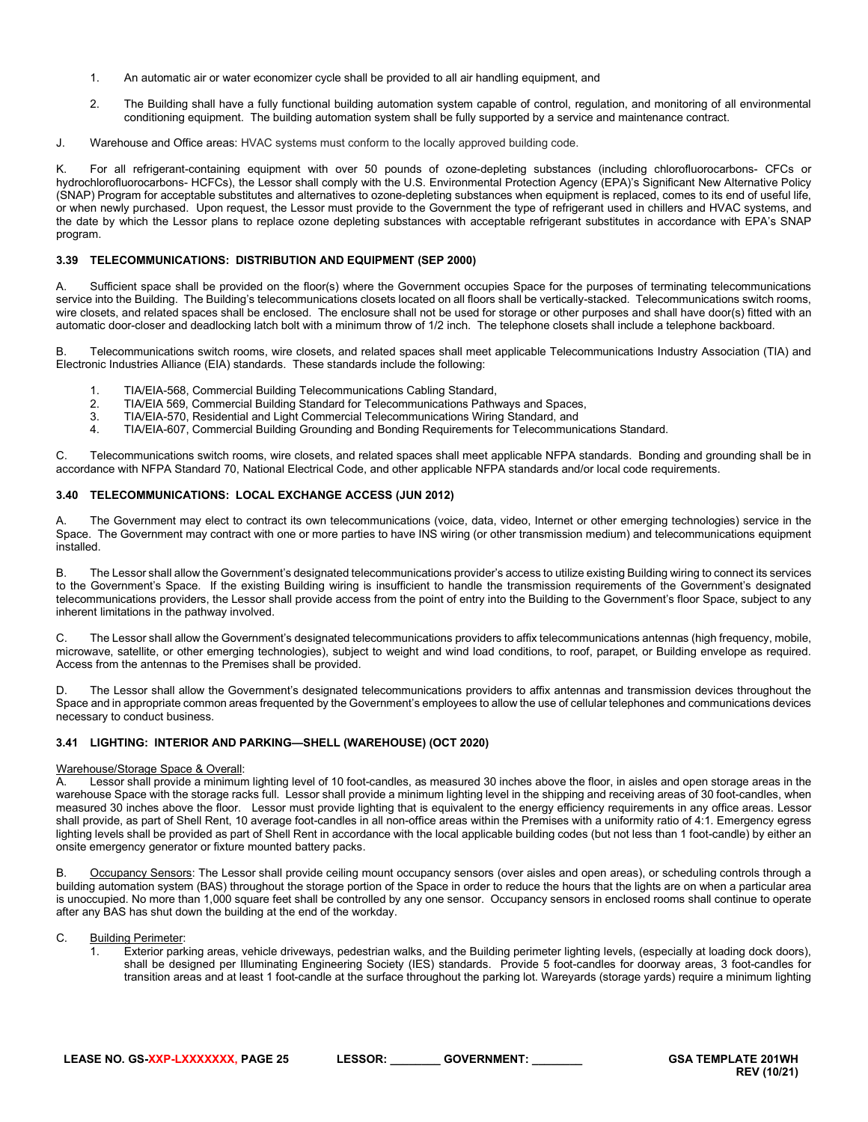- 1. An automatic air or water economizer cycle shall be provided to all air handling equipment, and
- 2. The Building shall have a fully functional building automation system capable of control, regulation, and monitoring of all environmental conditioning equipment. The building automation system shall be fully supported by a service and maintenance contract.
- J. Warehouse and Office areas: HVAC systems must conform to the locally approved building code.

K. For all refrigerant-containing equipment with over 50 pounds of ozone-depleting substances (including chlorofluorocarbons- CFCs or hydrochlorofluorocarbons- HCFCs), the Lessor shall comply with the U.S. Environmental Protection Agency (EPA)'s Significant New Alternative Policy (SNAP) Program for acceptable substitutes and alternatives to ozone-depleting substances when equipment is replaced, comes to its end of useful life, or when newly purchased. Upon request, the Lessor must provide to the Government the type of refrigerant used in chillers and HVAC systems, and the date by which the Lessor plans to replace ozone depleting substances with acceptable refrigerant substitutes in accordance with EPA's SNAP program.

#### <span id="page-24-0"></span>**3.39 TELECOMMUNICATIONS: DISTRIBUTION AND EQUIPMENT (SEP 2000)**

A. Sufficient space shall be provided on the floor(s) where the Government occupies Space for the purposes of terminating telecommunications service into the Building. The Building's telecommunications closets located on all floors shall be vertically-stacked. Telecommunications switch rooms, wire closets, and related spaces shall be enclosed. The enclosure shall not be used for storage or other purposes and shall have door(s) fitted with an automatic door-closer and deadlocking latch bolt with a minimum throw of 1/2 inch. The telephone closets shall include a telephone backboard.

B. Telecommunications switch rooms, wire closets, and related spaces shall meet applicable Telecommunications Industry Association (TIA) and Electronic Industries Alliance (EIA) standards. These standards include the following:

- 1. TIA/EIA-568, Commercial Building Telecommunications Cabling Standard,<br>2. TIA/EIA 569, Commercial Building Standard for Telecommunications Pathy
- 2. TIA/EIA 569, Commercial Building Standard for Telecommunications Pathways and Spaces,
- 3. TIA/EIA-570, Residential and Light Commercial Telecommunications Wiring Standard, and
- 4. TIA/EIA-607, Commercial Building Grounding and Bonding Requirements for Telecommunications Standard.

C. Telecommunications switch rooms, wire closets, and related spaces shall meet applicable NFPA standards. Bonding and grounding shall be in accordance with NFPA Standard 70, National Electrical Code, and other applicable NFPA standards and/or local code requirements.

#### <span id="page-24-1"></span>**3.40 TELECOMMUNICATIONS: LOCAL EXCHANGE ACCESS (JUN 2012)**

A. The Government may elect to contract its own telecommunications (voice, data, video, Internet or other emerging technologies) service in the Space. The Government may contract with one or more parties to have INS wiring (or other transmission medium) and telecommunications equipment installed.

B. The Lessor shall allow the Government's designated telecommunications provider's access to utilize existing Building wiring to connect its services to the Government's Space. If the existing Building wiring is insufficient to handle the transmission requirements of the Government's designated telecommunications providers, the Lessor shall provide access from the point of entry into the Building to the Government's floor Space, subject to any inherent limitations in the pathway involved.

C. The Lessor shall allow the Government's designated telecommunications providers to affix telecommunications antennas (high frequency, mobile, microwave, satellite, or other emerging technologies), subject to weight and wind load conditions, to roof, parapet, or Building envelope as required. Access from the antennas to the Premises shall be provided.

D. The Lessor shall allow the Government's designated telecommunications providers to affix antennas and transmission devices throughout the Space and in appropriate common areas frequented by the Government's employees to allow the use of cellular telephones and communications devices necessary to conduct business.

#### <span id="page-24-2"></span>**3.41 LIGHTING: INTERIOR AND PARKING—SHELL (WAREHOUSE) (OCT 2020)**

#### Warehouse/Storage Space & Overall:

A. Lessor shall provide a minimum lighting level of 10 foot-candles, as measured 30 inches above the floor, in aisles and open storage areas in the warehouse Space with the storage racks full. Lessor shall provide a minimum lighting level in the shipping and receiving areas of 30 foot-candles, when measured 30 inches above the floor. Lessor must provide lighting that is equivalent to the energy efficiency requirements in any office areas. Lessor shall provide, as part of Shell Rent, 10 average foot-candles in all non-office areas within the Premises with a uniformity ratio of 4:1. Emergency egress lighting levels shall be provided as part of Shell Rent in accordance with the local applicable building codes (but not less than 1 foot-candle) by either an onsite emergency generator or fixture mounted battery packs.

B. Occupancy Sensors: The Lessor shall provide ceiling mount occupancy sensors (over aisles and open areas), or scheduling controls through a building automation system (BAS) throughout the storage portion of the Space in order to reduce the hours that the lights are on when a particular area is unoccupied. No more than 1,000 square feet shall be controlled by any one sensor. Occupancy sensors in enclosed rooms shall continue to operate after any BAS has shut down the building at the end of the workday.

- C. Building Perimeter:
	- 1. Exterior parking areas, vehicle driveways, pedestrian walks, and the Building perimeter lighting levels, (especially at loading dock doors), shall be designed per Illuminating Engineering Society (IES) standards. Provide 5 foot-candles for doorway areas, 3 foot-candles for transition areas and at least 1 foot-candle at the surface throughout the parking lot. Wareyards (storage yards) require a minimum lighting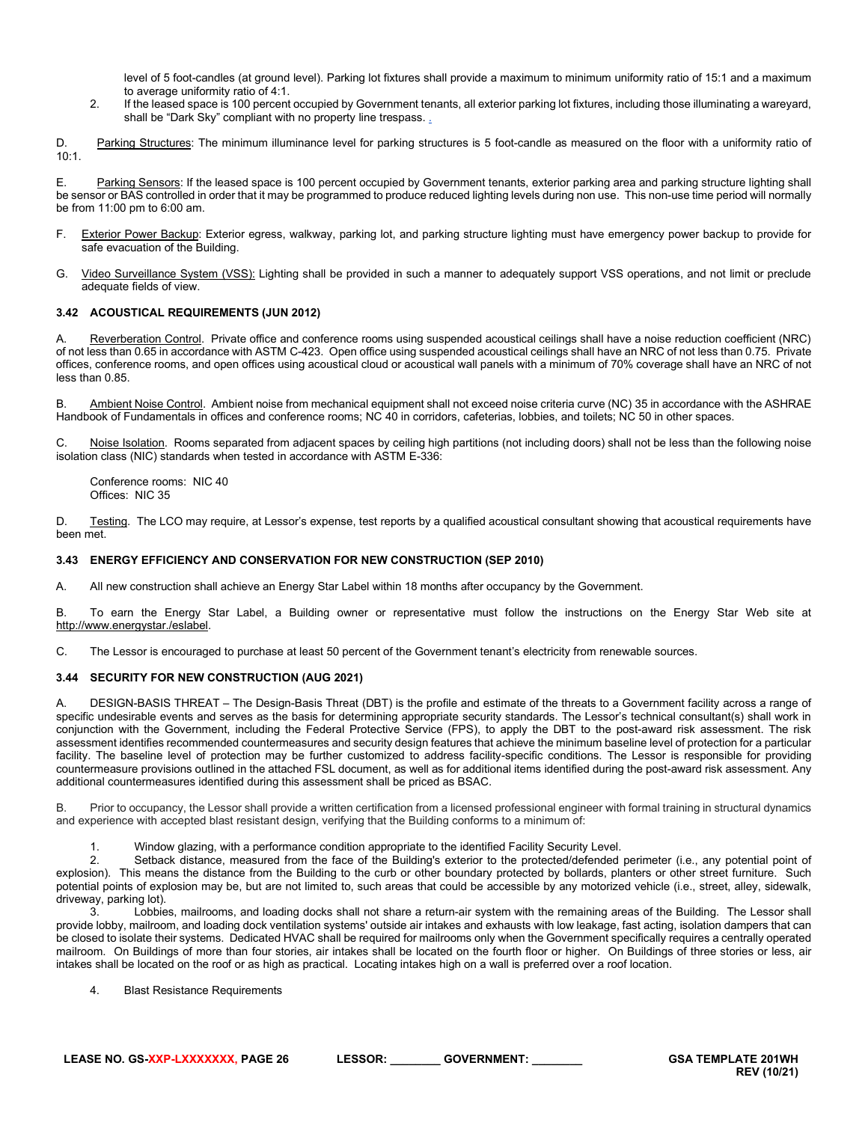level of 5 foot-candles (at ground level). Parking lot fixtures shall provide a maximum to minimum uniformity ratio of 15:1 and a maximum to average uniformity ratio of 4:1.

2. If the leased space is 100 percent occupied by Government tenants, all exterior parking lot fixtures, including those illuminating a wareyard, shall be "Dark Sky" compliant with no property line trespass.

D. Parking Structures: The minimum illuminance level for parking structures is 5 foot-candle as measured on the floor with a uniformity ratio of  $10:1$ 

E. Parking Sensors: If the leased space is 100 percent occupied by Government tenants, exterior parking area and parking structure lighting shall be sensor or BAS controlled in order that it may be programmed to produce reduced lighting levels during non use. This non-use time period will normally be from 11:00 pm to 6:00 am.

- F. Exterior Power Backup: Exterior egress, walkway, parking lot, and parking structure lighting must have emergency power backup to provide for safe evacuation of the Building.
- G. Video Surveillance System (VSS): Lighting shall be provided in such a manner to adequately support VSS operations, and not limit or preclude adequate fields of view.

# <span id="page-25-0"></span>**3.42 ACOUSTICAL REQUIREMENTS (JUN 2012)**

A. Reverberation Control. Private office and conference rooms using suspended acoustical ceilings shall have a noise reduction coefficient (NRC) of not less than 0.65 in accordance with ASTM C-423. Open office using suspended acoustical ceilings shall have an NRC of not less than 0.75. Private offices, conference rooms, and open offices using acoustical cloud or acoustical wall panels with a minimum of 70% coverage shall have an NRC of not less than 0.85.

B. Ambient Noise Control. Ambient noise from mechanical equipment shall not exceed noise criteria curve (NC) 35 in accordance with the ASHRAE Handbook of Fundamentals in offices and conference rooms; NC 40 in corridors, cafeterias, lobbies, and toilets; NC 50 in other spaces.

C. Noise Isolation. Rooms separated from adjacent spaces by ceiling high partitions (not including doors) shall not be less than the following noise isolation class (NIC) standards when tested in accordance with ASTM E-336:

Conference rooms: NIC 40 Offices: NIC 35

D. Testing. The LCO may require, at Lessor's expense, test reports by a qualified acoustical consultant showing that acoustical requirements have been met.

#### <span id="page-25-1"></span>**3.43 ENERGY EFFICIENCY AND CONSERVATION FOR NEW CONSTRUCTION (SEP 2010)**

A. All new construction shall achieve an Energy Star Label within 18 months after occupancy by the Government.

B. To earn the Energy Star Label, a Building owner or representative must follow the instructions on the Energy Star Web site at http://www.energystar./eslabel.

C. The Lessor is encouraged to purchase at least 50 percent of the Government tenant's electricity from renewable sources.

#### <span id="page-25-2"></span>**3.44 SECURITY FOR NEW CONSTRUCTION (AUG 2021)**

A. DESIGN-BASIS THREAT – The Design-Basis Threat (DBT) is the profile and estimate of the threats to a Government facility across a range of specific undesirable events and serves as the basis for determining appropriate security standards. The Lessor's technical consultant(s) shall work in conjunction with the Government, including the Federal Protective Service (FPS), to apply the DBT to the post-award risk assessment. The risk assessment identifies recommended countermeasures and security design features that achieve the minimum baseline level of protection for a particular facility. The baseline level of protection may be further customized to address facility-specific conditions. The Lessor is responsible for providing countermeasure provisions outlined in the attached FSL document, as well as for additional items identified during the post-award risk assessment. Any additional countermeasures identified during this assessment shall be priced as BSAC.

B. Prior to occupancy, the Lessor shall provide a written certification from a licensed professional engineer with formal training in structural dynamics and experience with accepted blast resistant design, verifying that the Building conforms to a minimum of:

1. Window glazing, with a performance condition appropriate to the identified Facility Security Level.<br>2. Setback distance, measured from the face of the Building's exterior to the protected/defended

Setback distance, measured from the face of the Building's exterior to the protected/defended perimeter (i.e., any potential point of explosion). This means the distance from the Building to the curb or other boundary protected by bollards, planters or other street furniture. Such potential points of explosion may be, but are not limited to, such areas that could be accessible by any motorized vehicle (i.e., street, alley, sidewalk, driveway, parking lot).

3. Lobbies, mailrooms, and loading docks shall not share a return-air system with the remaining areas of the Building. The Lessor shall provide lobby, mailroom, and loading dock ventilation systems' outside air intakes and exhausts with low leakage, fast acting, isolation dampers that can be closed to isolate their systems. Dedicated HVAC shall be required for mailrooms only when the Government specifically requires a centrally operated mailroom. On Buildings of more than four stories, air intakes shall be located on the fourth floor or higher. On Buildings of three stories or less, air intakes shall be located on the roof or as high as practical. Locating intakes high on a wall is preferred over a roof location.

4. Blast Resistance Requirements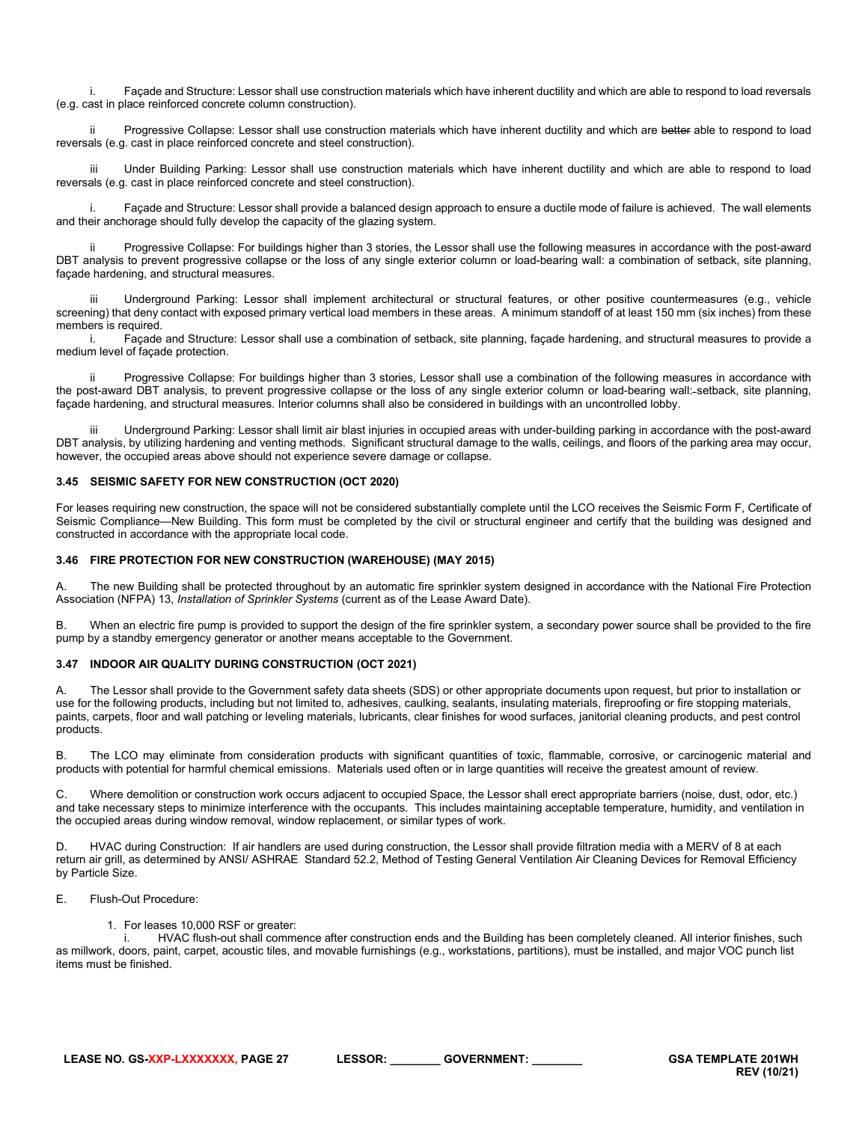i. Façade and Structure: Lessor shall use construction materials which have inherent ductility and which are able to respond to load reversals (e.g. cast in place reinforced concrete column construction).

ii Progressive Collapse: Lessor shall use construction materials which have inherent ductility and which are better able to respond to load reversals (e.g. cast in place reinforced concrete and steel construction).

Under Building Parking: Lessor shall use construction materials which have inherent ductility and which are able to respond to load reversals (e.g. cast in place reinforced concrete and steel construction).

i. Façade and Structure: Lessor shall provide a balanced design approach to ensure a ductile mode of failure is achieved. The wall elements and their anchorage should fully develop the capacity of the glazing system.

ii Progressive Collapse: For buildings higher than 3 stories, the Lessor shall use the following measures in accordance with the post-award DBT analysis to prevent progressive collapse or the loss of any single exterior column or load-bearing wall: a combination of setback, site planning, façade hardening, and structural measures.

Underground Parking: Lessor shall implement architectural or structural features, or other positive countermeasures (e.g., vehicle screening) that deny contact with exposed primary vertical load members in these areas. A minimum standoff of at least 150 mm (six inches) from these members is required.

i. Façade and Structure: Lessor shall use a combination of setback, site planning, façade hardening, and structural measures to provide a medium level of façade protection.

Progressive Collapse: For buildings higher than 3 stories, Lessor shall use a combination of the following measures in accordance with the post-award DBT analysis, to prevent progressive collapse or the loss of any single exterior column or load-bearing wall: setback, site planning, façade hardening, and structural measures. Interior columns shall also be considered in buildings with an uncontrolled lobby.

Underground Parking: Lessor shall limit air blast injuries in occupied areas with under-building parking in accordance with the post-award DBT analysis, by utilizing hardening and venting methods. Significant structural damage to the walls, ceilings, and floors of the parking area may occur, however, the occupied areas above should not experience severe damage or collapse.

#### <span id="page-26-0"></span>**3.45 SEISMIC SAFETY FOR NEW CONSTRUCTION (OCT 2020)**

For leases requiring new construction, the space will not be considered substantially complete until the LCO receives the Seismic Form F, Certificate of Seismic Compliance—New Building. This form must be completed by the civil or structural engineer and certify that the building was designed and constructed in accordance with the appropriate local code.

#### <span id="page-26-1"></span>**3.46 FIRE PROTECTION FOR NEW CONSTRUCTION (WAREHOUSE) (MAY 2015)**

A. The new Building shall be protected throughout by an automatic fire sprinkler system designed in accordance with the National Fire Protection Association (NFPA) 13, *Installation of Sprinkler Systems* (current as of the Lease Award Date).

B. When an electric fire pump is provided to support the design of the fire sprinkler system, a secondary power source shall be provided to the fire pump by a standby emergency generator or another means acceptable to the Government.

#### <span id="page-26-2"></span>**3.47 INDOOR AIR QUALITY DURING CONSTRUCTION (OCT 2021)**

The Lessor shall provide to the Government safety data sheets (SDS) or other appropriate documents upon request, but prior to installation or use for the following products, including but not limited to, adhesives, caulking, sealants, insulating materials, fireproofing or fire stopping materials, paints, carpets, floor and wall patching or leveling materials, lubricants, clear finishes for wood surfaces, janitorial cleaning products, and pest control products.

B. The LCO may eliminate from consideration products with significant quantities of toxic, flammable, corrosive, or carcinogenic material and products with potential for harmful chemical emissions. Materials used often or in large quantities will receive the greatest amount of review.

C. Where demolition or construction work occurs adjacent to occupied Space, the Lessor shall erect appropriate barriers (noise, dust, odor, etc.) and take necessary steps to minimize interference with the occupants. This includes maintaining acceptable temperature, humidity, and ventilation in the occupied areas during window removal, window replacement, or similar types of work.

D. HVAC during Construction: If air handlers are used during construction, the Lessor shall provide filtration media with a MERV of 8 at each return air grill, as determined by ANSI/ ASHRAE Standard 52.2, Method of Testing General Ventilation Air Cleaning Devices for Removal Efficiency by Particle Size.

#### E. Flush-Out Procedure:

1. For leases 10,000 RSF or greater:

i. HVAC flush-out shall commence after construction ends and the Building has been completely cleaned. All interior finishes, such as millwork, doors, paint, carpet, acoustic tiles, and movable furnishings (e.g., workstations, partitions), must be installed, and major VOC punch list items must be finished.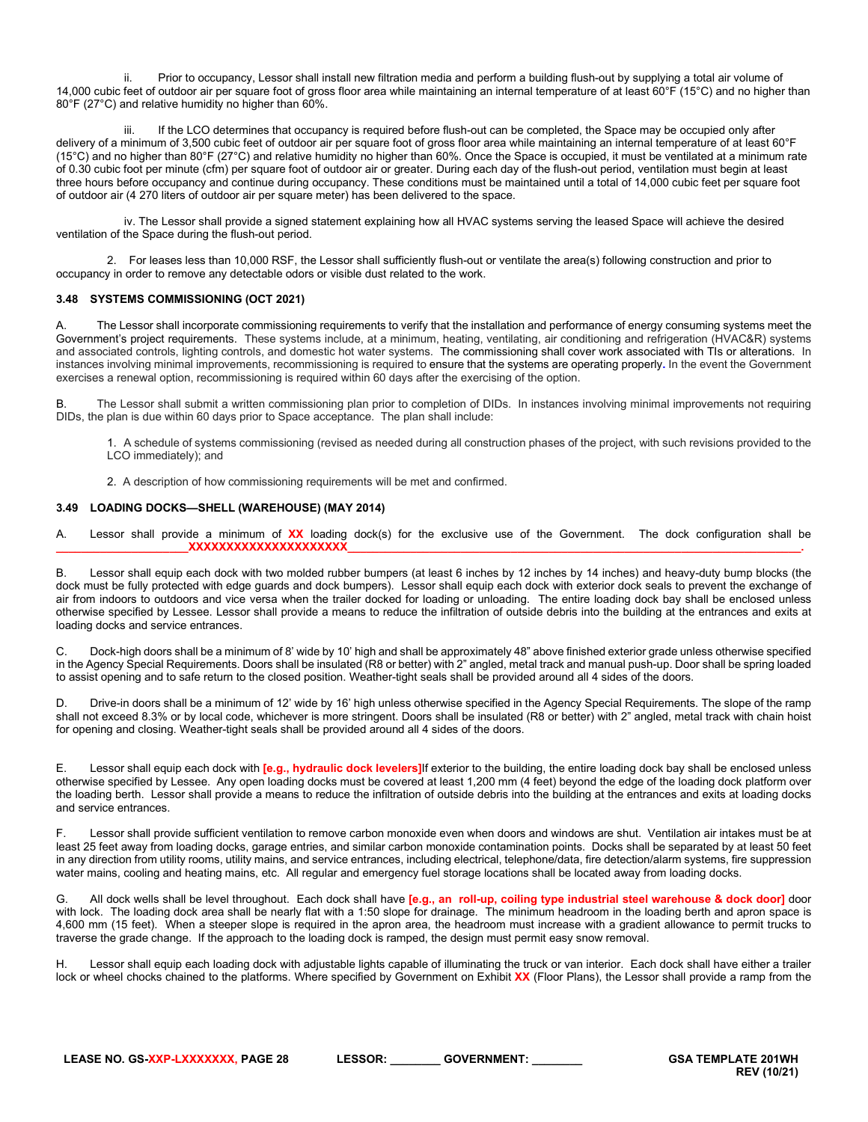ii. Prior to occupancy, Lessor shall install new filtration media and perform a building flush-out by supplying a total air volume of 14,000 cubic feet of outdoor air per square foot of gross floor area while maintaining an internal temperature of at least 60°F (15°C) and no higher than 80°F (27°C) and relative humidity no higher than 60%.

If the LCO determines that occupancy is required before flush-out can be completed, the Space may be occupied only after delivery of a minimum of 3,500 cubic feet of outdoor air per square foot of gross floor area while maintaining an internal temperature of at least 60°F (15°C) and no higher than 80°F (27°C) and relative humidity no higher than 60%. Once the Space is occupied, it must be ventilated at a minimum rate of 0.30 cubic foot per minute (cfm) per square foot of outdoor air or greater. During each day of the flush-out period, ventilation must begin at least three hours before occupancy and continue during occupancy. These conditions must be maintained until a total of 14,000 cubic feet per square foot of outdoor air (4 270 liters of outdoor air per square meter) has been delivered to the space.

iv. The Lessor shall provide a signed statement explaining how all HVAC systems serving the leased Space will achieve the desired ventilation of the Space during the flush-out period.

2. For leases less than 10,000 RSF, the Lessor shall sufficiently flush-out or ventilate the area(s) following construction and prior to occupancy in order to remove any detectable odors or visible dust related to the work.

#### <span id="page-27-0"></span>**3.48 SYSTEMS COMMISSIONING (OCT 2021)**

A. The Lessor shall incorporate commissioning requirements to verify that the installation and performance of energy consuming systems meet the Government's project requirements. These systems include, at a minimum, heating, ventilating, air conditioning and refrigeration (HVAC&R) systems and associated controls, lighting controls, and domestic hot water systems. The commissioning shall cover work associated with TIs or alterations. In instances involving minimal improvements, recommissioning is required to ensure that the systems are operating properly**.** In the event the Government exercises a renewal option, recommissioning is required within 60 days after the exercising of the option.

B. The Lessor shall submit a written commissioning plan prior to completion of DIDs. In instances involving minimal improvements not requiring DIDs, the plan is due within 60 days prior to Space acceptance. The plan shall include:

1. A schedule of systems commissioning (revised as needed during all construction phases of the project, with such revisions provided to the LCO immediately); and

2. A description of how commissioning requirements will be met and confirmed.

#### <span id="page-27-1"></span>**3.49 LOADING DOCKS—SHELL (WAREHOUSE) (MAY 2014)**

A. Lessor shall provide a minimum of **XX** loading dock(s) for the exclusive use of the Government. The dock configuration shall be **\_\_\_\_\_\_\_\_\_\_\_\_\_\_\_\_\_\_\_\_\_XXXXXXXXXXXXXXXXXXXXX\_\_\_\_\_\_\_\_\_\_\_\_\_\_\_\_\_\_\_\_\_\_\_\_\_\_\_\_\_\_\_\_\_\_\_\_\_\_\_\_\_\_\_\_\_\_\_\_\_\_\_\_\_\_\_\_\_\_\_\_\_\_\_\_\_\_\_\_\_\_\_\_.**

B. Lessor shall equip each dock with two molded rubber bumpers (at least 6 inches by 12 inches by 14 inches) and heavy-duty bump blocks (the dock must be fully protected with edge guards and dock bumpers). Lessor shall equip each dock with exterior dock seals to prevent the exchange of air from indoors to outdoors and vice versa when the trailer docked for loading or unloading. The entire loading dock bay shall be enclosed unless otherwise specified by Lessee. Lessor shall provide a means to reduce the infiltration of outside debris into the building at the entrances and exits at loading docks and service entrances.

C. Dock-high doors shall be a minimum of 8' wide by 10' high and shall be approximately 48" above finished exterior grade unless otherwise specified in the Agency Special Requirements. Doors shall be insulated (R8 or better) with 2" angled, metal track and manual push-up. Door shall be spring loaded to assist opening and to safe return to the closed position. Weather-tight seals shall be provided around all 4 sides of the doors.

D. Drive-in doors shall be a minimum of 12' wide by 16' high unless otherwise specified in the Agency Special Requirements. The slope of the ramp shall not exceed 8.3% or by local code, whichever is more stringent. Doors shall be insulated (R8 or better) with 2" angled, metal track with chain hoist for opening and closing. Weather-tight seals shall be provided around all 4 sides of the doors.

E. Lessor shall equip each dock with **[e.g., hydraulic dock levelers]**If exterior to the building, the entire loading dock bay shall be enclosed unless otherwise specified by Lessee. Any open loading docks must be covered at least 1,200 mm (4 feet) beyond the edge of the loading dock platform over the loading berth. Lessor shall provide a means to reduce the infiltration of outside debris into the building at the entrances and exits at loading docks and service entrances.

F. Lessor shall provide sufficient ventilation to remove carbon monoxide even when doors and windows are shut. Ventilation air intakes must be at least 25 feet away from loading docks, garage entries, and similar carbon monoxide contamination points. Docks shall be separated by at least 50 feet in any direction from utility rooms, utility mains, and service entrances, including electrical, telephone/data, fire detection/alarm systems, fire suppression water mains, cooling and heating mains, etc. All regular and emergency fuel storage locations shall be located away from loading docks.

G. All dock wells shall be level throughout. Each dock shall have **[e.g., an roll-up, coiling type industrial steel warehouse & dock door]** door with lock. The loading dock area shall be nearly flat with a 1:50 slope for drainage. The minimum headroom in the loading berth and apron space is 4,600 mm (15 feet). When a steeper slope is required in the apron area, the headroom must increase with a gradient allowance to permit trucks to traverse the grade change. If the approach to the loading dock is ramped, the design must permit easy snow removal.

H. Lessor shall equip each loading dock with adjustable lights capable of illuminating the truck or van interior. Each dock shall have either a trailer lock or wheel chocks chained to the platforms. Where specified by Government on Exhibit **XX** (Floor Plans), the Lessor shall provide a ramp from the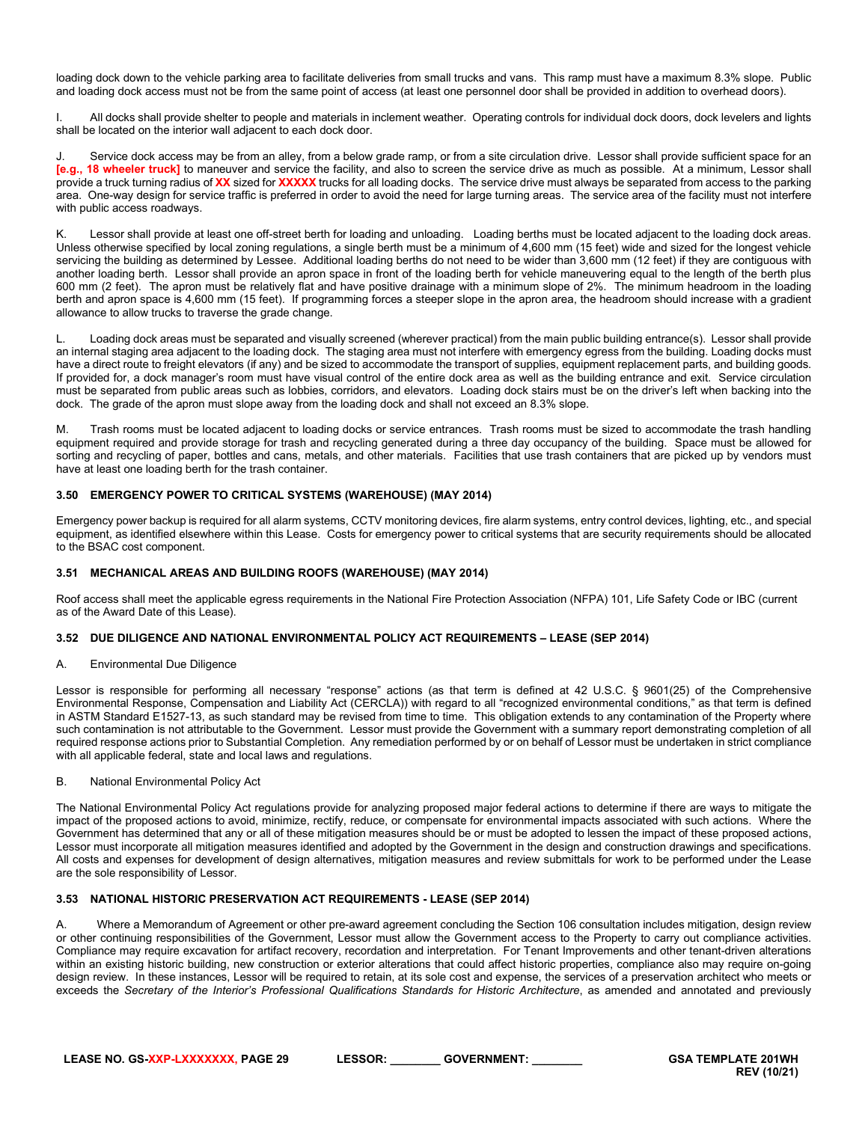loading dock down to the vehicle parking area to facilitate deliveries from small trucks and vans. This ramp must have a maximum 8.3% slope. Public and loading dock access must not be from the same point of access (at least one personnel door shall be provided in addition to overhead doors).

I. All docks shall provide shelter to people and materials in inclement weather. Operating controls for individual dock doors, dock levelers and lights shall be located on the interior wall adjacent to each dock door.

Service dock access may be from an alley, from a below grade ramp, or from a site circulation drive. Lessor shall provide sufficient space for an **[e.g., 18 wheeler truck]** to maneuver and service the facility, and also to screen the service drive as much as possible. At a minimum, Lessor shall provide a truck turning radius of **XX** sized for **XXXXX** trucks for all loading docks. The service drive must always be separated from access to the parking area. One-way design for service traffic is preferred in order to avoid the need for large turning areas. The service area of the facility must not interfere with public access roadways.

K. Lessor shall provide at least one off-street berth for loading and unloading. Loading berths must be located adjacent to the loading dock areas. Unless otherwise specified by local zoning regulations, a single berth must be a minimum of 4,600 mm (15 feet) wide and sized for the longest vehicle servicing the building as determined by Lessee. Additional loading berths do not need to be wider than 3,600 mm (12 feet) if they are contiguous with another loading berth. Lessor shall provide an apron space in front of the loading berth for vehicle maneuvering equal to the length of the berth plus 600 mm (2 feet). The apron must be relatively flat and have positive drainage with a minimum slope of 2%. The minimum headroom in the loading berth and apron space is 4,600 mm (15 feet). If programming forces a steeper slope in the apron area, the headroom should increase with a gradient allowance to allow trucks to traverse the grade change.

L. Loading dock areas must be separated and visually screened (wherever practical) from the main public building entrance(s). Lessor shall provide an internal staging area adjacent to the loading dock. The staging area must not interfere with emergency egress from the building. Loading docks must have a direct route to freight elevators (if any) and be sized to accommodate the transport of supplies, equipment replacement parts, and building goods. If provided for, a dock manager's room must have visual control of the entire dock area as well as the building entrance and exit. Service circulation must be separated from public areas such as lobbies, corridors, and elevators. Loading dock stairs must be on the driver's left when backing into the dock. The grade of the apron must slope away from the loading dock and shall not exceed an 8.3% slope.

M. Trash rooms must be located adjacent to loading docks or service entrances. Trash rooms must be sized to accommodate the trash handling equipment required and provide storage for trash and recycling generated during a three day occupancy of the building. Space must be allowed for sorting and recycling of paper, bottles and cans, metals, and other materials. Facilities that use trash containers that are picked up by vendors must have at least one loading berth for the trash container.

#### <span id="page-28-0"></span>**3.50 EMERGENCY POWER TO CRITICAL SYSTEMS (WAREHOUSE) (MAY 2014)**

Emergency power backup is required for all alarm systems, CCTV monitoring devices, fire alarm systems, entry control devices, lighting, etc., and special equipment, as identified elsewhere within this Lease. Costs for emergency power to critical systems that are security requirements should be allocated to the BSAC cost component.

#### <span id="page-28-1"></span>**3.51 MECHANICAL AREAS AND BUILDING ROOFS (WAREHOUSE) (MAY 2014)**

Roof access shall meet the applicable egress requirements in the National Fire Protection Association (NFPA) 101, Life Safety Code or IBC (current as of the Award Date of this Lease).

#### <span id="page-28-2"></span>**3.52 DUE DILIGENCE AND NATIONAL ENVIRONMENTAL POLICY ACT REQUIREMENTS – LEASE (SEP 2014)**

#### A. Environmental Due Diligence

Lessor is responsible for performing all necessary "response" actions (as that term is defined at 42 U.S.C. § 9601(25) of the Comprehensive Environmental Response, Compensation and Liability Act (CERCLA)) with regard to all "recognized environmental conditions," as that term is defined in ASTM Standard E1527-13, as such standard may be revised from time to time. This obligation extends to any contamination of the Property where such contamination is not attributable to the Government. Lessor must provide the Government with a summary report demonstrating completion of all required response actions prior to Substantial Completion. Any remediation performed by or on behalf of Lessor must be undertaken in strict compliance with all applicable federal, state and local laws and regulations.

#### B. National Environmental Policy Act

The National Environmental Policy Act regulations provide for analyzing proposed major federal actions to determine if there are ways to mitigate the impact of the proposed actions to avoid, minimize, rectify, reduce, or compensate for environmental impacts associated with such actions. Where the Government has determined that any or all of these mitigation measures should be or must be adopted to lessen the impact of these proposed actions, Lessor must incorporate all mitigation measures identified and adopted by the Government in the design and construction drawings and specifications. All costs and expenses for development of design alternatives, mitigation measures and review submittals for work to be performed under the Lease are the sole responsibility of Lessor.

#### <span id="page-28-3"></span>**3.53 NATIONAL HISTORIC PRESERVATION ACT REQUIREMENTS - LEASE (SEP 2014)**

A. Where a Memorandum of Agreement or other pre-award agreement concluding the Section 106 consultation includes mitigation, design review or other continuing responsibilities of the Government, Lessor must allow the Government access to the Property to carry out compliance activities. Compliance may require excavation for artifact recovery, recordation and interpretation. For Tenant Improvements and other tenant-driven alterations within an existing historic building, new construction or exterior alterations that could affect historic properties, compliance also may require on-going design review. In these instances, Lessor will be required to retain, at its sole cost and expense, the services of a preservation architect who meets or exceeds the Secretary of the Interior's Professional Qualifications Standards for Historic Architecture, as amended and annotated and previously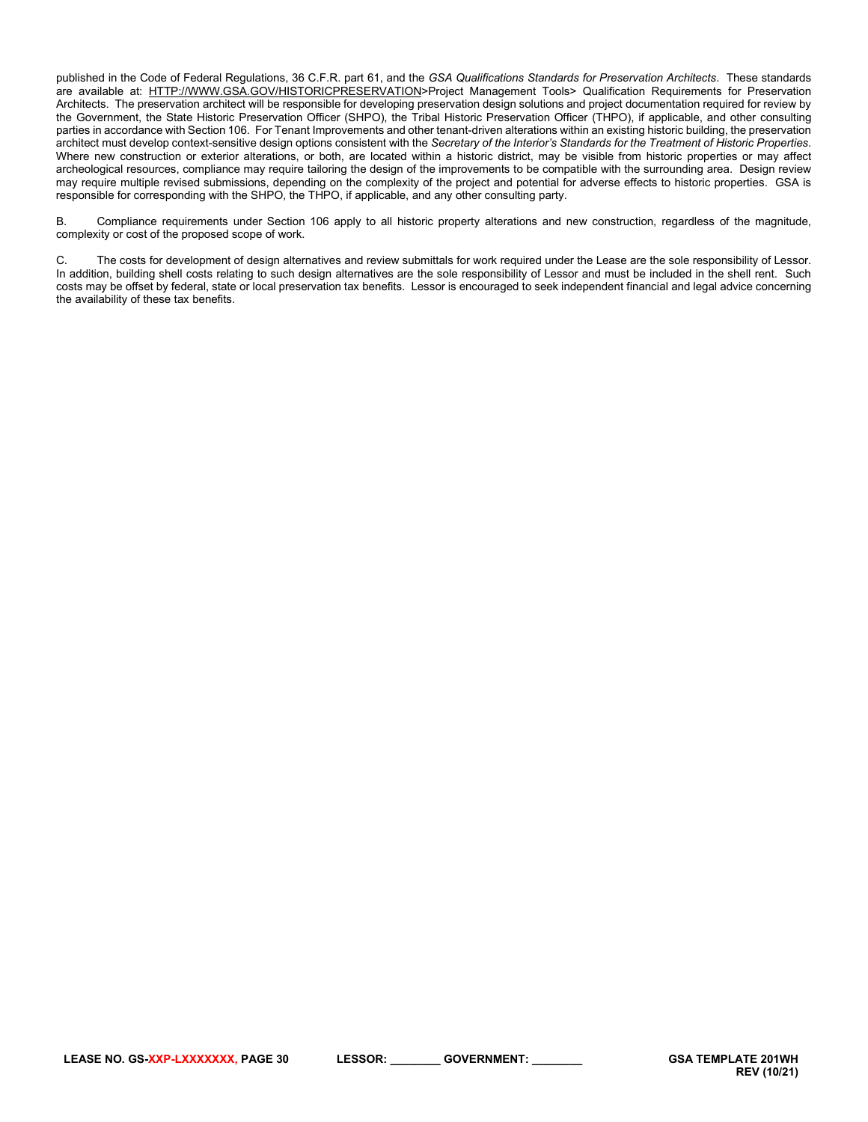published in the Code of Federal Regulations, 36 C.F.R. part 61, and the *GSA Qualifications Standards for Preservation Architects*. These standards are available at: [HTTP://WWW.GSA.GOV/HISTORICPRESERVATION>](http://www.gsa.gov/historicpreservation)Project Management Tools> Qualification Requirements for Preservation Architects. The preservation architect will be responsible for developing preservation design solutions and project documentation required for review by the Government, the State Historic Preservation Officer (SHPO), the Tribal Historic Preservation Officer (THPO), if applicable, and other consulting parties in accordance with Section 106. For Tenant Improvements and other tenant-driven alterations within an existing historic building, the preservation architect must develop context-sensitive design options consistent with the *Secretary of the Interior's Standards for the Treatment of Historic Properties*. Where new construction or exterior alterations, or both, are located within a historic district, may be visible from historic properties or may affect archeological resources, compliance may require tailoring the design of the improvements to be compatible with the surrounding area. Design review may require multiple revised submissions, depending on the complexity of the project and potential for adverse effects to historic properties. GSA is responsible for corresponding with the SHPO, the THPO, if applicable, and any other consulting party.

B. Compliance requirements under Section 106 apply to all historic property alterations and new construction, regardless of the magnitude, complexity or cost of the proposed scope of work.

C. The costs for development of design alternatives and review submittals for work required under the Lease are the sole responsibility of Lessor. In addition, building shell costs relating to such design alternatives are the sole responsibility of Lessor and must be included in the shell rent. Such costs may be offset by federal, state or local preservation tax benefits. Lessor is encouraged to seek independent financial and legal advice concerning the availability of these tax benefits.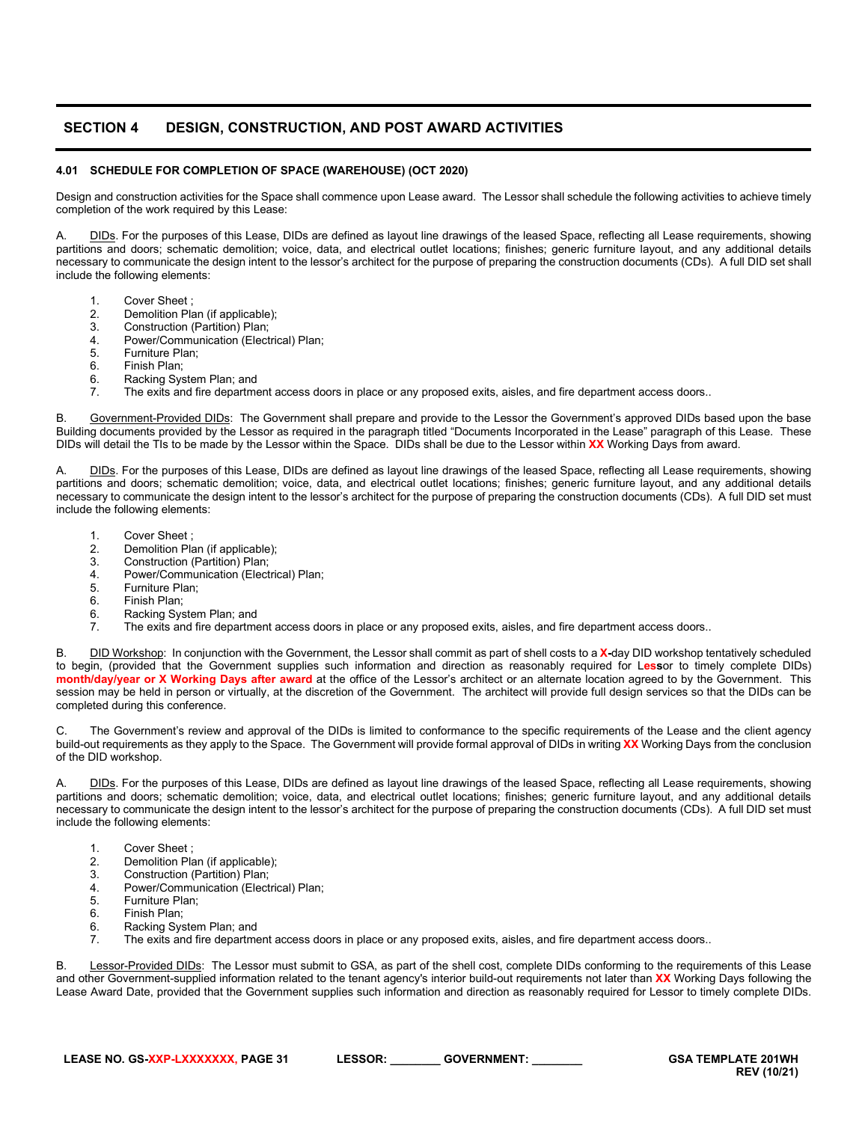# <span id="page-30-0"></span>**SECTION 4 DESIGN, CONSTRUCTION, AND POST AWARD ACTIVITIES**

# <span id="page-30-1"></span>**4.01 SCHEDULE FOR COMPLETION OF SPACE (WAREHOUSE) (OCT 2020)**

Design and construction activities for the Space shall commence upon Lease award. The Lessor shall schedule the following activities to achieve timely completion of the work required by this Lease:

A. DIDs. For the purposes of this Lease, DIDs are defined as layout line drawings of the leased Space, reflecting all Lease requirements, showing partitions and doors; schematic demolition; voice, data, and electrical outlet locations; finishes; generic furniture layout, and any additional details necessary to communicate the design intent to the lessor's architect for the purpose of preparing the construction documents (CDs). A full DID set shall include the following elements:

- 1. Cover Sheet ;
- 2. Demolition Plan (if applicable);<br>3. Construction (Partition) Plan:
- 3. Construction (Partition) Plan;<br>4 Power/Communication (Flect
- 4. Power/Communication (Electrical) Plan;<br>5. Furniture Plan:
- 5. Furniture Plan;<br>6. Finish Plan;
- 6. Finish Plan;<br>6. Racking Sys
- 6. Racking System Plan; and<br>7. The exits and fire department
- The exits and fire department access doors in place or any proposed exits, aisles, and fire department access doors..

Government-Provided DIDs: The Government shall prepare and provide to the Lessor the Government's approved DIDs based upon the base Building documents provided by the Lessor as required in the paragraph titled "Documents Incorporated in the Lease" paragraph of this Lease. These DIDs will detail the TIs to be made by the Lessor within the Space. DIDs shall be due to the Lessor within **XX** Working Days from award.

DIDs. For the purposes of this Lease, DIDs are defined as layout line drawings of the leased Space, reflecting all Lease requirements, showing partitions and doors; schematic demolition; voice, data, and electrical outlet locations; finishes; generic furniture layout, and any additional details necessary to communicate the design intent to the lessor's architect for the purpose of preparing the construction documents (CDs). A full DID set must include the following elements:

- 1. Cover Sheet ;
- 2. Demolition Plan (if applicable);<br>3. Construction (Partition) Plan;
- 3. Construction (Partition) Plan;<br>4 Power/Communication (Flect
- 4. Power/Communication (Electrical) Plan;
- 5. Furniture Plan;<br>6. Finish Plan;
- 6. Finish Plan;<br>6. Racking Sys
- 6. Racking System Plan; and<br>7. The exits and fire denartment
- The exits and fire department access doors in place or any proposed exits, aisles, and fire department access doors..

B. DID Workshop: In conjunction with the Government, the Lessor shall commit as part of shell costs to a **X-**day DID workshop tentatively scheduled to begin, (provided that the Government supplies such information and direction as reasonably required for L**ess**or to timely complete DIDs) **month/day/year or X Working Days after award** at the office of the Lessor's architect or an alternate location agreed to by the Government. This session may be held in person or virtually, at the discretion of the Government. The architect will provide full design services so that the DIDs can be completed during this conference.

C. The Government's review and approval of the DIDs is limited to conformance to the specific requirements of the Lease and the client agency build-out requirements as they apply to the Space. The Government will provide formal approval of DIDs in writing **XX** Working Days from the conclusion of the DID workshop.

A. DIDs. For the purposes of this Lease, DIDs are defined as layout line drawings of the leased Space, reflecting all Lease requirements, showing partitions and doors; schematic demolition; voice, data, and electrical outlet locations; finishes; generic furniture layout, and any additional details necessary to communicate the design intent to the lessor's architect for the purpose of preparing the construction documents (CDs). A full DID set must include the following elements:

- 1. Cover Sheet ;
- 2. Demolition Plan (if applicable);<br>3. Construction (Partition) Plan;
- 3. Construction (Partition) Plan;<br>4. Power/Communication (Elect
- Power/Communication (Electrical) Plan;
- 5. Furniture Plan;<br>6. Finish Plan;
- 6. Finish Plan;<br>6. Racking Sys
- 6. Racking System Plan; and<br>7. The exits and fire department
- The exits and fire department access doors in place or any proposed exits, aisles, and fire department access doors..

B. Lessor-Provided DIDs: The Lessor must submit to GSA, as part of the shell cost, complete DIDs conforming to the requirements of this Lease and other Government-supplied information related to the tenant agency's interior build-out requirements not later than **XX** Working Days following the Lease Award Date, provided that the Government supplies such information and direction as reasonably required for Lessor to timely complete DIDs.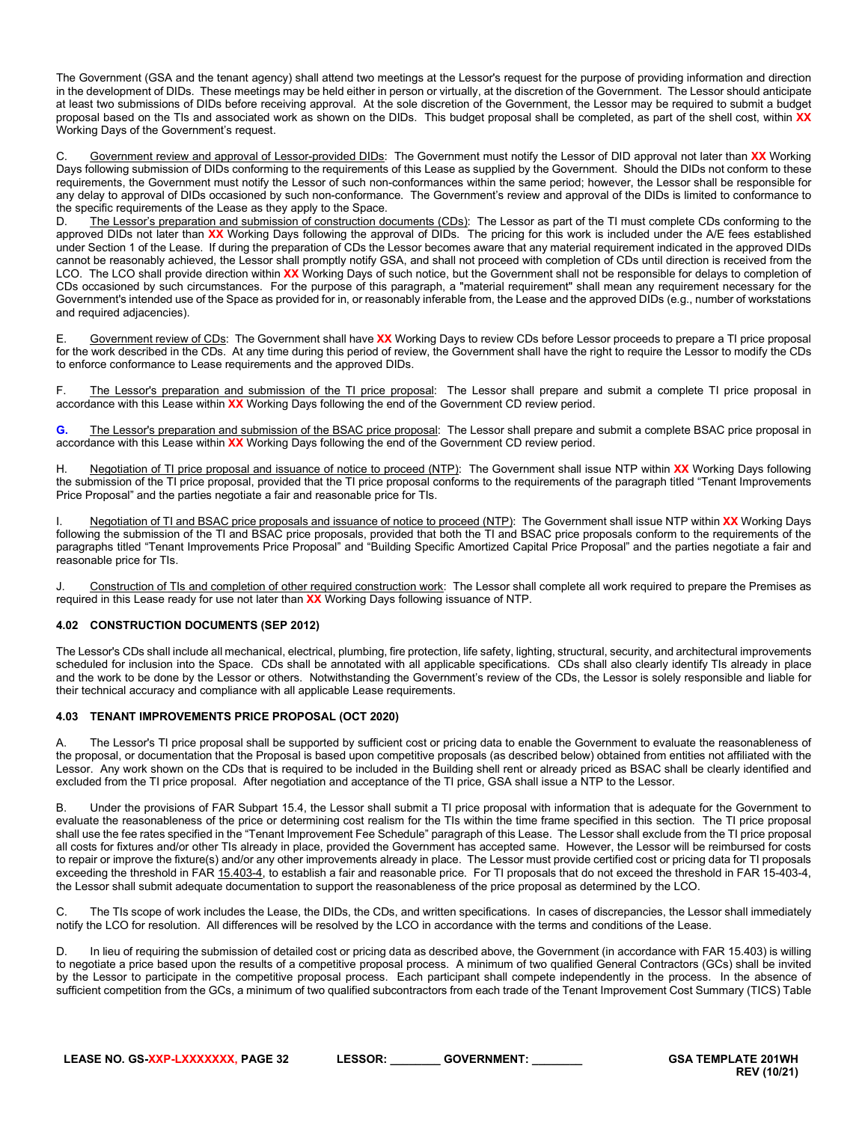The Government (GSA and the tenant agency) shall attend two meetings at the Lessor's request for the purpose of providing information and direction in the development of DIDs. These meetings may be held either in person or virtually, at the discretion of the Government. The Lessor should anticipate at least two submissions of DIDs before receiving approval. At the sole discretion of the Government, the Lessor may be required to submit a budget proposal based on the TIs and associated work as shown on the DIDs. This budget proposal shall be completed, as part of the shell cost, within **XX** Working Days of the Government's request.

Government review and approval of Lessor-provided DIDs: The Government must notify the Lessor of DID approval not later than XX Working Days following submission of DIDs conforming to the requirements of this Lease as supplied by the Government. Should the DIDs not conform to these requirements, the Government must notify the Lessor of such non-conformances within the same period; however, the Lessor shall be responsible for any delay to approval of DIDs occasioned by such non-conformance. The Government's review and approval of the DIDs is limited to conformance to the specific requirements of the Lease as they apply to the Space.

D. The Lessor's preparation and submission of construction documents (CDs): The Lessor as part of the TI must complete CDs conforming to the approved DIDs not later than **XX** Working Days following the approval of DIDs. The pricing for this work is included under the A/E fees established under Section 1 of the Lease. If during the preparation of CDs the Lessor becomes aware that any material requirement indicated in the approved DIDs cannot be reasonably achieved, the Lessor shall promptly notify GSA, and shall not proceed with completion of CDs until direction is received from the LCO. The LCO shall provide direction within **XX** Working Days of such notice, but the Government shall not be responsible for delays to completion of CDs occasioned by such circumstances. For the purpose of this paragraph, a "material requirement" shall mean any requirement necessary for the Government's intended use of the Space as provided for in, or reasonably inferable from, the Lease and the approved DIDs (e.g., number of workstations and required adjacencies).

E. Government review of CDs: The Government shall have **XX** Working Days to review CDs before Lessor proceeds to prepare a TI price proposal for the work described in the CDs. At any time during this period of review, the Government shall have the right to require the Lessor to modify the CDs to enforce conformance to Lease requirements and the approved DIDs.

F. The Lessor's preparation and submission of the TI price proposal: The Lessor shall prepare and submit a complete TI price proposal in accordance with this Lease within **XX** Working Days following the end of the Government CD review period.

**G.** The Lessor's preparation and submission of the BSAC price proposal: The Lessor shall prepare and submit a complete BSAC price proposal in accordance with this Lease within **XX** Working Days following the end of the Government CD review period.

H. Negotiation of TI price proposal and issuance of notice to proceed (NTP): The Government shall issue NTP within **XX** Working Days following the submission of the TI price proposal, provided that the TI price proposal conforms to the requirements of the paragraph titled "Tenant Improvements Price Proposal" and the parties negotiate a fair and reasonable price for TIs.

I. Negotiation of TI and BSAC price proposals and issuance of notice to proceed (NTP): The Government shall issue NTP within **XX** Working Days following the submission of the TI and BSAC price proposals, provided that both the TI and BSAC price proposals conform to the requirements of the paragraphs titled "Tenant Improvements Price Proposal" and "Building Specific Amortized Capital Price Proposal" and the parties negotiate a fair and reasonable price for TIs.

Construction of TIs and completion of other required construction work: The Lessor shall complete all work required to prepare the Premises as required in this Lease ready for use not later than **XX** Working Days following issuance of NTP.

# <span id="page-31-0"></span>**4.02 CONSTRUCTION DOCUMENTS (SEP 2012)**

The Lessor's CDs shall include all mechanical, electrical, plumbing, fire protection, life safety, lighting, structural, security, and architectural improvements scheduled for inclusion into the Space. CDs shall be annotated with all applicable specifications. CDs shall also clearly identify TIs already in place and the work to be done by the Lessor or others. Notwithstanding the Government's review of the CDs, the Lessor is solely responsible and liable for their technical accuracy and compliance with all applicable Lease requirements.

#### <span id="page-31-1"></span>**4.03 TENANT IMPROVEMENTS PRICE PROPOSAL (OCT 2020)**

A. The Lessor's TI price proposal shall be supported by sufficient cost or pricing data to enable the Government to evaluate the reasonableness of the proposal, or documentation that the Proposal is based upon competitive proposals (as described below) obtained from entities not affiliated with the Lessor. Any work shown on the CDs that is required to be included in the Building shell rent or already priced as BSAC shall be clearly identified and excluded from the TI price proposal. After negotiation and acceptance of the TI price, GSA shall issue a NTP to the Lessor.

B. Under the provisions of FAR Subpart 15.4, the Lessor shall submit a TI price proposal with information that is adequate for the Government to evaluate the reasonableness of the price or determining cost realism for the TIs within the time frame specified in this section. The TI price proposal shall use the fee rates specified in the "Tenant Improvement Fee Schedule" paragraph of this Lease. The Lessor shall exclude from the TI price proposal all costs for fixtures and/or other TIs already in place, provided the Government has accepted same. However, the Lessor will be reimbursed for costs to repair or improve the fixture(s) and/or any other improvements already in place. The Lessor must provide certified cost or pricing data for TI proposals exceeding the threshold in FA[R 15.403-4,](https://www.acquisition.gov/far/current/html/Subpart%2015_4.html#wp1208430) to establish a fair and reasonable price. For TI proposals that do not exceed the threshold in FAR 15-403-4, the Lessor shall submit adequate documentation to support the reasonableness of the price proposal as determined by the LCO.

C. The TIs scope of work includes the Lease, the DIDs, the CDs, and written specifications. In cases of discrepancies, the Lessor shall immediately notify the LCO for resolution. All differences will be resolved by the LCO in accordance with the terms and conditions of the Lease.

D. In lieu of requiring the submission of detailed cost or pricing data as described above, the Government (in accordance with FAR 15.403) is willing to negotiate a price based upon the results of a competitive proposal process. A minimum of two qualified General Contractors (GCs) shall be invited by the Lessor to participate in the competitive proposal process. Each participant shall compete independently in the process. In the absence of sufficient competition from the GCs, a minimum of two qualified subcontractors from each trade of the Tenant Improvement Cost Summary (TICS) Table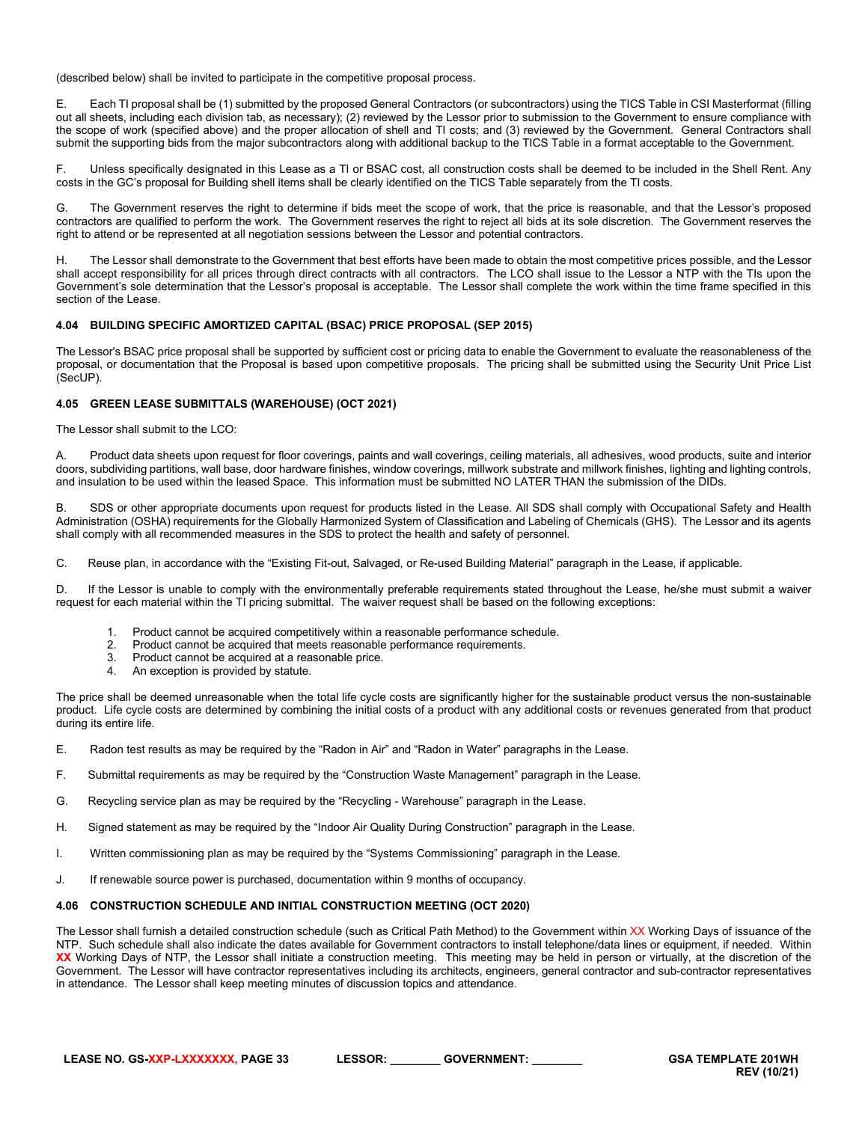(described below) shall be invited to participate in the competitive proposal process.

E. Each TI proposal shall be (1) submitted by the proposed General Contractors (or subcontractors) using the TICS Table in CSI Masterformat (filling out all sheets, including each division tab, as necessary); (2) reviewed by the Lessor prior to submission to the Government to ensure compliance with the scope of work (specified above) and the proper allocation of shell and TI costs; and (3) reviewed by the Government. General Contractors shall submit the supporting bids from the major subcontractors along with additional backup to the TICS Table in a format acceptable to the Government.

F. Unless specifically designated in this Lease as a TI or BSAC cost, all construction costs shall be deemed to be included in the Shell Rent. Any costs in the GC's proposal for Building shell items shall be clearly identified on the TICS Table separately from the TI costs.

G. The Government reserves the right to determine if bids meet the scope of work, that the price is reasonable, and that the Lessor's proposed contractors are qualified to perform the work. The Government reserves the right to reject all bids at its sole discretion. The Government reserves the right to attend or be represented at all negotiation sessions between the Lessor and potential contractors.

H. The Lessor shall demonstrate to the Government that best efforts have been made to obtain the most competitive prices possible, and the Lessor shall accept responsibility for all prices through direct contracts with all contractors. The LCO shall issue to the Lessor a NTP with the TIs upon the Government's sole determination that the Lessor's proposal is acceptable. The Lessor shall complete the work within the time frame specified in this section of the Lease.

#### <span id="page-32-0"></span>**4.04 BUILDING SPECIFIC AMORTIZED CAPITAL (BSAC) PRICE PROPOSAL (SEP 2015)**

The Lessor's BSAC price proposal shall be supported by sufficient cost or pricing data to enable the Government to evaluate the reasonableness of the proposal, or documentation that the Proposal is based upon competitive proposals. The pricing shall be submitted using the Security Unit Price List (SecUP).

# <span id="page-32-1"></span>**4.05 GREEN LEASE SUBMITTALS (WAREHOUSE) (OCT 2021)**

The Lessor shall submit to the LCO:

A. Product data sheets upon request for floor coverings, paints and wall coverings, ceiling materials, all adhesives, wood products, suite and interior doors, subdividing partitions, wall base, door hardware finishes, window coverings, millwork substrate and millwork finishes, lighting and lighting controls, and insulation to be used within the leased Space. This information must be submitted NO LATER THAN the submission of the DIDs.

B. SDS or other appropriate documents upon request for products listed in the Lease. All SDS shall comply with Occupational Safety and Health Administration (OSHA) requirements for the Globally Harmonized System of Classification and Labeling of Chemicals (GHS). The Lessor and its agents shall comply with all recommended measures in the SDS to protect the health and safety of personnel.

C. Reuse plan, in accordance with the "Existing Fit-out, Salvaged, or Re-used Building Material" paragraph in the Lease, if applicable.

D. If the Lessor is unable to comply with the environmentally preferable requirements stated throughout the Lease, he/she must submit a waiver request for each material within the TI pricing submittal. The waiver request shall be based on the following exceptions:

- 1. Product cannot be acquired competitively within a reasonable performance schedule.
- 2. Product cannot be acquired that meets reasonable performance requirements.<br>3. Product cannot be acquired that meets reasonable price.
- Product cannot be acquired at a reasonable price.
- 4. An exception is provided by statute.

The price shall be deemed unreasonable when the total life cycle costs are significantly higher for the sustainable product versus the non-sustainable product. Life cycle costs are determined by combining the initial costs of a product with any additional costs or revenues generated from that product during its entire life.

- E. Radon test results as may be required by the "Radon in Air" and "Radon in Water" paragraphs in the Lease.
- F. Submittal requirements as may be required by the "Construction Waste Management" paragraph in the Lease.
- G. Recycling service plan as may be required by the "Recycling Warehouse" paragraph in the Lease.
- H. Signed statement as may be required by the "Indoor Air Quality During Construction" paragraph in the Lease.
- I. Written commissioning plan as may be required by the "Systems Commissioning" paragraph in the Lease.
- J. If renewable source power is purchased, documentation within 9 months of occupancy.

#### <span id="page-32-2"></span>**4.06 CONSTRUCTION SCHEDULE AND INITIAL CONSTRUCTION MEETING (OCT 2020)**

The Lessor shall furnish a detailed construction schedule (such as Critical Path Method) to the Government within XX Working Days of issuance of the NTP. Such schedule shall also indicate the dates available for Government contractors to install telephone/data lines or equipment, if needed. Within **XX** Working Days of NTP, the Lessor shall initiate a construction meeting. This meeting may be held in person or virtually, at the discretion of the Government. The Lessor will have contractor representatives including its architects, engineers, general contractor and sub-contractor representatives in attendance. The Lessor shall keep meeting minutes of discussion topics and attendance.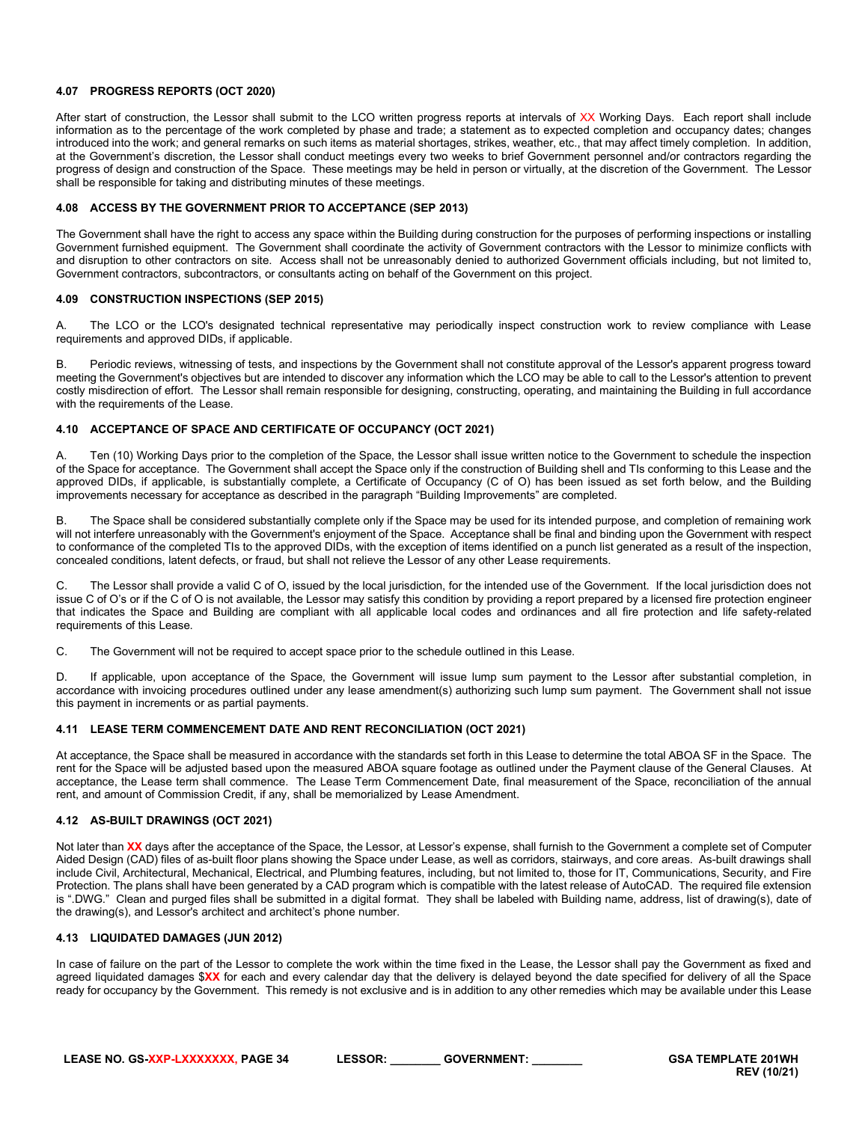# <span id="page-33-0"></span>**4.07 PROGRESS REPORTS (OCT 2020)**

After start of construction, the Lessor shall submit to the LCO written progress reports at intervals of XX Working Days. Each report shall include information as to the percentage of the work completed by phase and trade; a statement as to expected completion and occupancy dates; changes introduced into the work; and general remarks on such items as material shortages, strikes, weather, etc., that may affect timely completion. In addition, at the Government's discretion, the Lessor shall conduct meetings every two weeks to brief Government personnel and/or contractors regarding the progress of design and construction of the Space. These meetings may be held in person or virtually, at the discretion of the Government. The Lessor shall be responsible for taking and distributing minutes of these meetings.

# <span id="page-33-1"></span>**4.08 ACCESS BY THE GOVERNMENT PRIOR TO ACCEPTANCE (SEP 2013)**

The Government shall have the right to access any space within the Building during construction for the purposes of performing inspections or installing Government furnished equipment. The Government shall coordinate the activity of Government contractors with the Lessor to minimize conflicts with and disruption to other contractors on site. Access shall not be unreasonably denied to authorized Government officials including, but not limited to, Government contractors, subcontractors, or consultants acting on behalf of the Government on this project.

#### <span id="page-33-2"></span>**4.09 CONSTRUCTION INSPECTIONS (SEP 2015)**

A. The LCO or the LCO's designated technical representative may periodically inspect construction work to review compliance with Lease requirements and approved DIDs, if applicable.

B. Periodic reviews, witnessing of tests, and inspections by the Government shall not constitute approval of the Lessor's apparent progress toward meeting the Government's objectives but are intended to discover any information which the LCO may be able to call to the Lessor's attention to prevent costly misdirection of effort. The Lessor shall remain responsible for designing, constructing, operating, and maintaining the Building in full accordance with the requirements of the Lease.

# <span id="page-33-3"></span>**4.10 ACCEPTANCE OF SPACE AND CERTIFICATE OF OCCUPANCY (OCT 2021)**

A. Ten (10) Working Days prior to the completion of the Space, the Lessor shall issue written notice to the Government to schedule the inspection of the Space for acceptance. The Government shall accept the Space only if the construction of Building shell and TIs conforming to this Lease and the approved DIDs, if applicable, is substantially complete, a Certificate of Occupancy (C of O) has been issued as set forth below, and the Building improvements necessary for acceptance as described in the paragraph "Building Improvements" are completed.

B. The Space shall be considered substantially complete only if the Space may be used for its intended purpose, and completion of remaining work will not interfere unreasonably with the Government's enjoyment of the Space. Acceptance shall be final and binding upon the Government with respect to conformance of the completed TIs to the approved DIDs, with the exception of items identified on a punch list generated as a result of the inspection, concealed conditions, latent defects, or fraud, but shall not relieve the Lessor of any other Lease requirements.

C. The Lessor shall provide a valid C of O, issued by the local jurisdiction, for the intended use of the Government. If the local jurisdiction does not issue C of O's or if the C of O is not available, the Lessor may satisfy this condition by providing a report prepared by a licensed fire protection engineer that indicates the Space and Building are compliant with all applicable local codes and ordinances and all fire protection and life safety-related requirements of this Lease.

C. The Government will not be required to accept space prior to the schedule outlined in this Lease.

D. If applicable, upon acceptance of the Space, the Government will issue lump sum payment to the Lessor after substantial completion, in accordance with invoicing procedures outlined under any lease amendment(s) authorizing such lump sum payment. The Government shall not issue this payment in increments or as partial payments.

#### <span id="page-33-4"></span>**4.11 LEASE TERM COMMENCEMENT DATE AND RENT RECONCILIATION (OCT 2021)**

At acceptance, the Space shall be measured in accordance with the standards set forth in this Lease to determine the total ABOA SF in the Space. The rent for the Space will be adjusted based upon the measured ABOA square footage as outlined under the Payment clause of the General Clauses. At acceptance, the Lease term shall commence. The Lease Term Commencement Date, final measurement of the Space, reconciliation of the annual rent, and amount of Commission Credit, if any, shall be memorialized by Lease Amendment.

## <span id="page-33-5"></span>**4.12 AS-BUILT DRAWINGS (OCT 2021)**

Not later than **XX** days after the acceptance of the Space, the Lessor, at Lessor's expense, shall furnish to the Government a complete set of Computer Aided Design (CAD) files of as-built floor plans showing the Space under Lease, as well as corridors, stairways, and core areas. As-built drawings shall include Civil, Architectural, Mechanical, Electrical, and Plumbing features, including, but not limited to, those for IT, Communications, Security, and Fire Protection. The plans shall have been generated by a CAD program which is compatible with the latest release of AutoCAD. The required file extension is ".DWG." Clean and purged files shall be submitted in a digital format. They shall be labeled with Building name, address, list of drawing(s), date of the drawing(s), and Lessor's architect and architect's phone number.

#### <span id="page-33-6"></span>**4.13 LIQUIDATED DAMAGES (JUN 2012)**

In case of failure on the part of the Lessor to complete the work within the time fixed in the Lease, the Lessor shall pay the Government as fixed and agreed liquidated damages \$**XX** for each and every calendar day that the delivery is delayed beyond the date specified for delivery of all the Space ready for occupancy by the Government. This remedy is not exclusive and is in addition to any other remedies which may be available under this Lease

| LEASE NO. GS-XXP-LXXXXXXX. PAGE 34 | <b>LESSOR:</b> | <b>GOVERNMENT:</b> |
|------------------------------------|----------------|--------------------|
|                                    |                |                    |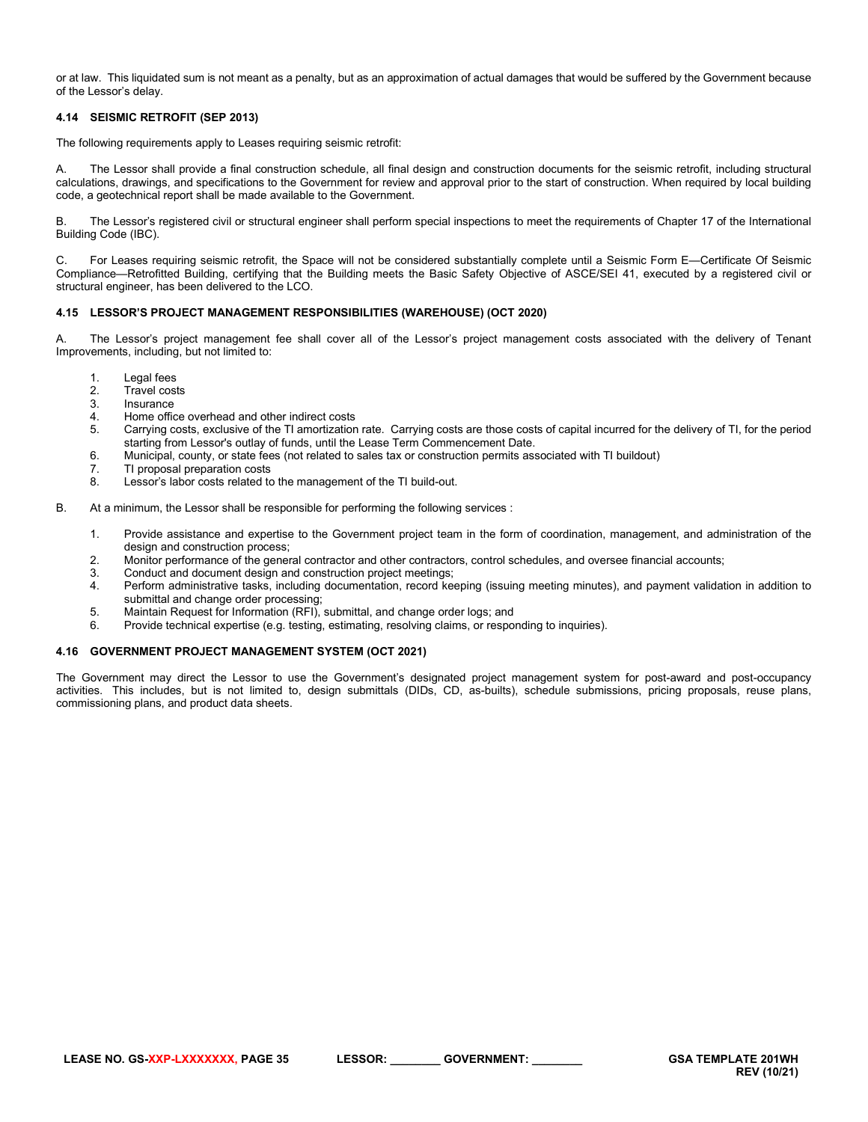or at law. This liquidated sum is not meant as a penalty, but as an approximation of actual damages that would be suffered by the Government because of the Lessor's delay.

## <span id="page-34-0"></span>**4.14 SEISMIC RETROFIT (SEP 2013)**

The following requirements apply to Leases requiring seismic retrofit:

A. The Lessor shall provide a final construction schedule, all final design and construction documents for the seismic retrofit, including structural calculations, drawings, and specifications to the Government for review and approval prior to the start of construction. When required by local building code, a geotechnical report shall be made available to the Government.

B. The Lessor's registered civil or structural engineer shall perform special inspections to meet the requirements of Chapter 17 of the International Building Code (IBC).

C. For Leases requiring seismic retrofit, the Space will not be considered substantially complete until a Seismic Form E—Certificate Of Seismic Compliance—Retrofitted Building, certifying that the Building meets the Basic Safety Objective of ASCE/SEI 41, executed by a registered civil or structural engineer, has been delivered to the LCO.

## <span id="page-34-1"></span>**4.15 LESSOR'S PROJECT MANAGEMENT RESPONSIBILITIES (WAREHOUSE) (OCT 2020)**

A. The Lessor's project management fee shall cover all of the Lessor's project management costs associated with the delivery of Tenant Improvements, including, but not limited to:

- 1. Legal fees
- 
- 2. Travel costs<br>3. Insurance 3. Insurance<br>4 Home offic
- 4. Home office overhead and other indirect costs<br>5. Carrying costs exclusive of the TI amortization
- 5. Carrying costs, exclusive of the TI amortization rate. Carrying costs are those costs of capital incurred for the delivery of TI, for the period starting from Lessor's outlay of funds, until the Lease Term Commencement Date.
- 6. Municipal, county, or state fees (not related to sales tax or construction permits associated with TI buildout)
- 7. TI proposal preparation costs<br>8. Lessor's labor costs related to
- Lessor's labor costs related to the management of the TI build-out.
- B. At a minimum, the Lessor shall be responsible for performing the following services :
	- 1. Provide assistance and expertise to the Government project team in the form of coordination, management, and administration of the design and construction process;
	- 2. Monitor performance of the general contractor and other contractors, control schedules, and oversee financial accounts;<br>3. Conduct and document design and construction project meetings:
	- Conduct and document design and construction project meetings;
	- 4. Perform administrative tasks, including documentation, record keeping (issuing meeting minutes), and payment validation in addition to submittal and change order processing;
	- 5. Maintain Request for Information (RFI), submittal, and change order logs; and
	- Provide technical expertise (e.g. testing, estimating, resolving claims, or responding to inquiries).

#### <span id="page-34-2"></span>**4.16 GOVERNMENT PROJECT MANAGEMENT SYSTEM (OCT 2021)**

The Government may direct the Lessor to use the Government's designated project management system for post-award and post-occupancy activities. This includes, but is not limited to, design submittals (DIDs, CD, as-builts), schedule submissions, pricing proposals, reuse plans, commissioning plans, and product data sheets.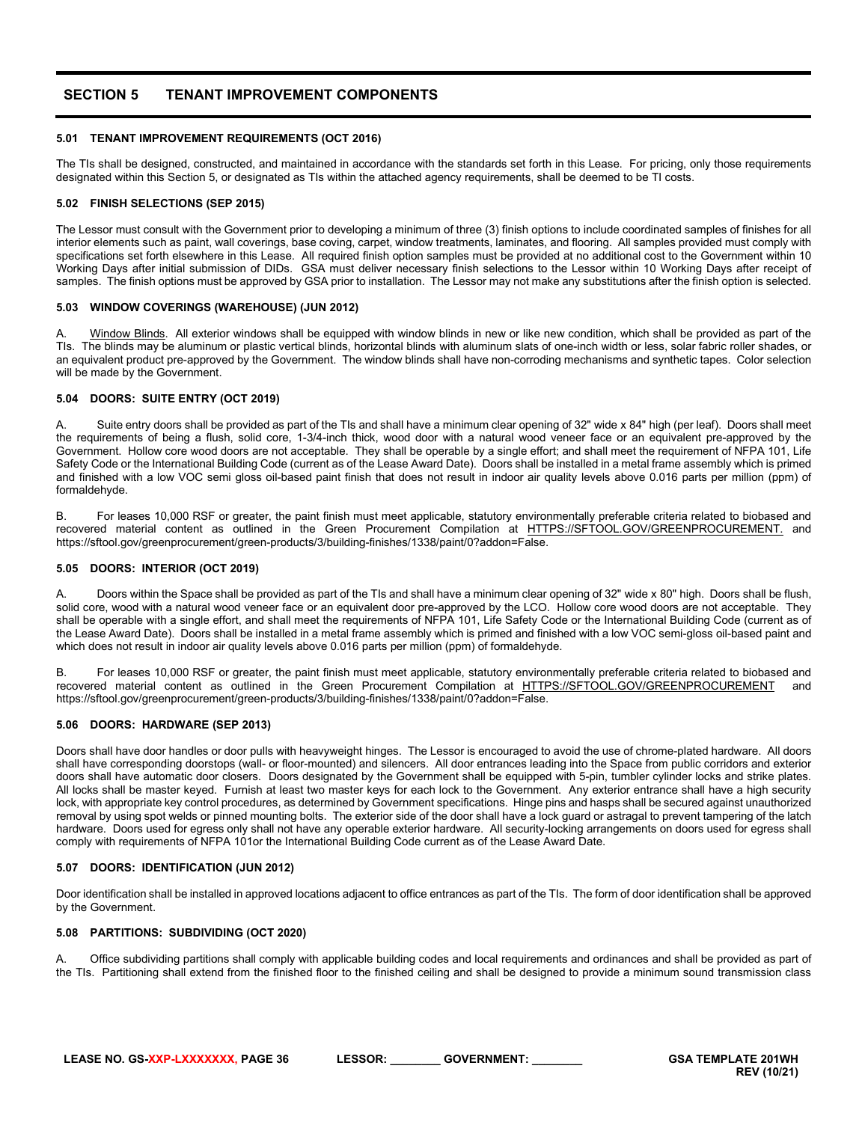# <span id="page-35-0"></span>**SECTION 5 TENANT IMPROVEMENT COMPONENTS**

## <span id="page-35-1"></span>**5.01 TENANT IMPROVEMENT REQUIREMENTS (OCT 2016)**

The TIs shall be designed, constructed, and maintained in accordance with the standards set forth in this Lease. For pricing, only those requirements designated within this Section 5, or designated as TIs within the attached agency requirements, shall be deemed to be TI costs.

# <span id="page-35-2"></span>**5.02 FINISH SELECTIONS (SEP 2015)**

The Lessor must consult with the Government prior to developing a minimum of three (3) finish options to include coordinated samples of finishes for all interior elements such as paint, wall coverings, base coving, carpet, window treatments, laminates, and flooring. All samples provided must comply with specifications set forth elsewhere in this Lease. All required finish option samples must be provided at no additional cost to the Government within 10 Working Days after initial submission of DIDs. GSA must deliver necessary finish selections to the Lessor within 10 Working Days after receipt of samples. The finish options must be approved by GSA prior to installation. The Lessor may not make any substitutions after the finish option is selected.

#### <span id="page-35-3"></span>**5.03 WINDOW COVERINGS (WAREHOUSE) (JUN 2012)**

A. Window Blinds. All exterior windows shall be equipped with window blinds in new or like new condition, which shall be provided as part of the TIs. The blinds may be aluminum or plastic vertical blinds, horizontal blinds with aluminum slats of one-inch width or less, solar fabric roller shades, or an equivalent product pre-approved by the Government. The window blinds shall have non-corroding mechanisms and synthetic tapes. Color selection will be made by the Government.

#### <span id="page-35-4"></span>**5.04 DOORS: SUITE ENTRY (OCT 2019)**

A. Suite entry doors shall be provided as part of the TIs and shall have a minimum clear opening of 32" wide x 84" high (per leaf). Doors shall meet the requirements of being a flush, solid core, 1-3/4-inch thick, wood door with a natural wood veneer face or an equivalent pre-approved by the Government. Hollow core wood doors are not acceptable. They shall be operable by a single effort; and shall meet the requirement of NFPA 101, Life Safety Code or the International Building Code (current as of the Lease Award Date). Doors shall be installed in a metal frame assembly which is primed and finished with a low VOC semi gloss oil-based paint finish that does not result in indoor air quality levels above 0.016 parts per million (ppm) of formaldehyde.

B. For leases 10,000 RSF or greater, the paint finish must meet applicable, statutory environmentally preferable criteria related to biobased and recovered material content as outlined in the Green Procurement Compilation at [HTTPS://SFTOOL.GOV/GREENPROCUREMENT.](https://sftool.gov/GREENPROCUREMENT.and) and https://sftool.gov/greenprocurement/green-products/3/building-finishes/1338/paint/0?addon=False.

#### <span id="page-35-5"></span>**5.05 DOORS: INTERIOR (OCT 2019)**

A. Doors within the Space shall be provided as part of the TIs and shall have a minimum clear opening of 32" wide x 80" high. Doors shall be flush, solid core, wood with a natural wood veneer face or an equivalent door pre-approved by the LCO. Hollow core wood doors are not acceptable. They shall be operable with a single effort, and shall meet the requirements of NFPA 101, Life Safety Code or the International Building Code (current as of the Lease Award Date). Doors shall be installed in a metal frame assembly which is primed and finished with a low VOC semi-gloss oil-based paint and which does not result in indoor air quality levels above 0.016 parts per million (ppm) of formaldehyde.

B. For leases 10,000 RSF or greater, the paint finish must meet applicable, statutory environmentally preferable criteria related to biobased and recovered material content as outlined in the Green Procurement Compilation at [HTTPS://SFTOOL.GOV/GREENPROCUREMENT](https://sftool.gov/GREENPROCUREMENT) and https://sftool.gov/greenprocurement/green-products/3/building-finishes/1338/paint/0?addon=False.

#### <span id="page-35-6"></span>**5.06 DOORS: HARDWARE (SEP 2013)**

Doors shall have door handles or door pulls with heavyweight hinges. The Lessor is encouraged to avoid the use of chrome-plated hardware. All doors shall have corresponding doorstops (wall- or floor-mounted) and silencers. All door entrances leading into the Space from public corridors and exterior doors shall have automatic door closers. Doors designated by the Government shall be equipped with 5-pin, tumbler cylinder locks and strike plates. All locks shall be master keyed. Furnish at least two master keys for each lock to the Government. Any exterior entrance shall have a high security lock, with appropriate key control procedures, as determined by Government specifications. Hinge pins and hasps shall be secured against unauthorized removal by using spot welds or pinned mounting bolts. The exterior side of the door shall have a lock guard or astragal to prevent tampering of the latch hardware. Doors used for egress only shall not have any operable exterior hardware. All security-locking arrangements on doors used for egress shall comply with requirements of NFPA 101or the International Building Code current as of the Lease Award Date.

#### <span id="page-35-7"></span>**5.07 DOORS: IDENTIFICATION (JUN 2012)**

Door identification shall be installed in approved locations adjacent to office entrances as part of the TIs. The form of door identification shall be approved by the Government.

# <span id="page-35-8"></span>**5.08 PARTITIONS: SUBDIVIDING (OCT 2020)**

Office subdividing partitions shall comply with applicable building codes and local requirements and ordinances and shall be provided as part of the TIs. Partitioning shall extend from the finished floor to the finished ceiling and shall be designed to provide a minimum sound transmission class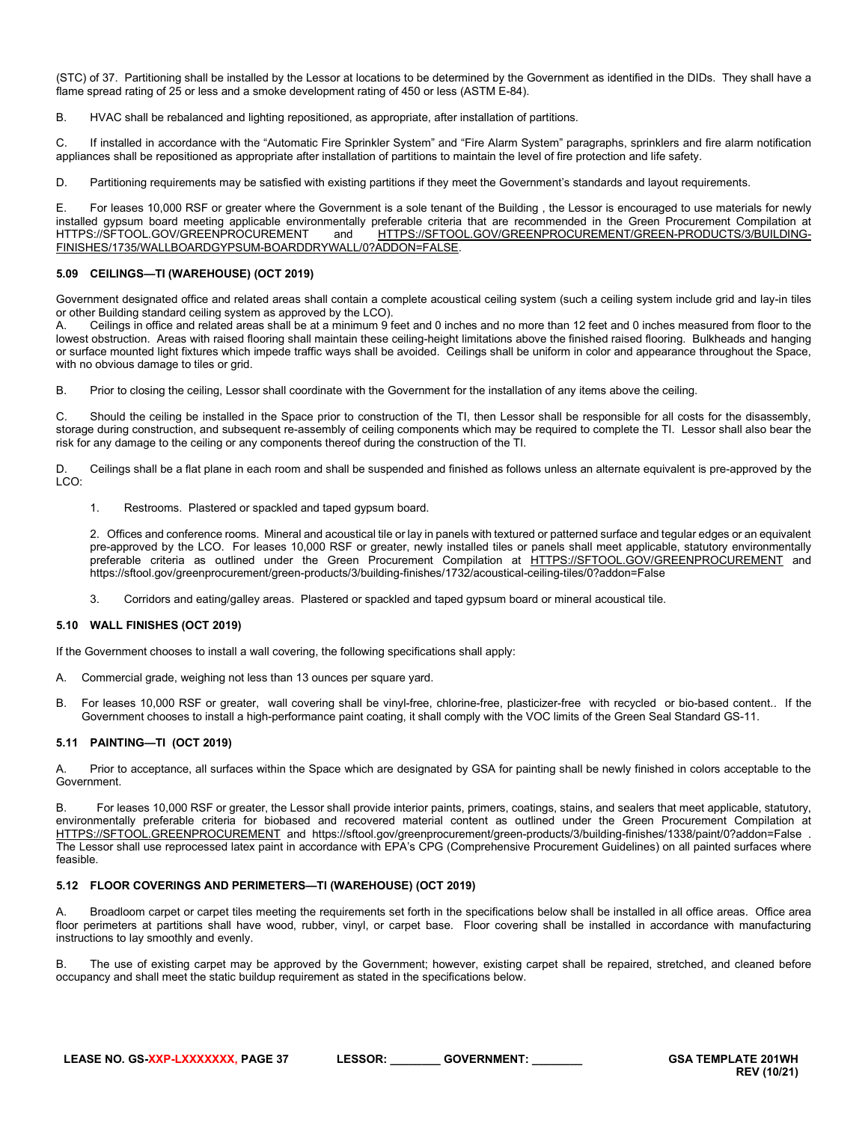(STC) of 37. Partitioning shall be installed by the Lessor at locations to be determined by the Government as identified in the DIDs. They shall have a flame spread rating of 25 or less and a smoke development rating of 450 or less (ASTM E-84).

B. HVAC shall be rebalanced and lighting repositioned, as appropriate, after installation of partitions.

C. If installed in accordance with the "Automatic Fire Sprinkler System" and "Fire Alarm System" paragraphs, sprinklers and fire alarm notification appliances shall be repositioned as appropriate after installation of partitions to maintain the level of fire protection and life safety.

D. Partitioning requirements may be satisfied with existing partitions if they meet the Government's standards and layout requirements.

E. For leases 10,000 RSF or greater where the Government is a sole tenant of the Building , the Lessor is encouraged to use materials for newly installed gypsum board meeting applicable environmentally preferable criteria that are recommended in the Green Procurement Compilation at<br>HTTPS://SFTOOL.GOV/GREENPROCUREMENT and HTTPS://SFTOOL.GOV/GREENPROCUREMENT/GREEN-P and [HTTPS://SFTOOL.GOV/GREENPROCUREMENT/GREEN-PRODUCTS/3/BUILDING-](https://sftool.gov/greenprocurement/green-products/3/building-finishes/1735/wallboardgypsum-boarddrywall/0?addon=False)[FINISHES/1735/WALLBOARDGYPSUM-BOARDDRYWALL/0?ADDON=FALSE.](https://sftool.gov/greenprocurement/green-products/3/building-finishes/1735/wallboardgypsum-boarddrywall/0?addon=False)

#### <span id="page-36-0"></span>**5.09 CEILINGS—TI (WAREHOUSE) (OCT 2019)**

Government designated office and related areas shall contain a complete acoustical ceiling system (such a ceiling system include grid and lay-in tiles or other Building standard ceiling system as approved by the LCO).

Ceilings in office and related areas shall be at a minimum 9 feet and 0 inches and no more than 12 feet and 0 inches measured from floor to the lowest obstruction. Areas with raised flooring shall maintain these ceiling-height limitations above the finished raised flooring. Bulkheads and hanging or surface mounted light fixtures which impede traffic ways shall be avoided. Ceilings shall be uniform in color and appearance throughout the Space, with no obvious damage to tiles or grid.

B. Prior to closing the ceiling, Lessor shall coordinate with the Government for the installation of any items above the ceiling.

C. Should the ceiling be installed in the Space prior to construction of the TI, then Lessor shall be responsible for all costs for the disassembly, storage during construction, and subsequent re-assembly of ceiling components which may be required to complete the TI. Lessor shall also bear the risk for any damage to the ceiling or any components thereof during the construction of the TI.

D. Ceilings shall be a flat plane in each room and shall be suspended and finished as follows unless an alternate equivalent is pre-approved by the LCO:

1. Restrooms. Plastered or spackled and taped gypsum board.

2. Offices and conference rooms. Mineral and acoustical tile or lay in panels with textured or patterned surface and tegular edges or an equivalent pre-approved by the LCO. For leases 10,000 RSF or greater, newly installed tiles or panels shall meet applicable, statutory environmentally preferable criteria as outlined under the Green Procurement Compilation at [HTTPS://SFTOOL.GOV/GREENPROCUREMENT](https://sftool.gov/greenprocurement) and https://sftool.gov/greenprocurement/green-products/3/building-finishes/1732/acoustical-ceiling-tiles/0?addon=False

<span id="page-36-1"></span>3. Corridors and eating/galley areas. Plastered or spackled and taped gypsum board or mineral acoustical tile.

#### **5.10 WALL FINISHES (OCT 2019)**

If the Government chooses to install a wall covering, the following specifications shall apply:

- A. Commercial grade, weighing not less than 13 ounces per square yard.
- B. For leases 10,000 RSF or greater, wall covering shall be vinyl-free, chlorine-free, plasticizer-free with recycled or bio-based content.. If the Government chooses to install a high-performance paint coating, it shall comply with the VOC limits of the Green Seal Standard GS-11.

#### <span id="page-36-2"></span>**5.11 PAINTING—TI (OCT 2019)**

A. Prior to acceptance, all surfaces within the Space which are designated by GSA for painting shall be newly finished in colors acceptable to the Government.

B. For leases 10,000 RSF or greater, the Lessor shall provide interior paints, primers, coatings, stains, and sealers that meet applicable, statutory, environmentally preferable criteria for biobased and recovered material content as outlined under the Green Procurement Compilation at [HTTPS://SFTOOL.GREENPROCUREMENT](https://sftool.greenprocurement/) and https://sftool.gov/greenprocurement/green-products/3/building-finishes/1338/paint/0?addon=False . The Lessor shall use reprocessed latex paint in accordance with EPA's CPG (Comprehensive Procurement Guidelines) on all painted surfaces where feasible.

#### <span id="page-36-3"></span>**5.12 FLOOR COVERINGS AND PERIMETERS—TI (WAREHOUSE) (OCT 2019)**

A. Broadloom carpet or carpet tiles meeting the requirements set forth in the specifications below shall be installed in all office areas. Office area floor perimeters at partitions shall have wood, rubber, vinyl, or carpet base. Floor covering shall be installed in accordance with manufacturing instructions to lay smoothly and evenly.

B. The use of existing carpet may be approved by the Government; however, existing carpet shall be repaired, stretched, and cleaned before occupancy and shall meet the static buildup requirement as stated in the specifications below.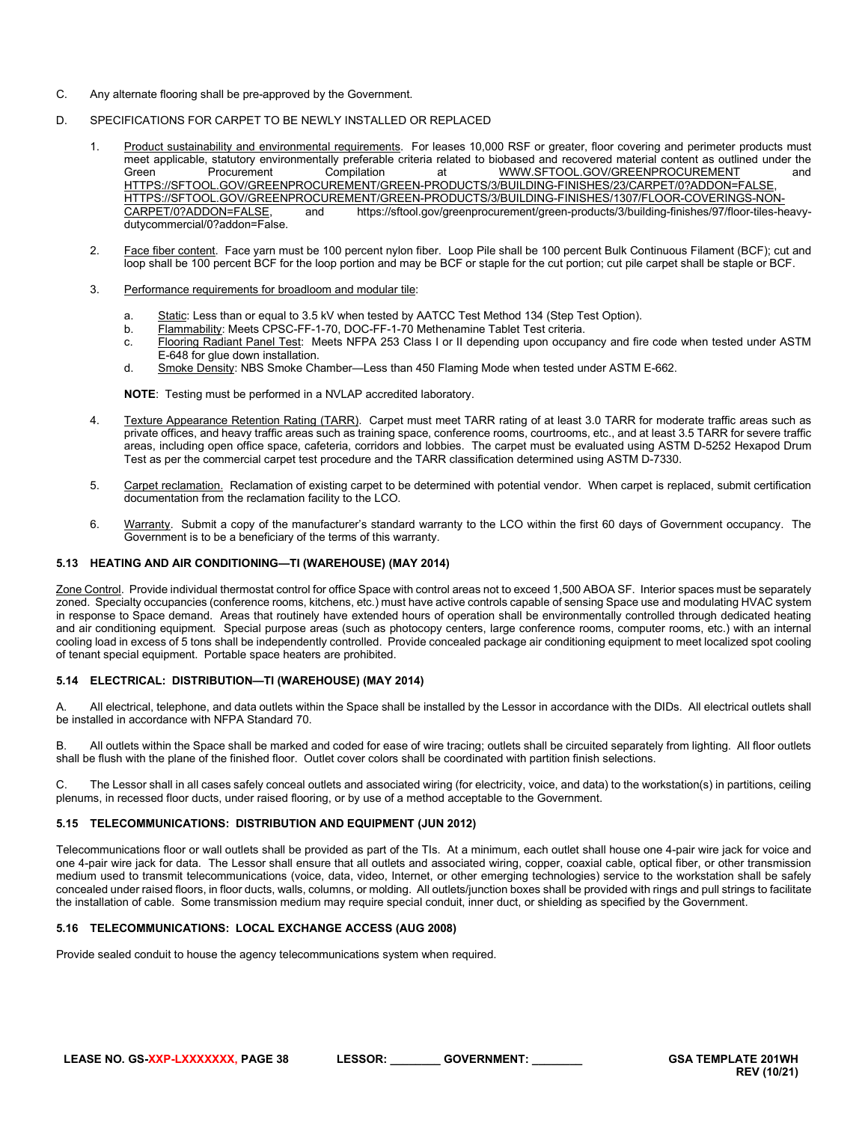- C. Any alternate flooring shall be pre-approved by the Government.
- D. SPECIFICATIONS FOR CARPET TO BE NEWLY INSTALLED OR REPLACED
	- 1. Product sustainability and environmental requirements. For leases 10,000 RSF or greater, floor covering and perimeter products must meet applicable, statutory environmentally preferable criteria related to biobased and recovered material content as outlined under the<br>Green Compilation at WWW.SFTOOL.GOV/GREENPROCUREMENT and [WWW.SFTOOL.GOV/GREENPROCUREMENT](http://www.sftool.gov/greenprocurement) [HTTPS://SFTOOL.GOV/GREENPROCUREMENT/GREEN-PRODUCTS/3/BUILDING-FINISHES/23/CARPET/0?ADDON=FALSE,](https://sftool.gov/greenprocurement/green-products/3/building-finishes/23/carpet/0?addon=False) [HTTPS://SFTOOL.GOV/GREENPROCUREMENT/GREEN-PRODUCTS/3/BUILDING-FINISHES/1307/FLOOR-COVERINGS-NON](https://sftool.gov/greenprocurement/green-products/3/building-finishes/1307/floor-coverings-non-carpet/0?addon=False)and https://sftool.gov/greenprocurement/green-products/3/building-finishes/97/floor-tiles-heavydutycommercial/0?addon=False.
	- 2. Face fiber content. Face yarn must be 100 percent nylon fiber. Loop Pile shall be 100 percent Bulk Continuous Filament (BCF); cut and loop shall be 100 percent BCF for the loop portion and may be BCF or staple for the cut portion; cut pile carpet shall be staple or BCF.
	- 3. Performance requirements for broadloom and modular tile:
		- a. Static: Less than or equal to 3.5 kV when tested by AATCC Test Method 134 (Step Test Option).
		- b. Flammability: Meets CPSC-FF-1-70, DOC-FF-1-70 Methenamine Tablet Test criteria.
		- c. Flooring Radiant Panel Test: Meets NFPA 253 Class I or II depending upon occupancy and fire code when tested under ASTM E-648 for glue down installation.
		- d. Smoke Density: NBS Smoke Chamber—Less than 450 Flaming Mode when tested under ASTM E-662.

**NOTE**: Testing must be performed in a NVLAP accredited laboratory.

- 4. Texture Appearance Retention Rating (TARR). Carpet must meet TARR rating of at least 3.0 TARR for moderate traffic areas such as private offices, and heavy traffic areas such as training space, conference rooms, courtrooms, etc., and at least 3.5 TARR for severe traffic areas, including open office space, cafeteria, corridors and lobbies. The carpet must be evaluated using ASTM D-5252 Hexapod Drum Test as per the commercial carpet test procedure and the TARR classification determined using ASTM D-7330.
- 5. Carpet reclamation. Reclamation of existing carpet to be determined with potential vendor. When carpet is replaced, submit certification documentation from the reclamation facility to the LCO.
- 6. Warranty. Submit a copy of the manufacturer's standard warranty to the LCO within the first 60 days of Government occupancy. The Government is to be a beneficiary of the terms of this warranty.

#### <span id="page-37-0"></span>**5.13 HEATING AND AIR CONDITIONING—TI (WAREHOUSE) (MAY 2014)**

Zone Control. Provide individual thermostat control for office Space with control areas not to exceed 1,500 ABOA SF. Interior spaces must be separately zoned. Specialty occupancies (conference rooms, kitchens, etc.) must have active controls capable of sensing Space use and modulating HVAC system in response to Space demand. Areas that routinely have extended hours of operation shall be environmentally controlled through dedicated heating and air conditioning equipment. Special purpose areas (such as photocopy centers, large conference rooms, computer rooms, etc.) with an internal cooling load in excess of 5 tons shall be independently controlled. Provide concealed package air conditioning equipment to meet localized spot cooling of tenant special equipment. Portable space heaters are prohibited.

#### <span id="page-37-1"></span>**5.14 ELECTRICAL: DISTRIBUTION—TI (WAREHOUSE) (MAY 2014)**

A. All electrical, telephone, and data outlets within the Space shall be installed by the Lessor in accordance with the DIDs. All electrical outlets shall be installed in accordance with NFPA Standard 70.

B. All outlets within the Space shall be marked and coded for ease of wire tracing; outlets shall be circuited separately from lighting. All floor outlets shall be flush with the plane of the finished floor. Outlet cover colors shall be coordinated with partition finish selections.

C. The Lessor shall in all cases safely conceal outlets and associated wiring (for electricity, voice, and data) to the workstation(s) in partitions, ceiling plenums, in recessed floor ducts, under raised flooring, or by use of a method acceptable to the Government.

#### <span id="page-37-2"></span>**5.15 TELECOMMUNICATIONS: DISTRIBUTION AND EQUIPMENT (JUN 2012)**

Telecommunications floor or wall outlets shall be provided as part of the TIs. At a minimum, each outlet shall house one 4-pair wire jack for voice and one 4-pair wire jack for data. The Lessor shall ensure that all outlets and associated wiring, copper, coaxial cable, optical fiber, or other transmission medium used to transmit telecommunications (voice, data, video, Internet, or other emerging technologies) service to the workstation shall be safely concealed under raised floors, in floor ducts, walls, columns, or molding. All outlets/junction boxes shall be provided with rings and pull strings to facilitate the installation of cable. Some transmission medium may require special conduit, inner duct, or shielding as specified by the Government.

#### <span id="page-37-3"></span>**5.16 TELECOMMUNICATIONS: LOCAL EXCHANGE ACCESS (AUG 2008)**

Provide sealed conduit to house the agency telecommunications system when required.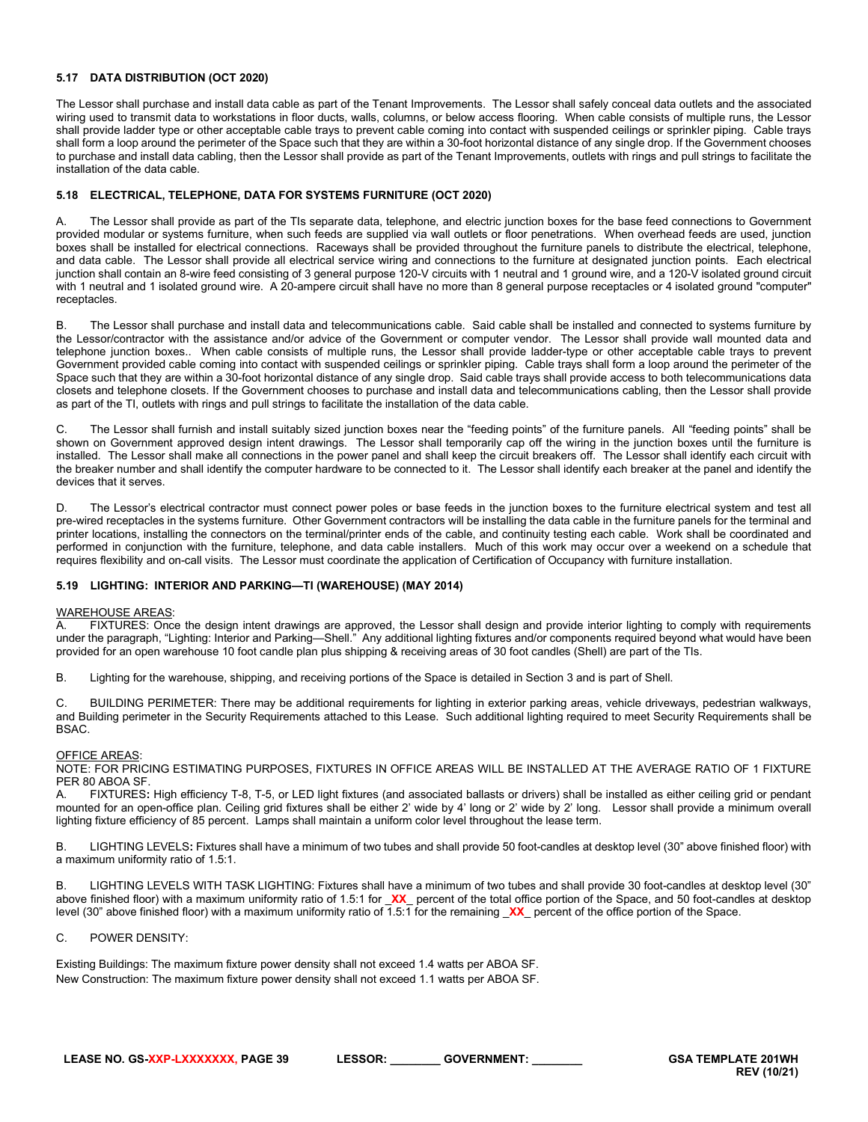# <span id="page-38-0"></span>**5.17 DATA DISTRIBUTION (OCT 2020)**

The Lessor shall purchase and install data cable as part of the Tenant Improvements. The Lessor shall safely conceal data outlets and the associated wiring used to transmit data to workstations in floor ducts, walls, columns, or below access flooring. When cable consists of multiple runs, the Lessor shall provide ladder type or other acceptable cable trays to prevent cable coming into contact with suspended ceilings or sprinkler piping. Cable trays shall form a loop around the perimeter of the Space such that they are within a 30-foot horizontal distance of any single drop. If the Government chooses to purchase and install data cabling, then the Lessor shall provide as part of the Tenant Improvements, outlets with rings and pull strings to facilitate the installation of the data cable.

# <span id="page-38-1"></span>**5.18 ELECTRICAL, TELEPHONE, DATA FOR SYSTEMS FURNITURE (OCT 2020)**

A. The Lessor shall provide as part of the TIs separate data, telephone, and electric junction boxes for the base feed connections to Government provided modular or systems furniture, when such feeds are supplied via wall outlets or floor penetrations. When overhead feeds are used, junction boxes shall be installed for electrical connections. Raceways shall be provided throughout the furniture panels to distribute the electrical, telephone, and data cable. The Lessor shall provide all electrical service wiring and connections to the furniture at designated junction points. Each electrical junction shall contain an 8-wire feed consisting of 3 general purpose 120-V circuits with 1 neutral and 1 ground wire, and a 120-V isolated ground circuit with 1 neutral and 1 isolated ground wire. A 20-ampere circuit shall have no more than 8 general purpose receptacles or 4 isolated ground "computer" receptacles.

The Lessor shall purchase and install data and telecommunications cable. Said cable shall be installed and connected to systems furniture by the Lessor/contractor with the assistance and/or advice of the Government or computer vendor. The Lessor shall provide wall mounted data and telephone junction boxes.. When cable consists of multiple runs, the Lessor shall provide ladder-type or other acceptable cable trays to prevent Government provided cable coming into contact with suspended ceilings or sprinkler piping. Cable trays shall form a loop around the perimeter of the Space such that they are within a 30-foot horizontal distance of any single drop. Said cable trays shall provide access to both telecommunications data closets and telephone closets. If the Government chooses to purchase and install data and telecommunications cabling, then the Lessor shall provide as part of the TI, outlets with rings and pull strings to facilitate the installation of the data cable.

C. The Lessor shall furnish and install suitably sized junction boxes near the "feeding points" of the furniture panels. All "feeding points" shall be shown on Government approved design intent drawings. The Lessor shall temporarily cap off the wiring in the junction boxes until the furniture is installed. The Lessor shall make all connections in the power panel and shall keep the circuit breakers off. The Lessor shall identify each circuit with the breaker number and shall identify the computer hardware to be connected to it. The Lessor shall identify each breaker at the panel and identify the devices that it serves.

The Lessor's electrical contractor must connect power poles or base feeds in the junction boxes to the furniture electrical system and test all pre-wired receptacles in the systems furniture. Other Government contractors will be installing the data cable in the furniture panels for the terminal and printer locations, installing the connectors on the terminal/printer ends of the cable, and continuity testing each cable. Work shall be coordinated and performed in conjunction with the furniture, telephone, and data cable installers. Much of this work may occur over a weekend on a schedule that requires flexibility and on-call visits. The Lessor must coordinate the application of Certification of Occupancy with furniture installation.

#### <span id="page-38-2"></span>**5.19 LIGHTING: INTERIOR AND PARKING—TI (WAREHOUSE) (MAY 2014)**

# WAREHOUSE AREAS:<br>A. FIXTURES: Onc

FIXTURES: Once the design intent drawings are approved, the Lessor shall design and provide interior lighting to comply with requirements under the paragraph, "Lighting: Interior and Parking—Shell." Any additional lighting fixtures and/or components required beyond what would have been provided for an open warehouse 10 foot candle plan plus shipping & receiving areas of 30 foot candles (Shell) are part of the TIs.

B. Lighting for the warehouse, shipping, and receiving portions of the Space is detailed in Section 3 and is part of Shell.

C. BUILDING PERIMETER: There may be additional requirements for lighting in exterior parking areas, vehicle driveways, pedestrian walkways, and Building perimeter in the Security Requirements attached to this Lease. Such additional lighting required to meet Security Requirements shall be BSAC.

#### OFFICE AREAS:

NOTE: FOR PRICING ESTIMATING PURPOSES, FIXTURES IN OFFICE AREAS WILL BE INSTALLED AT THE AVERAGE RATIO OF 1 FIXTURE PER 80 ABOA SF.

A. FIXTURES**:** High efficiency T-8, T-5, or LED light fixtures (and associated ballasts or drivers) shall be installed as either ceiling grid or pendant mounted for an open-office plan. Ceiling grid fixtures shall be either 2' wide by 4' long or 2' wide by 2' long. Lessor shall provide a minimum overall lighting fixture efficiency of 85 percent. Lamps shall maintain a uniform color level throughout the lease term.

B. LIGHTING LEVELS**:** Fixtures shall have a minimum of two tubes and shall provide 50 foot-candles at desktop level (30" above finished floor) with a maximum uniformity ratio of 1.5:1.

B. LIGHTING LEVELS WITH TASK LIGHTING: Fixtures shall have a minimum of two tubes and shall provide 30 foot-candles at desktop level (30" above finished floor) with a maximum uniformity ratio of 1.5:1 for \_**XX**\_ percent of the total office portion of the Space, and 50 foot-candles at desktop level (30" above finished floor) with a maximum uniformity ratio of 1.5:1 for the remaining \_**XX**\_ percent of the office portion of the Space.

#### C. POWER DENSITY:

Existing Buildings: The maximum fixture power density shall not exceed 1.4 watts per ABOA SF. New Construction: The maximum fixture power density shall not exceed 1.1 watts per ABOA SF.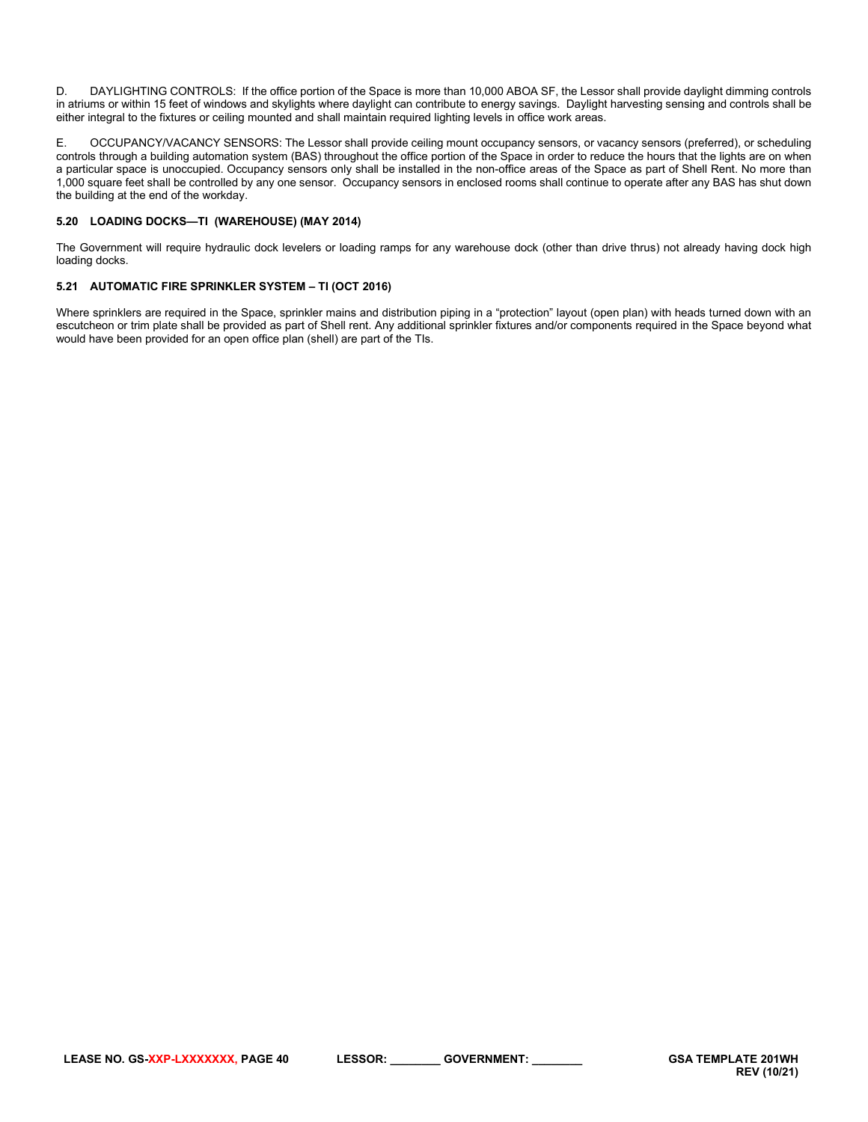D. DAYLIGHTING CONTROLS: If the office portion of the Space is more than 10,000 ABOA SF, the Lessor shall provide daylight dimming controls in atriums or within 15 feet of windows and skylights where daylight can contribute to energy savings. Daylight harvesting sensing and controls shall be either integral to the fixtures or ceiling mounted and shall maintain required lighting levels in office work areas.

E. OCCUPANCY/VACANCY SENSORS: The Lessor shall provide ceiling mount occupancy sensors, or vacancy sensors (preferred), or scheduling controls through a building automation system (BAS) throughout the office portion of the Space in order to reduce the hours that the lights are on when a particular space is unoccupied. Occupancy sensors only shall be installed in the non-office areas of the Space as part of Shell Rent. No more than 1,000 square feet shall be controlled by any one sensor. Occupancy sensors in enclosed rooms shall continue to operate after any BAS has shut down the building at the end of the workday.

# <span id="page-39-0"></span>**5.20 LOADING DOCKS—TI (WAREHOUSE) (MAY 2014)**

The Government will require hydraulic dock levelers or loading ramps for any warehouse dock (other than drive thrus) not already having dock high loading docks.

## <span id="page-39-1"></span>**5.21 AUTOMATIC FIRE SPRINKLER SYSTEM – TI (OCT 2016)**

Where sprinklers are required in the Space, sprinkler mains and distribution piping in a "protection" layout (open plan) with heads turned down with an escutcheon or trim plate shall be provided as part of Shell rent. Any additional sprinkler fixtures and/or components required in the Space beyond what would have been provided for an open office plan (shell) are part of the TIs.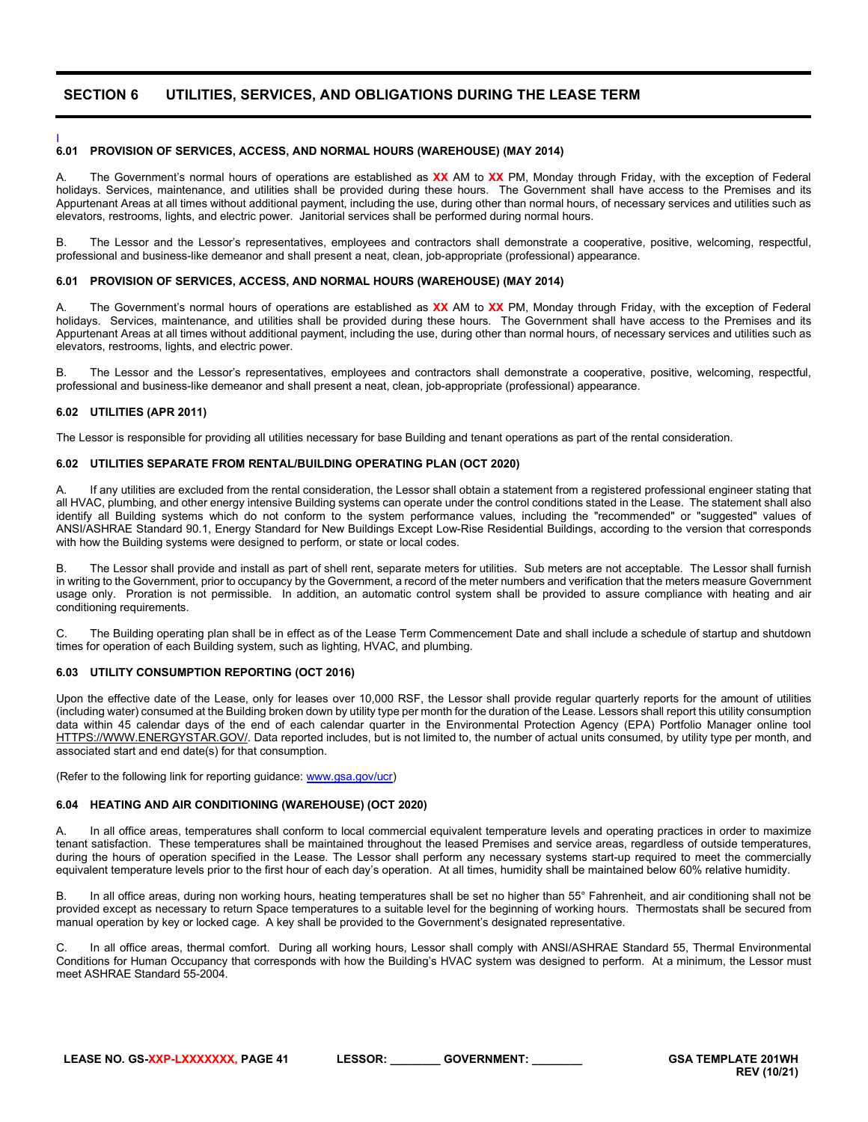# <span id="page-40-0"></span>**SECTION 6 UTILITIES, SERVICES, AND OBLIGATIONS DURING THE LEASE TERM**

#### <span id="page-40-1"></span>I **6.01 PROVISION OF SERVICES, ACCESS, AND NORMAL HOURS (WAREHOUSE) (MAY 2014)**

A. The Government's normal hours of operations are established as **XX** AM to **XX** PM, Monday through Friday, with the exception of Federal holidays. Services, maintenance, and utilities shall be provided during these hours. The Government shall have access to the Premises and its Appurtenant Areas at all times without additional payment, including the use, during other than normal hours, of necessary services and utilities such as elevators, restrooms, lights, and electric power. Janitorial services shall be performed during normal hours.

B. The Lessor and the Lessor's representatives, employees and contractors shall demonstrate a cooperative, positive, welcoming, respectful, professional and business-like demeanor and shall present a neat, clean, job-appropriate (professional) appearance.

#### <span id="page-40-2"></span>**6.01 PROVISION OF SERVICES, ACCESS, AND NORMAL HOURS (WAREHOUSE) (MAY 2014)**

A. The Government's normal hours of operations are established as **XX** AM to **XX** PM, Monday through Friday, with the exception of Federal holidays. Services, maintenance, and utilities shall be provided during these hours. The Government shall have access to the Premises and its Appurtenant Areas at all times without additional payment, including the use, during other than normal hours, of necessary services and utilities such as elevators, restrooms, lights, and electric power.

B. The Lessor and the Lessor's representatives, employees and contractors shall demonstrate a cooperative, positive, welcoming, respectful, professional and business-like demeanor and shall present a neat, clean, job-appropriate (professional) appearance.

#### <span id="page-40-3"></span>**6.02 UTILITIES (APR 2011)**

The Lessor is responsible for providing all utilities necessary for base Building and tenant operations as part of the rental consideration.

#### <span id="page-40-4"></span>**6.02 UTILITIES SEPARATE FROM RENTAL/BUILDING OPERATING PLAN (OCT 2020)**

A. If any utilities are excluded from the rental consideration, the Lessor shall obtain a statement from a registered professional engineer stating that all HVAC, plumbing, and other energy intensive Building systems can operate under the control conditions stated in the Lease. The statement shall also identify all Building systems which do not conform to the system performance values, including the "recommended" or "suggested" values of ANSI/ASHRAE Standard 90.1, Energy Standard for New Buildings Except Low-Rise Residential Buildings, according to the version that corresponds with how the Building systems were designed to perform, or state or local codes.

B. The Lessor shall provide and install as part of shell rent, separate meters for utilities. Sub meters are not acceptable. The Lessor shall furnish in writing to the Government, prior to occupancy by the Government, a record of the meter numbers and verification that the meters measure Government usage only. Proration is not permissible. In addition, an automatic control system shall be provided to assure compliance with heating and air conditioning requirements.

C. The Building operating plan shall be in effect as of the Lease Term Commencement Date and shall include a schedule of startup and shutdown times for operation of each Building system, such as lighting, HVAC, and plumbing.

#### <span id="page-40-5"></span>**6.03 UTILITY CONSUMPTION REPORTING (OCT 2016)**

Upon the effective date of the Lease, only for leases over 10,000 RSF, the Lessor shall provide regular quarterly reports for the amount of utilities (including water) consumed at the Building broken down by utility type per month for the duration of the Lease. Lessors shall report this utility consumption data within 45 calendar days of the end of each calendar quarter in the Environmental Protection Agency (EPA) Portfolio Manager online tool [HTTPS://WWW.ENERGYSTAR.GOV/.](https://www.energystar.gov/) Data reported includes, but is not limited to, the number of actual units consumed, by utility type per month, and associated start and end date(s) for that consumption.

(Refer to the following link for reporting guidance: [www.gsa.gov/ucr\)](http://www.gsa.gov/ucr)

#### <span id="page-40-6"></span>**6.04 HEATING AND AIR CONDITIONING (WAREHOUSE) (OCT 2020)**

A. In all office areas, temperatures shall conform to local commercial equivalent temperature levels and operating practices in order to maximize tenant satisfaction. These temperatures shall be maintained throughout the leased Premises and service areas, regardless of outside temperatures, during the hours of operation specified in the Lease. The Lessor shall perform any necessary systems start-up required to meet the commercially equivalent temperature levels prior to the first hour of each day's operation. At all times, humidity shall be maintained below 60% relative humidity.

B. In all office areas, during non working hours, heating temperatures shall be set no higher than 55° Fahrenheit, and air conditioning shall not be provided except as necessary to return Space temperatures to a suitable level for the beginning of working hours. Thermostats shall be secured from manual operation by key or locked cage. A key shall be provided to the Government's designated representative.

In all office areas, thermal comfort. During all working hours, Lessor shall comply with ANSI/ASHRAE Standard 55, Thermal Environmental Conditions for Human Occupancy that corresponds with how the Building's HVAC system was designed to perform. At a minimum, the Lessor must meet ASHRAE Standard 55-2004.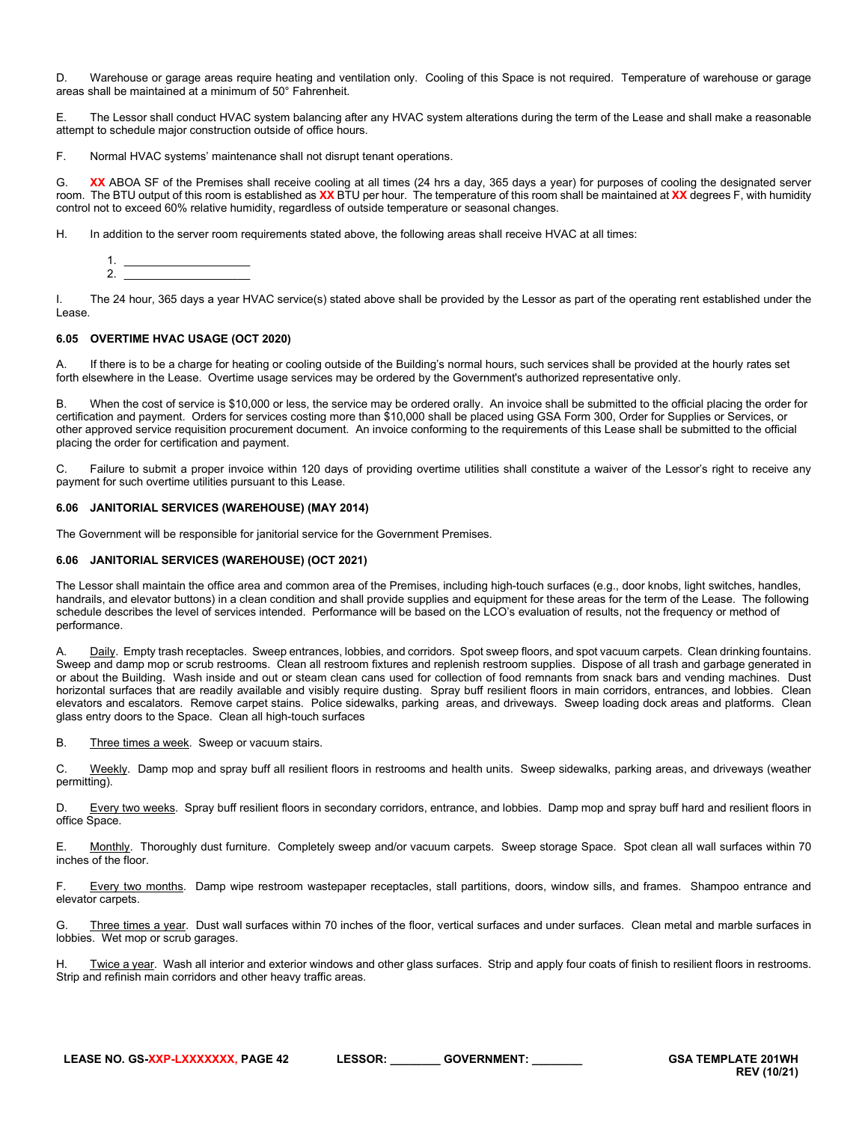D. Warehouse or garage areas require heating and ventilation only. Cooling of this Space is not required. Temperature of warehouse or garage areas shall be maintained at a minimum of 50° Fahrenheit.

E. The Lessor shall conduct HVAC system balancing after any HVAC system alterations during the term of the Lease and shall make a reasonable attempt to schedule major construction outside of office hours.

F. Normal HVAC systems' maintenance shall not disrupt tenant operations.

G. XX ABOA SF of the Premises shall receive cooling at all times (24 hrs a day, 365 days a year) for purposes of cooling the designated server room. The BTU output of this room is established as **XX** BTU per hour. The temperature of this room shall be maintained at **XX** degrees F, with humidity control not to exceed 60% relative humidity, regardless of outside temperature or seasonal changes.

H. In addition to the server room requirements stated above, the following areas shall receive HVAC at all times:



I. The 24 hour, 365 days a year HVAC service(s) stated above shall be provided by the Lessor as part of the operating rent established under the Lease.

#### <span id="page-41-0"></span>**6.05 OVERTIME HVAC USAGE (OCT 2020)**

If there is to be a charge for heating or cooling outside of the Building's normal hours, such services shall be provided at the hourly rates set forth elsewhere in the Lease. Overtime usage services may be ordered by the Government's authorized representative only.

B. When the cost of service is \$10,000 or less, the service may be ordered orally. An invoice shall be submitted to the official placing the order for certification and payment. Orders for services costing more than \$10,000 shall be placed using GSA Form 300, Order for Supplies or Services, or other approved service requisition procurement document. An invoice conforming to the requirements of this Lease shall be submitted to the official placing the order for certification and payment.

C. Failure to submit a proper invoice within 120 days of providing overtime utilities shall constitute a waiver of the Lessor's right to receive any payment for such overtime utilities pursuant to this Lease.

#### <span id="page-41-1"></span>**6.06 JANITORIAL SERVICES (WAREHOUSE) (MAY 2014)**

The Government will be responsible for janitorial service for the Government Premises.

# <span id="page-41-2"></span>**6.06 JANITORIAL SERVICES (WAREHOUSE) (OCT 2021)**

The Lessor shall maintain the office area and common area of the Premises, including high-touch surfaces (e.g., door knobs, light switches, handles, handrails, and elevator buttons) in a clean condition and shall provide supplies and equipment for these areas for the term of the Lease. The following schedule describes the level of services intended. Performance will be based on the LCO's evaluation of results, not the frequency or method of performance.

A. Daily. Empty trash receptacles. Sweep entrances, lobbies, and corridors. Spot sweep floors, and spot vacuum carpets. Clean drinking fountains. Sweep and damp mop or scrub restrooms. Clean all restroom fixtures and replenish restroom supplies. Dispose of all trash and garbage generated in or about the Building. Wash inside and out or steam clean cans used for collection of food remnants from snack bars and vending machines. Dust horizontal surfaces that are readily available and visibly require dusting. Spray buff resilient floors in main corridors, entrances, and lobbies. Clean elevators and escalators. Remove carpet stains. Police sidewalks, parking areas, and driveways. Sweep loading dock areas and platforms. Clean glass entry doors to the Space. Clean all high-touch surfaces

B. Three times a week. Sweep or vacuum stairs.

C. Weekly. Damp mop and spray buff all resilient floors in restrooms and health units. Sweep sidewalks, parking areas, and driveways (weather permitting).

D. Every two weeks. Spray buff resilient floors in secondary corridors, entrance, and lobbies. Damp mop and spray buff hard and resilient floors in office Space.

E. Monthly. Thoroughly dust furniture. Completely sweep and/or vacuum carpets. Sweep storage Space. Spot clean all wall surfaces within 70 inches of the floor.

F. Every two months. Damp wipe restroom wastepaper receptacles, stall partitions, doors, window sills, and frames. Shampoo entrance and elevator carpets.

G. Three times a year. Dust wall surfaces within 70 inches of the floor, vertical surfaces and under surfaces. Clean metal and marble surfaces in lobbies. Wet mop or scrub garages.

H. Twice a year. Wash all interior and exterior windows and other glass surfaces. Strip and apply four coats of finish to resilient floors in restrooms. Strip and refinish main corridors and other heavy traffic areas.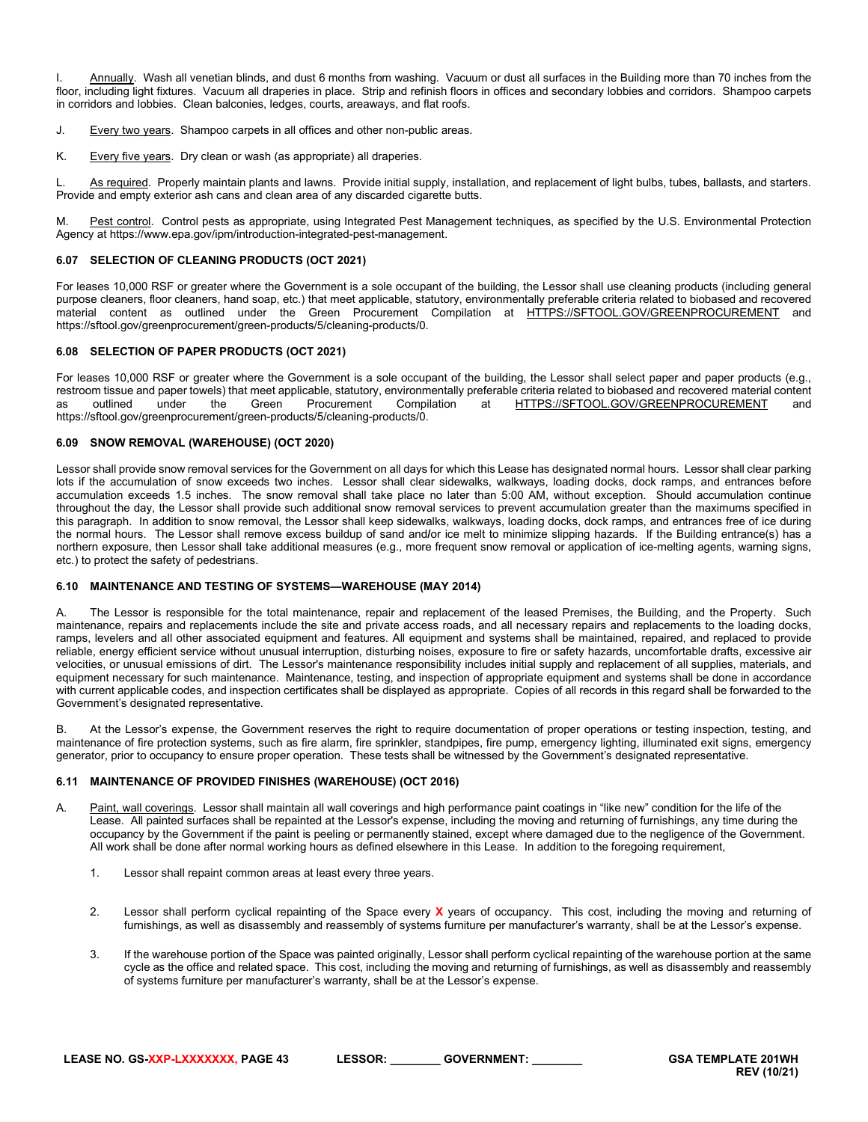I. Annually. Wash all venetian blinds, and dust 6 months from washing. Vacuum or dust all surfaces in the Building more than 70 inches from the floor, including light fixtures. Vacuum all draperies in place. Strip and refinish floors in offices and secondary lobbies and corridors. Shampoo carpets in corridors and lobbies. Clean balconies, ledges, courts, areaways, and flat roofs.

- J. Every two years. Shampoo carpets in all offices and other non-public areas.
- K. Every five years. Dry clean or wash (as appropriate) all draperies.

L. As required. Properly maintain plants and lawns. Provide initial supply, installation, and replacement of light bulbs, tubes, ballasts, and starters. Provide and empty exterior ash cans and clean area of any discarded cigarette butts.

M. Pest control. Control pests as appropriate, using Integrated Pest Management techniques, as specified by the U.S. Environmental Protection Agency at https://www.epa.gov/ipm/introduction-integrated-pest-management.

#### <span id="page-42-0"></span>**6.07 SELECTION OF CLEANING PRODUCTS (OCT 2021)**

For leases 10,000 RSF or greater where the Government is a sole occupant of the building, the Lessor shall use cleaning products (including general purpose cleaners, floor cleaners, hand soap, etc.) that meet applicable, statutory, environmentally preferable criteria related to biobased and recovered material content as outlined under the Green Procurement Compilation at [HTTPS://SFTOOL.GOV/GREENPROCUREMENT](https://sftool.gov/greenprocurement) and https://sftool.gov/greenprocurement/green-products/5/cleaning-products/0.

#### <span id="page-42-1"></span>**6.08 SELECTION OF PAPER PRODUCTS (OCT 2021)**

For leases 10,000 RSF or greater where the Government is a sole occupant of the building, the Lessor shall select paper and paper products (e.g., restroom tissue and paper towels) that meet applicable, statutory, environmentally preferable criteria related to biobased and recovered material content<br>as outlined under the Green Procurement Compilation at HTTPS://SFTOO as outlined under the Green Procurement Compilation at [HTTPS://SFTOOL.GOV/GREENPROCUREMENT](https://sftool.gov/greenprocurement) https://sftool.gov/greenprocurement/green-products/5/cleaning-products/0.

## <span id="page-42-2"></span>**6.09 SNOW REMOVAL (WAREHOUSE) (OCT 2020)**

Lessor shall provide snow removal services for the Government on all days for which this Lease has designated normal hours. Lessor shall clear parking lots if the accumulation of snow exceeds two inches. Lessor shall clear sidewalks, walkways, loading docks, dock ramps, and entrances before accumulation exceeds 1.5 inches. The snow removal shall take place no later than 5:00 AM, without exception. Should accumulation continue throughout the day, the Lessor shall provide such additional snow removal services to prevent accumulation greater than the maximums specified in this paragraph. In addition to snow removal, the Lessor shall keep sidewalks, walkways, loading docks, dock ramps, and entrances free of ice during the normal hours. The Lessor shall remove excess buildup of sand and**/**or ice melt to minimize slipping hazards. If the Building entrance(s) has a northern exposure, then Lessor shall take additional measures (e.g., more frequent snow removal or application of ice-melting agents, warning signs, etc.) to protect the safety of pedestrians.

#### <span id="page-42-3"></span>**6.10 MAINTENANCE AND TESTING OF SYSTEMS—WAREHOUSE (MAY 2014)**

A. The Lessor is responsible for the total maintenance, repair and replacement of the leased Premises, the Building, and the Property. Such maintenance, repairs and replacements include the site and private access roads, and all necessary repairs and replacements to the loading docks, ramps, levelers and all other associated equipment and features. All equipment and systems shall be maintained, repaired, and replaced to provide reliable, energy efficient service without unusual interruption, disturbing noises, exposure to fire or safety hazards, uncomfortable drafts, excessive air velocities, or unusual emissions of dirt. The Lessor's maintenance responsibility includes initial supply and replacement of all supplies, materials, and equipment necessary for such maintenance. Maintenance, testing, and inspection of appropriate equipment and systems shall be done in accordance with current applicable codes, and inspection certificates shall be displayed as appropriate. Copies of all records in this regard shall be forwarded to the Government's designated representative.

B. At the Lessor's expense, the Government reserves the right to require documentation of proper operations or testing inspection, testing, and maintenance of fire protection systems, such as fire alarm, fire sprinkler, standpipes, fire pump, emergency lighting, illuminated exit signs, emergency generator, prior to occupancy to ensure proper operation. These tests shall be witnessed by the Government's designated representative.

#### <span id="page-42-4"></span>**6.11 MAINTENANCE OF PROVIDED FINISHES (WAREHOUSE) (OCT 2016)**

- A. Paint, wall coverings. Lessor shall maintain all wall coverings and high performance paint coatings in "like new" condition for the life of the Lease. All painted surfaces shall be repainted at the Lessor's expense, including the moving and returning of furnishings, any time during the occupancy by the Government if the paint is peeling or permanently stained, except where damaged due to the negligence of the Government. All work shall be done after normal working hours as defined elsewhere in this Lease. In addition to the foregoing requirement,
	- 1. Lessor shall repaint common areas at least every three years.
	- 2. Lessor shall perform cyclical repainting of the Space every **X** years of occupancy. This cost, including the moving and returning of furnishings, as well as disassembly and reassembly of systems furniture per manufacturer's warranty, shall be at the Lessor's expense.
	- 3. If the warehouse portion of the Space was painted originally, Lessor shall perform cyclical repainting of the warehouse portion at the same cycle as the office and related space. This cost, including the moving and returning of furnishings, as well as disassembly and reassembly of systems furniture per manufacturer's warranty, shall be at the Lessor's expense.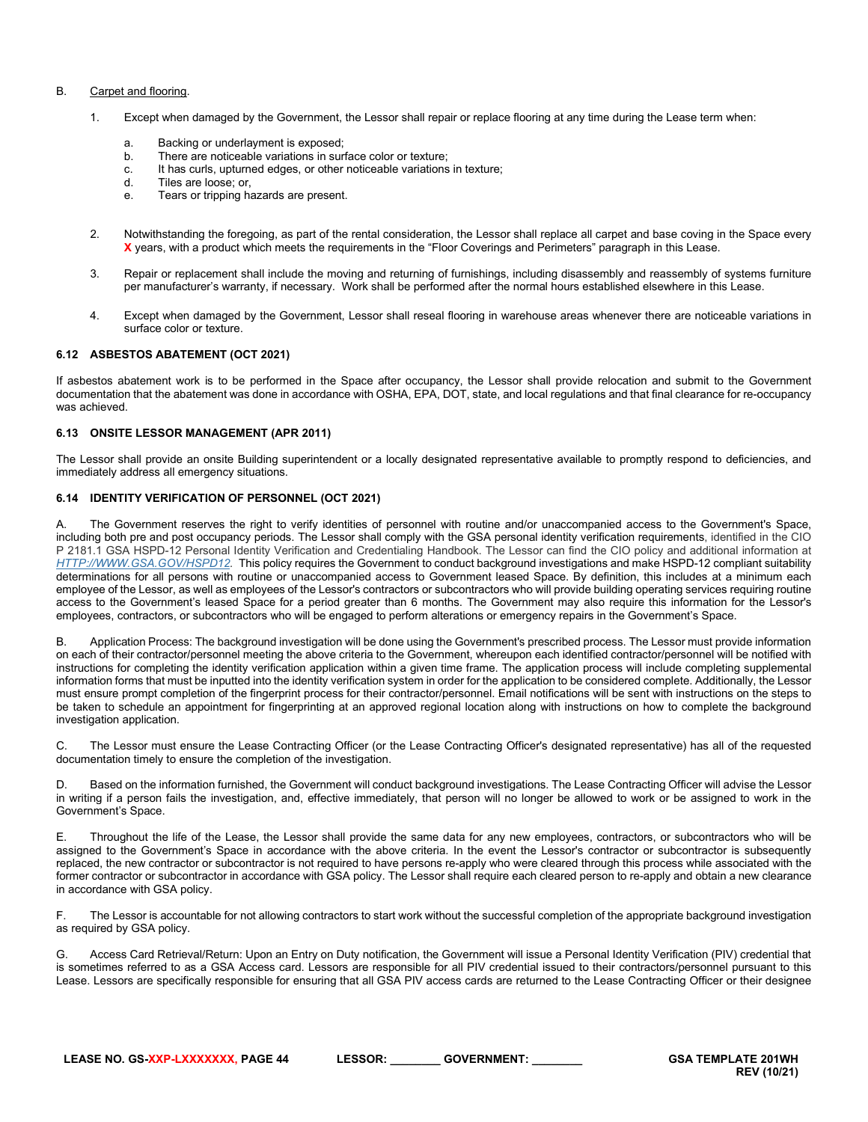#### B. Carpet and flooring.

- 1. Except when damaged by the Government, the Lessor shall repair or replace flooring at any time during the Lease term when:
	- a. Backing or underlayment is exposed;
	- b. There are noticeable variations in surface color or texture;
	- c. It has curls, upturned edges, or other noticeable variations in texture;
	- d. Tiles are loose; or,
	- e. Tears or tripping hazards are present.
- 2. Notwithstanding the foregoing, as part of the rental consideration, the Lessor shall replace all carpet and base coving in the Space every **X** years, with a product which meets the requirements in the "Floor Coverings and Perimeters" paragraph in this Lease.
- 3. Repair or replacement shall include the moving and returning of furnishings, including disassembly and reassembly of systems furniture per manufacturer's warranty, if necessary. Work shall be performed after the normal hours established elsewhere in this Lease.
- 4. Except when damaged by the Government, Lessor shall reseal flooring in warehouse areas whenever there are noticeable variations in surface color or texture.

#### <span id="page-43-0"></span>**6.12 ASBESTOS ABATEMENT (OCT 2021)**

If asbestos abatement work is to be performed in the Space after occupancy, the Lessor shall provide relocation and submit to the Government documentation that the abatement was done in accordance with OSHA, EPA, DOT, state, and local regulations and that final clearance for re-occupancy was achieved.

#### <span id="page-43-1"></span>**6.13 ONSITE LESSOR MANAGEMENT (APR 2011)**

The Lessor shall provide an onsite Building superintendent or a locally designated representative available to promptly respond to deficiencies, and immediately address all emergency situations.

# <span id="page-43-2"></span>**6.14 IDENTITY VERIFICATION OF PERSONNEL (OCT 2021)**

A. The Government reserves the right to verify identities of personnel with routine and/or unaccompanied access to the Government's Space, including both pre and post occupancy periods. The Lessor shall comply with the GSA personal identity verification requirements, identified in the CIO P 2181.1 GSA HSPD-12 Personal Identity Verification and Credentialing Handbook. The Lessor can find the CIO policy and additional information at *[HTTP://WWW.GSA.GOV/HSPD12.](http://www.gsa.gov/hspd12)* This policy requires the Government to conduct background investigations and make HSPD-12 compliant suitability determinations for all persons with routine or unaccompanied access to Government leased Space. By definition, this includes at a minimum each employee of the Lessor, as well as employees of the Lessor's contractors or subcontractors who will provide building operating services requiring routine access to the Government's leased Space for a period greater than 6 months. The Government may also require this information for the Lessor's employees, contractors, or subcontractors who will be engaged to perform alterations or emergency repairs in the Government's Space.

B. Application Process: The background investigation will be done using the Government's prescribed process. The Lessor must provide information on each of their contractor/personnel meeting the above criteria to the Government, whereupon each identified contractor/personnel will be notified with instructions for completing the identity verification application within a given time frame. The application process will include completing supplemental information forms that must be inputted into the identity verification system in order for the application to be considered complete. Additionally, the Lessor must ensure prompt completion of the fingerprint process for their contractor/personnel. Email notifications will be sent with instructions on the steps to be taken to schedule an appointment for fingerprinting at an approved regional location along with instructions on how to complete the background investigation application.

C. The Lessor must ensure the Lease Contracting Officer (or the Lease Contracting Officer's designated representative) has all of the requested documentation timely to ensure the completion of the investigation.

D. Based on the information furnished, the Government will conduct background investigations. The Lease Contracting Officer will advise the Lessor in writing if a person fails the investigation, and, effective immediately, that person will no longer be allowed to work or be assigned to work in the Government's Space.

E. Throughout the life of the Lease, the Lessor shall provide the same data for any new employees, contractors, or subcontractors who will be assigned to the Government's Space in accordance with the above criteria. In the event the Lessor's contractor or subcontractor is subsequently replaced, the new contractor or subcontractor is not required to have persons re-apply who were cleared through this process while associated with the former contractor or subcontractor in accordance with GSA policy. The Lessor shall require each cleared person to re-apply and obtain a new clearance in accordance with GSA policy.

F. The Lessor is accountable for not allowing contractors to start work without the successful completion of the appropriate background investigation as required by GSA policy.

G. Access Card Retrieval/Return: Upon an Entry on Duty notification, the Government will issue a Personal Identity Verification (PIV) credential that is sometimes referred to as a GSA Access card. Lessors are responsible for all PIV credential issued to their contractors/personnel pursuant to this Lease. Lessors are specifically responsible for ensuring that all GSA PIV access cards are returned to the Lease Contracting Officer or their designee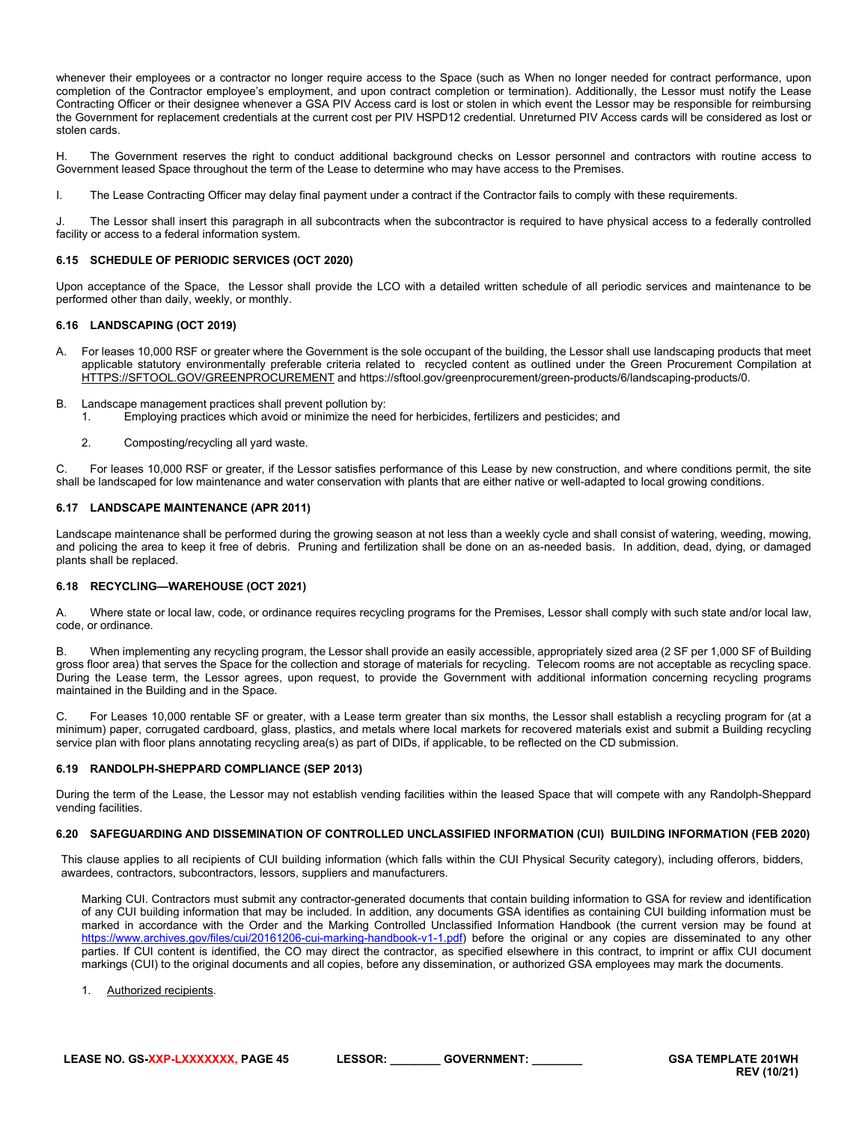whenever their employees or a contractor no longer require access to the Space (such as When no longer needed for contract performance, upon completion of the Contractor employee's employment, and upon contract completion or termination). Additionally, the Lessor must notify the Lease Contracting Officer or their designee whenever a GSA PIV Access card is lost or stolen in which event the Lessor may be responsible for reimbursing the Government for replacement credentials at the current cost per PIV HSPD12 credential. Unreturned PIV Access cards will be considered as lost or stolen cards.

H. The Government reserves the right to conduct additional background checks on Lessor personnel and contractors with routine access to Government leased Space throughout the term of the Lease to determine who may have access to the Premises.

I. The Lease Contracting Officer may delay final payment under a contract if the Contractor fails to comply with these requirements.

J. The Lessor shall insert this paragraph in all subcontracts when the subcontractor is required to have physical access to a federally controlled facility or access to a federal information system.

#### <span id="page-44-0"></span>**6.15 SCHEDULE OF PERIODIC SERVICES (OCT 2020)**

Upon acceptance of the Space, the Lessor shall provide the LCO with a detailed written schedule of all periodic services and maintenance to be performed other than daily, weekly, or monthly.

#### <span id="page-44-1"></span>**6.16 LANDSCAPING (OCT 2019)**

- A. For leases 10,000 RSF or greater where the Government is the sole occupant of the building, the Lessor shall use landscaping products that meet applicable statutory environmentally preferable criteria related to recycled content as outlined under the Green Procurement Compilation at [HTTPS://SFTOOL.GOV/GREENPROCUREMENT](https://sftool.gov/GREENPROCUREMENT) and https://sftool.gov/greenprocurement/green-products/6/landscaping-products/0.
- B. Landscape management practices shall prevent pollution by:
	- 1. Employing practices which avoid or minimize the need for herbicides, fertilizers and pesticides; and
	- 2. Composting/recycling all yard waste.

C. For leases 10,000 RSF or greater, if the Lessor satisfies performance of this Lease by new construction, and where conditions permit, the site shall be landscaped for low maintenance and water conservation with plants that are either native or well-adapted to local growing conditions.

#### <span id="page-44-2"></span>**6.17 LANDSCAPE MAINTENANCE (APR 2011)**

Landscape maintenance shall be performed during the growing season at not less than a weekly cycle and shall consist of watering, weeding, mowing, and policing the area to keep it free of debris. Pruning and fertilization shall be done on an as-needed basis. In addition, dead, dying, or damaged plants shall be replaced.

#### <span id="page-44-3"></span>**6.18 RECYCLING—WAREHOUSE (OCT 2021)**

A. Where state or local law, code, or ordinance requires recycling programs for the Premises, Lessor shall comply with such state and/or local law, code, or ordinance.

B. When implementing any recycling program, the Lessor shall provide an easily accessible, appropriately sized area (2 SF per 1,000 SF of Building gross floor area) that serves the Space for the collection and storage of materials for recycling. Telecom rooms are not acceptable as recycling space. During the Lease term, the Lessor agrees, upon request, to provide the Government with additional information concerning recycling programs maintained in the Building and in the Space.

C. For Leases 10,000 rentable SF or greater, with a Lease term greater than six months, the Lessor shall establish a recycling program for (at a minimum) paper, corrugated cardboard, glass, plastics, and metals where local markets for recovered materials exist and submit a Building recycling service plan with floor plans annotating recycling area(s) as part of DIDs, if applicable, to be reflected on the CD submission.

#### <span id="page-44-4"></span>**6.19 RANDOLPH-SHEPPARD COMPLIANCE (SEP 2013)**

During the term of the Lease, the Lessor may not establish vending facilities within the leased Space that will compete with any Randolph-Sheppard vending facilities.

#### <span id="page-44-5"></span>**6.20 SAFEGUARDING AND DISSEMINATION OF CONTROLLED UNCLASSIFIED INFORMATION (CUI) BUILDING INFORMATION (FEB 2020)**

This clause applies to all recipients of CUI building information (which falls within the CUI Physical Security category), including offerors, bidders, awardees, contractors, subcontractors, lessors, suppliers and manufacturers.

Marking CUI. Contractors must submit any contractor-generated documents that contain building information to GSA for review and identification of any CUI building information that may be included. In addition, any documents GSA identifies as containing CUI building information must be marked in accordance with the Order and the Marking Controlled Unclassified Information Handbook (the current version may be found at [https://www.archives.gov/files/cui/20161206-cui-marking-handbook-v1-1.pdf\)](https://www.archives.gov/files/cui/20161206-cui-marking-handbook-v1-1.pdf) before the original or any copies are disseminated to any other parties. If CUI content is identified, the CO may direct the contractor, as specified elsewhere in this contract, to imprint or affix CUI document markings (CUI) to the original documents and all copies, before any dissemination, or authorized GSA employees may mark the documents.

1. Authorized recipients.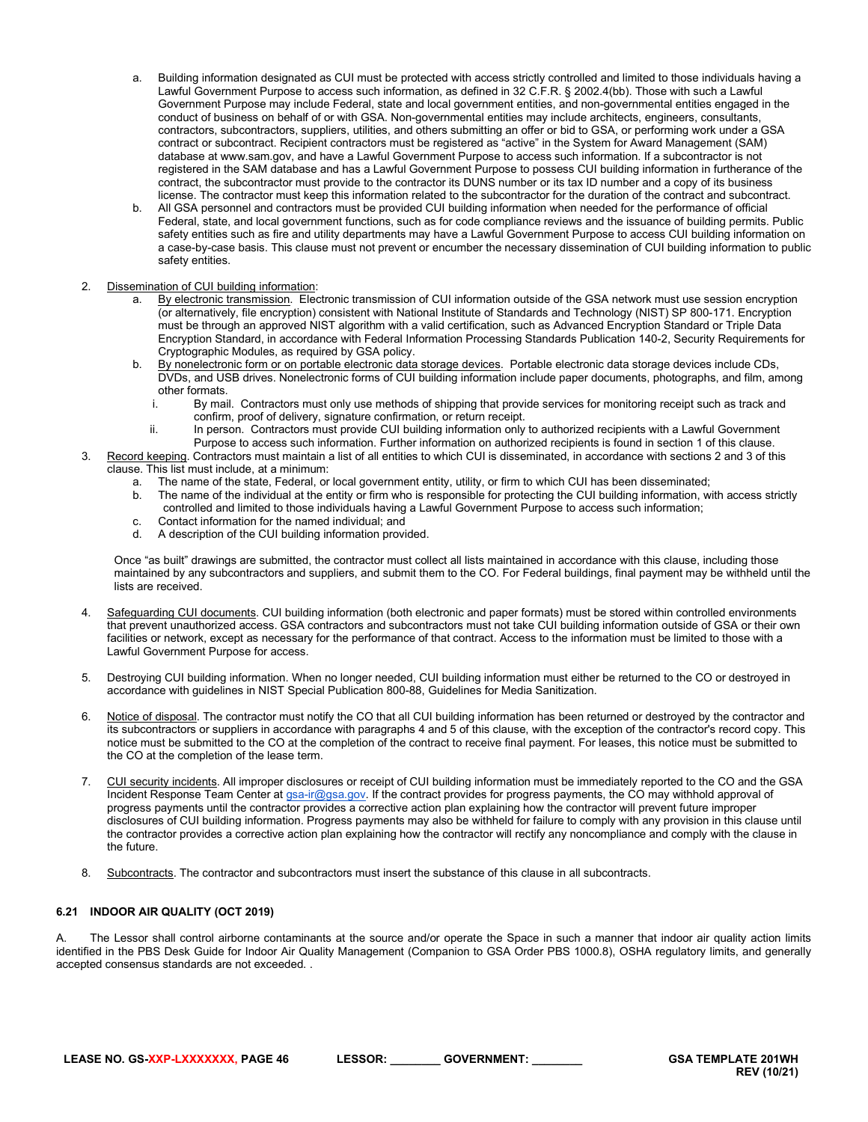- a. Building information designated as CUI must be protected with access strictly controlled and limited to those individuals having a Lawful Government Purpose to access such information, as defined in 32 C.F.R. § 2002.4(bb). Those with such a Lawful Government Purpose may include Federal, state and local government entities, and non-governmental entities engaged in the conduct of business on behalf of or with GSA. Non-governmental entities may include architects, engineers, consultants, contractors, subcontractors, suppliers, utilities, and others submitting an offer or bid to GSA, or performing work under a GSA contract or subcontract. Recipient contractors must be registered as "active" in the System for Award Management (SAM) database a[t www.sam.gov,](http://www.sam.gov/) and have a Lawful Government Purpose to access such information. If a subcontractor is not registered in the SAM database and has a Lawful Government Purpose to possess CUI building information in furtherance of the contract, the subcontractor must provide to the contractor its DUNS number or its tax ID number and a copy of its business license. The contractor must keep this information related to the subcontractor for the duration of the contract and subcontract.
- b. All GSA personnel and contractors must be provided CUI building information when needed for the performance of official Federal, state, and local government functions, such as for code compliance reviews and the issuance of building permits. Public safety entities such as fire and utility departments may have a Lawful Government Purpose to access CUI building information on a case-by-case basis. This clause must not prevent or encumber the necessary dissemination of CUI building information to public safety entities.
- 2. Dissemination of CUI building information:
	- a. By electronic transmission. Electronic transmission of CUI information outside of the GSA network must use session encryption (or alternatively, file encryption) consistent with National Institute of Standards and Technology (NIST) SP 800-171. Encryption must be through an approved NIST algorithm with a valid certification, such as Advanced Encryption Standard or Triple Data Encryption Standard, in accordance with Federal Information Processing Standards Publication 140-2, Security Requirements for Cryptographic Modules, as required by GSA policy.
	- b. By nonelectronic form or on portable electronic data storage devices. Portable electronic data storage devices include CDs, DVDs, and USB drives. Nonelectronic forms of CUI building information include paper documents, photographs, and film, among other formats.<br>By mai
		- By mail. Contractors must only use methods of shipping that provide services for monitoring receipt such as track and confirm, proof of delivery, signature confirmation, or return receipt.
		- ii. In person. Contractors must provide CUI building information only to authorized recipients with a Lawful Government Purpose to access such information. Further information on authorized recipients is found in section 1 of this clause.
- 3. Record keeping. Contractors must maintain a list of all entities to which CUI is disseminated, in accordance with sections 2 and 3 of this clause. This list must include, at a minimum:
	- a. The name of the state, Federal, or local government entity, utility, or firm to which CUI has been disseminated;
	- b. The name of the individual at the entity or firm who is responsible for protecting the CUI building information, with access strictly controlled and limited to those individuals having a Lawful Government Purpose to access such information;
	- c. Contact information for the named individual; and
	- d. A description of the CUI building information provided.

Once "as built" drawings are submitted, the contractor must collect all lists maintained in accordance with this clause, including those maintained by any subcontractors and suppliers, and submit them to the CO. For Federal buildings, final payment may be withheld until the lists are received.

- 4. Safeguarding CUI documents. CUI building information (both electronic and paper formats) must be stored within controlled environments that prevent unauthorized access. GSA contractors and subcontractors must not take CUI building information outside of GSA or their own facilities or network, except as necessary for the performance of that contract. Access to the information must be limited to those with a Lawful Government Purpose for access.
- 5. Destroying CUI building information. When no longer needed, CUI building information must either be returned to the CO or destroyed in accordance with guidelines in NIST Special Publication 800-88, Guidelines for Media Sanitization.
- 6. Notice of disposal. The contractor must notify the CO that all CUI building information has been returned or destroyed by the contractor and its subcontractors or suppliers in accordance with paragraphs 4 and 5 of this clause, with the exception of the contractor's record copy. This notice must be submitted to the CO at the completion of the contract to receive final payment. For leases, this notice must be submitted to the CO at the completion of the lease term.
- 7. CUI security incidents. All improper disclosures or receipt of CUI building information must be immediately reported to the CO and the GSA Incident Response Team Center at [gsa-ir@gsa.gov.](mailto:gsa-ir@gsa.gov) If the contract provides for progress payments, the CO may withhold approval of progress payments until the contractor provides a corrective action plan explaining how the contractor will prevent future improper disclosures of CUI building information. Progress payments may also be withheld for failure to comply with any provision in this clause until the contractor provides a corrective action plan explaining how the contractor will rectify any noncompliance and comply with the clause in the future.
- 8. Subcontracts. The contractor and subcontractors must insert the substance of this clause in all subcontracts.

# <span id="page-45-0"></span>**6.21 INDOOR AIR QUALITY (OCT 2019)**

The Lessor shall control airborne contaminants at the source and/or operate the Space in such a manner that indoor air quality action limits identified in the PBS Desk Guide for Indoor Air Quality Management (Companion to GSA Order PBS 1000.8), OSHA regulatory limits, and generally accepted consensus standards are not exceeded. .

**REV (10/21)**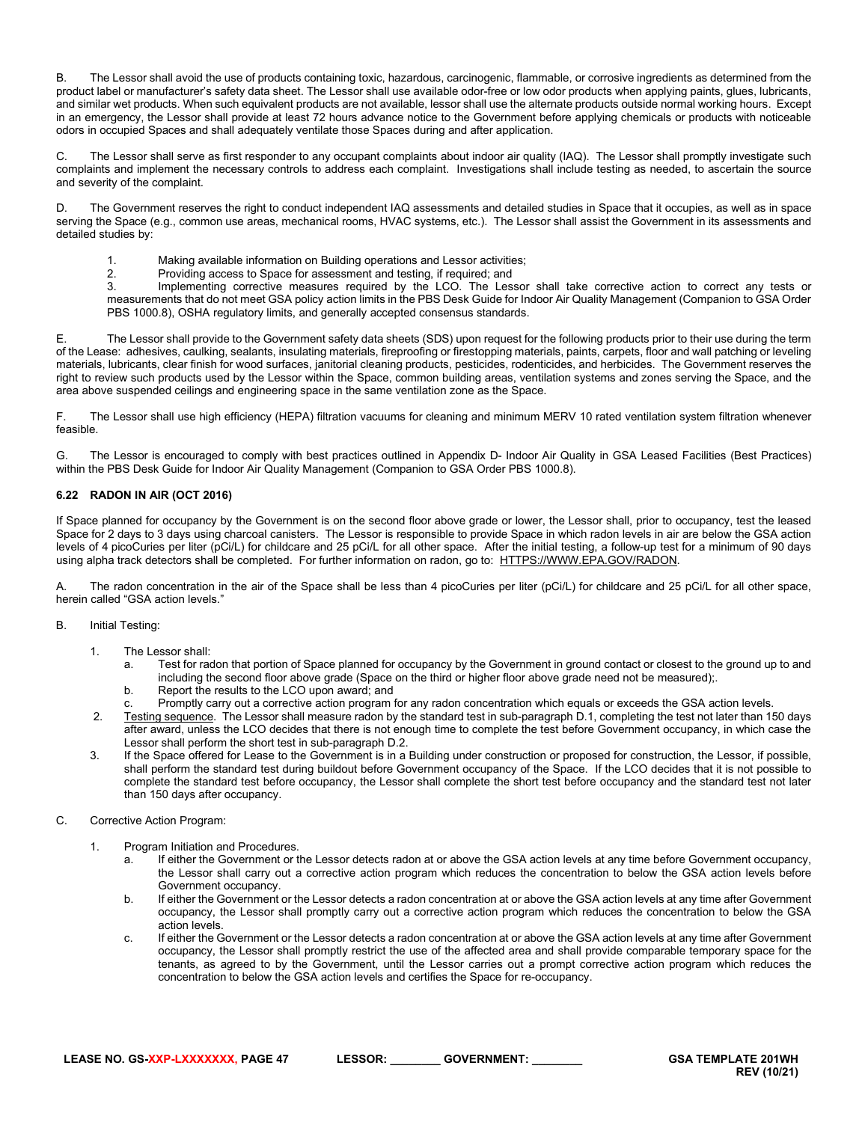B. The Lessor shall avoid the use of products containing toxic, hazardous, carcinogenic, flammable, or corrosive ingredients as determined from the product label or manufacturer's safety data sheet. The Lessor shall use available odor-free or low odor products when applying paints, glues, lubricants, and similar wet products. When such equivalent products are not available, lessor shall use the alternate products outside normal working hours. Except in an emergency, the Lessor shall provide at least 72 hours advance notice to the Government before applying chemicals or products with noticeable odors in occupied Spaces and shall adequately ventilate those Spaces during and after application.

C. The Lessor shall serve as first responder to any occupant complaints about indoor air quality (IAQ). The Lessor shall promptly investigate such complaints and implement the necessary controls to address each complaint. Investigations shall include testing as needed, to ascertain the source and severity of the complaint.

The Government reserves the right to conduct independent IAQ assessments and detailed studies in Space that it occupies, as well as in space serving the Space (e.g., common use areas, mechanical rooms, HVAC systems, etc.). The Lessor shall assist the Government in its assessments and detailed studies by:

- 1. Making available information on Building operations and Lessor activities;
- 2. Providing access to Space for assessment and testing, if required; and<br>3 **Implementing corrective measures** required by the LCO. The Les

Implementing corrective measures required by the LCO. The Lessor shall take corrective action to correct any tests or measurements that do not meet GSA policy action limits in the PBS Desk Guide for Indoor Air Quality Management (Companion to GSA Order PBS 1000.8), OSHA regulatory limits, and generally accepted consensus standards.

E. The Lessor shall provide to the Government safety data sheets (SDS) upon request for the following products prior to their use during the term of the Lease: adhesives, caulking, sealants, insulating materials, fireproofing or firestopping materials, paints, carpets, floor and wall patching or leveling materials, lubricants, clear finish for wood surfaces, janitorial cleaning products, pesticides, rodenticides, and herbicides. The Government reserves the right to review such products used by the Lessor within the Space, common building areas, ventilation systems and zones serving the Space, and the area above suspended ceilings and engineering space in the same ventilation zone as the Space.

F. The Lessor shall use high efficiency (HEPA) filtration vacuums for cleaning and minimum MERV 10 rated ventilation system filtration whenever feasible.

G. The Lessor is encouraged to comply with best practices outlined in Appendix D- Indoor Air Quality in GSA Leased Facilities (Best Practices) within the PBS Desk Guide for Indoor Air Quality Management (Companion to GSA Order PBS 1000.8).

# <span id="page-46-0"></span>**6.22 RADON IN AIR (OCT 2016)**

If Space planned for occupancy by the Government is on the second floor above grade or lower, the Lessor shall, prior to occupancy, test the leased Space for 2 days to 3 days using charcoal canisters. The Lessor is responsible to provide Space in which radon levels in air are below the GSA action levels of 4 picoCuries per liter (pCi/L) for childcare and 25 pCi/L for all other space. After the initial testing, a follow-up test for a minimum of 90 days using alpha track detectors shall be completed. For further information on radon, go to: [HTTPS://WWW.EPA.GOV/RADON.](https://www.epa.gov/radon)

The radon concentration in the air of the Space shall be less than 4 picoCuries per liter (pCi/L) for childcare and 25 pCi/L for all other space, herein called "GSA action levels."

#### B. Initial Testing:

- 1. The Lessor shall:
	- a. Test for radon that portion of Space planned for occupancy by the Government in ground contact or closest to the ground up to and including the second floor above grade (Space on the third or higher floor above grade need not be measured);.
	- b. Report the results to the LCO upon award; and
	- c. Promptly carry out a corrective action program for any radon concentration which equals or exceeds the GSA action levels.
- 2. Testing sequence. The Lessor shall measure radon by the standard test in sub-paragraph D.1, completing the test not later than 150 days after award, unless the LCO decides that there is not enough time to complete the test before Government occupancy, in which case the Lessor shall perform the short test in sub-paragraph D.2.
- 3. If the Space offered for Lease to the Government is in a Building under construction or proposed for construction, the Lessor, if possible, shall perform the standard test during buildout before Government occupancy of the Space. If the LCO decides that it is not possible to complete the standard test before occupancy, the Lessor shall complete the short test before occupancy and the standard test not later than 150 days after occupancy.
- C. Corrective Action Program:
	- 1. Program Initiation and Procedures.
		- a. If either the Government or the Lessor detects radon at or above the GSA action levels at any time before Government occupancy, the Lessor shall carry out a corrective action program which reduces the concentration to below the GSA action levels before Government occupancy.
		- b. If either the Government or the Lessor detects a radon concentration at or above the GSA action levels at any time after Government occupancy, the Lessor shall promptly carry out a corrective action program which reduces the concentration to below the GSA action levels.
		- c. If either the Government or the Lessor detects a radon concentration at or above the GSA action levels at any time after Government occupancy, the Lessor shall promptly restrict the use of the affected area and shall provide comparable temporary space for the tenants, as agreed to by the Government, until the Lessor carries out a prompt corrective action program which reduces the concentration to below the GSA action levels and certifies the Space for re-occupancy.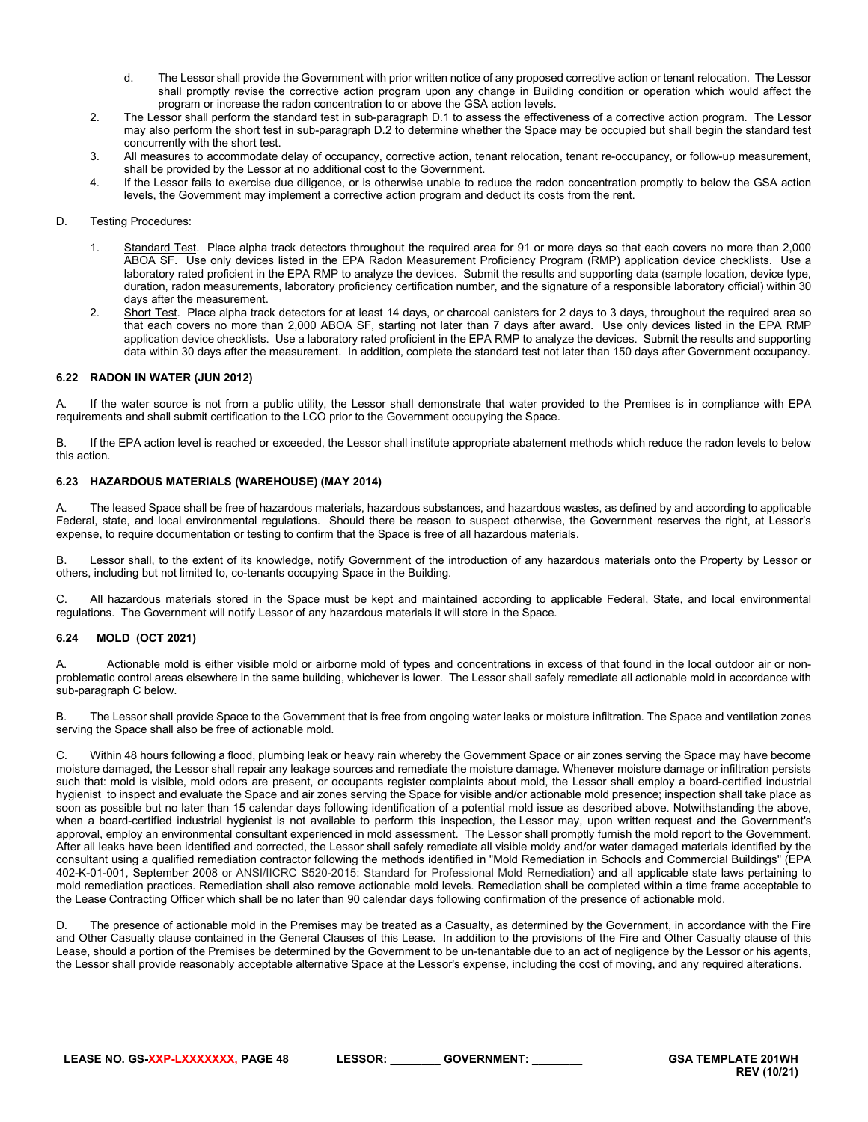- d. The Lessor shall provide the Government with prior written notice of any proposed corrective action or tenant relocation. The Lessor shall promptly revise the corrective action program upon any change in Building condition or operation which would affect the program or increase the radon concentration to or above the GSA action levels.
- 2. The Lessor shall perform the standard test in sub-paragraph D.1 to assess the effectiveness of a corrective action program. The Lessor may also perform the short test in sub-paragraph D.2 to determine whether the Space may be occupied but shall begin the standard test concurrently with the short test.
- 3. All measures to accommodate delay of occupancy, corrective action, tenant relocation, tenant re-occupancy, or follow-up measurement, shall be provided by the Lessor at no additional cost to the Government.
- 4. If the Lessor fails to exercise due diligence, or is otherwise unable to reduce the radon concentration promptly to below the GSA action levels, the Government may implement a corrective action program and deduct its costs from the rent.

# D. Testing Procedures:

- 1. Standard Test. Place alpha track detectors throughout the required area for 91 or more days so that each covers no more than 2,000 ABOA SF. Use only devices listed in the EPA Radon Measurement Proficiency Program (RMP) application device checklists. Use a laboratory rated proficient in the EPA RMP to analyze the devices. Submit the results and supporting data (sample location, device type, duration, radon measurements, laboratory proficiency certification number, and the signature of a responsible laboratory official) within 30 days after the measurement.
- 2. Short Test. Place alpha track detectors for at least 14 days, or charcoal canisters for 2 days to 3 days, throughout the required area so that each covers no more than 2,000 ABOA SF, starting not later than 7 days after award. Use only devices listed in the EPA RMP application device checklists. Use a laboratory rated proficient in the EPA RMP to analyze the devices. Submit the results and supporting data within 30 days after the measurement. In addition, complete the standard test not later than 150 days after Government occupancy.

# <span id="page-47-0"></span>**6.22 RADON IN WATER (JUN 2012)**

A. If the water source is not from a public utility, the Lessor shall demonstrate that water provided to the Premises is in compliance with EPA requirements and shall submit certification to the LCO prior to the Government occupying the Space.

B. If the EPA action level is reached or exceeded, the Lessor shall institute appropriate abatement methods which reduce the radon levels to below this action.

#### <span id="page-47-1"></span>**6.23 HAZARDOUS MATERIALS (WAREHOUSE) (MAY 2014)**

The leased Space shall be free of hazardous materials, hazardous substances, and hazardous wastes, as defined by and according to applicable Federal, state, and local environmental regulations. Should there be reason to suspect otherwise, the Government reserves the right, at Lessor's expense, to require documentation or testing to confirm that the Space is free of all hazardous materials.

B. Lessor shall, to the extent of its knowledge, notify Government of the introduction of any hazardous materials onto the Property by Lessor or others, including but not limited to, co-tenants occupying Space in the Building.

C. All hazardous materials stored in the Space must be kept and maintained according to applicable Federal, State, and local environmental regulations. The Government will notify Lessor of any hazardous materials it will store in the Space.

#### <span id="page-47-2"></span>**6.24 MOLD (OCT 2021)**

Actionable mold is either visible mold or airborne mold of types and concentrations in excess of that found in the local outdoor air or nonproblematic control areas elsewhere in the same building, whichever is lower. The Lessor shall safely remediate all actionable mold in accordance with sub-paragraph C below.

B. The Lessor shall provide Space to the Government that is free from ongoing water leaks or moisture infiltration. The Space and ventilation zones serving the Space shall also be free of actionable mold.

C. Within 48 hours following a flood, plumbing leak or heavy rain whereby the Government Space or air zones serving the Space may have become moisture damaged, the Lessor shall repair any leakage sources and remediate the moisture damage. Whenever moisture damage or infiltration persists such that: mold is visible, mold odors are present, or occupants register complaints about mold, the Lessor shall employ a board-certified industrial hygienist to inspect and evaluate the Space and air zones serving the Space for visible and/or actionable mold presence; inspection shall take place as soon as possible but no later than 15 calendar days following identification of a potential mold issue as described above. Notwithstanding the above, when a board-certified industrial hygienist is not available to perform this inspection, the Lessor may, upon written request and the Government's approval, employ an environmental consultant experienced in mold assessment. The Lessor shall promptly furnish the mold report to the Government. After all leaks have been identified and corrected, the Lessor shall safely remediate all visible moldy and/or water damaged materials identified by the consultant using a qualified remediation contractor following the methods identified in "Mold Remediation in Schools and Commercial Buildings" (EPA 402-K-01-001, September 2008 or ANSI/IICRC S520-2015: Standard for Professional Mold Remediation) and all applicable state laws pertaining to mold remediation practices. Remediation shall also remove actionable mold levels. Remediation shall be completed within a time frame acceptable to the Lease Contracting Officer which shall be no later than 90 calendar days following confirmation of the presence of actionable mold.

D. The presence of actionable mold in the Premises may be treated as a Casualty, as determined by the Government, in accordance with the Fire and Other Casualty clause contained in the General Clauses of this Lease. In addition to the provisions of the Fire and Other Casualty clause of this Lease, should a portion of the Premises be determined by the Government to be un-tenantable due to an act of negligence by the Lessor or his agents, the Lessor shall provide reasonably acceptable alternative Space at the Lessor's expense, including the cost of moving, and any required alterations.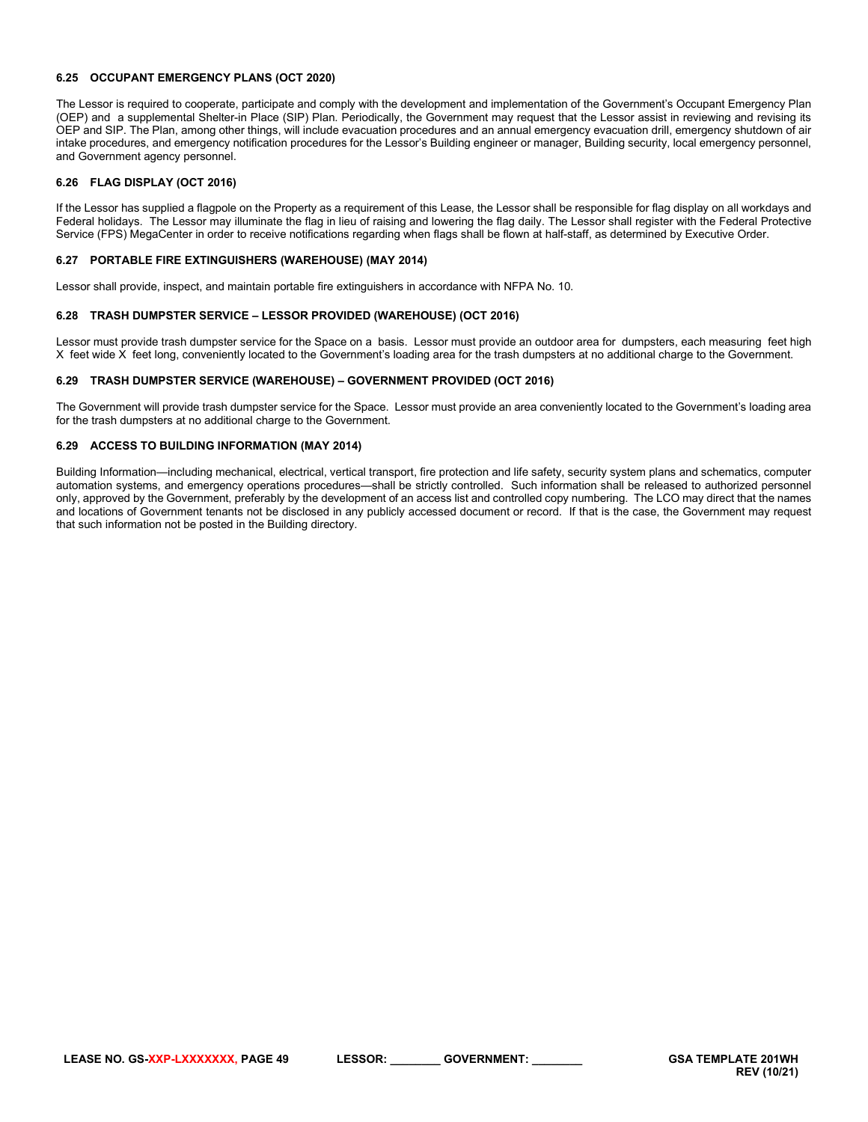#### <span id="page-48-0"></span>**6.25 OCCUPANT EMERGENCY PLANS (OCT 2020)**

The Lessor is required to cooperate, participate and comply with the development and implementation of the Government's Occupant Emergency Plan (OEP) and a supplemental Shelter-in Place (SIP) Plan. Periodically, the Government may request that the Lessor assist in reviewing and revising its OEP and SIP. The Plan, among other things, will include evacuation procedures and an annual emergency evacuation drill, emergency shutdown of air intake procedures, and emergency notification procedures for the Lessor's Building engineer or manager, Building security, local emergency personnel, and Government agency personnel.

#### <span id="page-48-1"></span>**6.26 FLAG DISPLAY (OCT 2016)**

If the Lessor has supplied a flagpole on the Property as a requirement of this Lease, the Lessor shall be responsible for flag display on all workdays and Federal holidays. The Lessor may illuminate the flag in lieu of raising and lowering the flag daily. The Lessor shall register with the Federal Protective Service (FPS) MegaCenter in order to receive notifications regarding when flags shall be flown at half-staff, as determined by Executive Order.

#### <span id="page-48-2"></span>**6.27 PORTABLE FIRE EXTINGUISHERS (WAREHOUSE) (MAY 2014)**

Lessor shall provide, inspect, and maintain portable fire extinguishers in accordance with NFPA No. 10.

#### <span id="page-48-3"></span>**6.28 TRASH DUMPSTER SERVICE – LESSOR PROVIDED (WAREHOUSE) (OCT 2016)**

Lessor must provide trash dumpster service for the Space on a basis. Lessor must provide an outdoor area for dumpsters, each measuring feet high X feet wide X feet long, conveniently located to the Government's loading area for the trash dumpsters at no additional charge to the Government.

#### <span id="page-48-4"></span>**6.29 TRASH DUMPSTER SERVICE (WAREHOUSE) – GOVERNMENT PROVIDED (OCT 2016)**

The Government will provide trash dumpster service for the Space. Lessor must provide an area conveniently located to the Government's loading area for the trash dumpsters at no additional charge to the Government.

#### <span id="page-48-5"></span>**6.29 ACCESS TO BUILDING INFORMATION (MAY 2014)**

Building Information—including mechanical, electrical, vertical transport, fire protection and life safety, security system plans and schematics, computer automation systems, and emergency operations procedures—shall be strictly controlled. Such information shall be released to authorized personnel only, approved by the Government, preferably by the development of an access list and controlled copy numbering. The LCO may direct that the names and locations of Government tenants not be disclosed in any publicly accessed document or record. If that is the case, the Government may request that such information not be posted in the Building directory.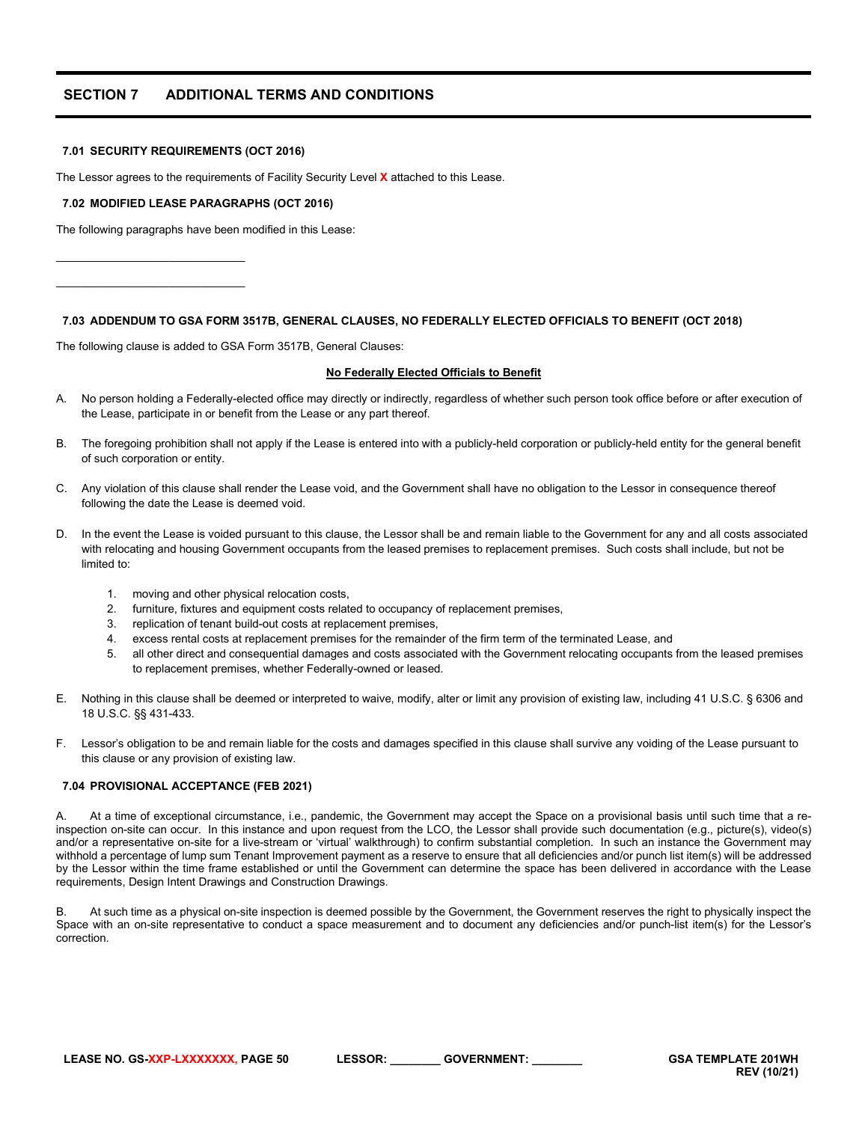# <span id="page-49-0"></span>**SECTION 7 ADDITIONAL TERMS AND CONDITIONS**

#### <span id="page-49-1"></span>**7.01 SECURITY REQUIREMENTS (OCT 2016)**

The Lessor agrees to the requirements of Facility Security Level **X** attached to this Lease.

#### <span id="page-49-2"></span>**7.02 MODIFIED LEASE PARAGRAPHS (OCT 2016)**

The following paragraphs have been modified in this Lease:

\_\_\_\_\_\_\_\_\_\_\_\_\_\_\_\_\_\_\_\_\_\_\_\_\_\_\_\_\_\_ \_\_\_\_\_\_\_\_\_\_\_\_\_\_\_\_\_\_\_\_\_\_\_\_\_\_\_\_\_\_

#### <span id="page-49-3"></span>**7.03 ADDENDUM TO GSA FORM 3517B, GENERAL CLAUSES, NO FEDERALLY ELECTED OFFICIALS TO BENEFIT (OCT 2018)**

The following clause is added to GSA Form 3517B, General Clauses:

#### **No Federally Elected Officials to Benefit**

- A. No person holding a Federally-elected office may directly or indirectly, regardless of whether such person took office before or after execution of the Lease, participate in or benefit from the Lease or any part thereof.
- B. The foregoing prohibition shall not apply if the Lease is entered into with a publicly-held corporation or publicly-held entity for the general benefit of such corporation or entity.
- C. Any violation of this clause shall render the Lease void, and the Government shall have no obligation to the Lessor in consequence thereof following the date the Lease is deemed void.
- D. In the event the Lease is voided pursuant to this clause, the Lessor shall be and remain liable to the Government for any and all costs associated with relocating and housing Government occupants from the leased premises to replacement premises. Such costs shall include, but not be limited to:
	- 1. moving and other physical relocation costs,
	- 2. furniture, fixtures and equipment costs related to occupancy of replacement premises,
	- 3. replication of tenant build-out costs at replacement premises,
	- 4. excess rental costs at replacement premises for the remainder of the firm term of the terminated Lease, and
	- 5. all other direct and consequential damages and costs associated with the Government relocating occupants from the leased premises to replacement premises, whether Federally-owned or leased.
- E. Nothing in this clause shall be deemed or interpreted to waive, modify, alter or limit any provision of existing law, including 41 U.S.C. § 6306 and 18 U.S.C. §§ 431-433.
- F. Lessor's obligation to be and remain liable for the costs and damages specified in this clause shall survive any voiding of the Lease pursuant to this clause or any provision of existing law.

## <span id="page-49-4"></span>**7.04 PROVISIONAL ACCEPTANCE (FEB 2021)**

A. At a time of exceptional circumstance, i.e., pandemic, the Government may accept the Space on a provisional basis until such time that a reinspection on-site can occur. In this instance and upon request from the LCO, the Lessor shall provide such documentation (e.g., picture(s), video(s) and/or a representative on-site for a live-stream or 'virtual' walkthrough) to confirm substantial completion. In such an instance the Government may withhold a percentage of lump sum Tenant Improvement payment as a reserve to ensure that all deficiencies and/or punch list item(s) will be addressed by the Lessor within the time frame established or until the Government can determine the space has been delivered in accordance with the Lease requirements, Design Intent Drawings and Construction Drawings.

At such time as a physical on-site inspection is deemed possible by the Government, the Government reserves the right to physically inspect the Space with an on-site representative to conduct a space measurement and to document any deficiencies and/or punch-list item(s) for the Lessor's correction.